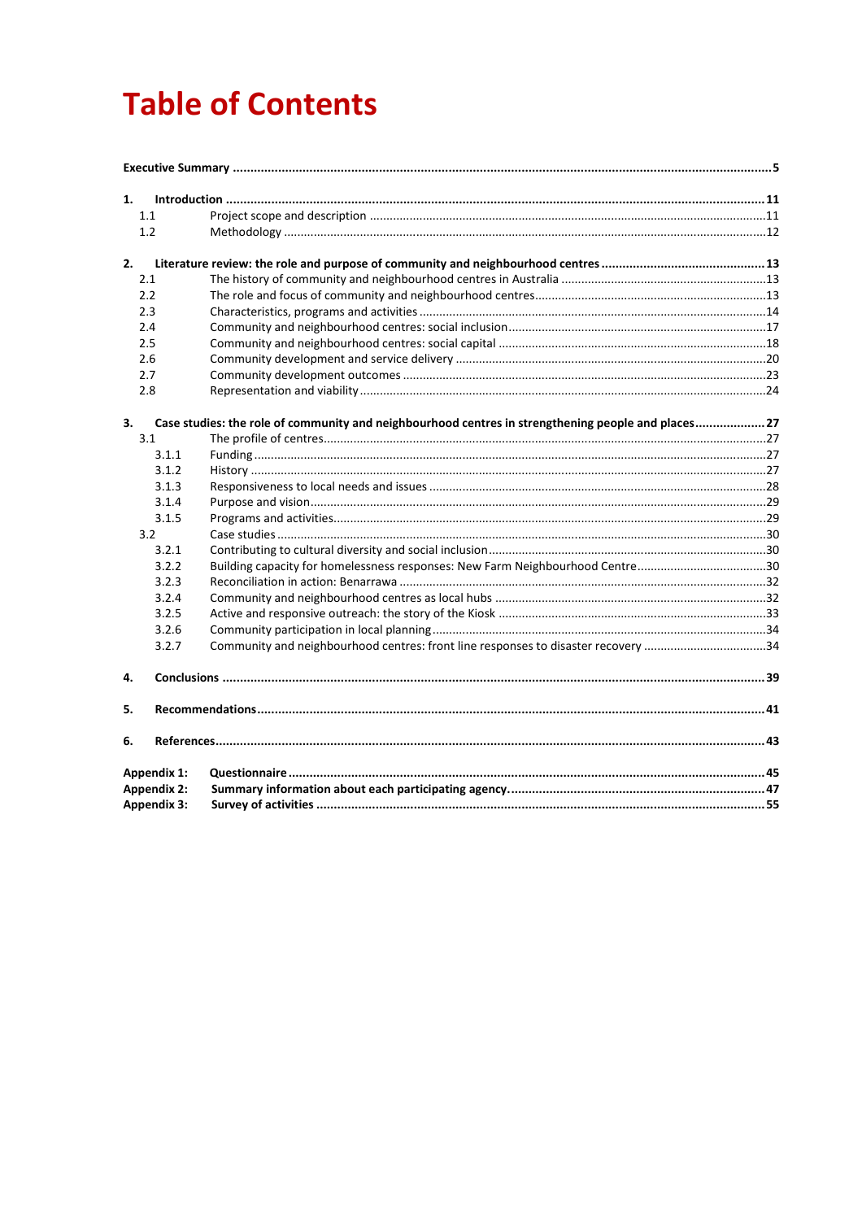# **Table of Contents**

| 1.                 |                    |                                                                                                    |  |
|--------------------|--------------------|----------------------------------------------------------------------------------------------------|--|
|                    | 1.1                |                                                                                                    |  |
|                    | 1.2                |                                                                                                    |  |
| 2.                 |                    |                                                                                                    |  |
|                    | 2.1                |                                                                                                    |  |
|                    | 2.2                |                                                                                                    |  |
|                    | 2.3                |                                                                                                    |  |
|                    | 2.4                |                                                                                                    |  |
|                    | 2.5                |                                                                                                    |  |
|                    | 2.6                |                                                                                                    |  |
|                    | 2.7                |                                                                                                    |  |
|                    | 2.8                |                                                                                                    |  |
| 3.                 |                    | Case studies: the role of community and neighbourhood centres in strengthening people and places27 |  |
|                    | 3.1                |                                                                                                    |  |
|                    | 3.1.1              |                                                                                                    |  |
|                    | 3.1.2              |                                                                                                    |  |
|                    | 3.1.3              |                                                                                                    |  |
|                    | 3.1.4              |                                                                                                    |  |
|                    | 3.1.5              |                                                                                                    |  |
|                    | 3.2                |                                                                                                    |  |
|                    | 3.2.1              |                                                                                                    |  |
|                    | 3.2.2              | Building capacity for homelessness responses: New Farm Neighbourhood Centre30                      |  |
|                    | 3.2.3              |                                                                                                    |  |
|                    | 3.2.4              |                                                                                                    |  |
|                    | 3.2.5              |                                                                                                    |  |
|                    | 3.2.6              |                                                                                                    |  |
|                    | 3.2.7              | Community and neighbourhood centres: front line responses to disaster recovery 34                  |  |
| 4.                 |                    |                                                                                                    |  |
| 5.                 |                    |                                                                                                    |  |
|                    |                    |                                                                                                    |  |
| 6.                 |                    |                                                                                                    |  |
|                    | <b>Appendix 1:</b> |                                                                                                    |  |
| <b>Appendix 2:</b> |                    |                                                                                                    |  |
| <b>Appendix 3:</b> |                    |                                                                                                    |  |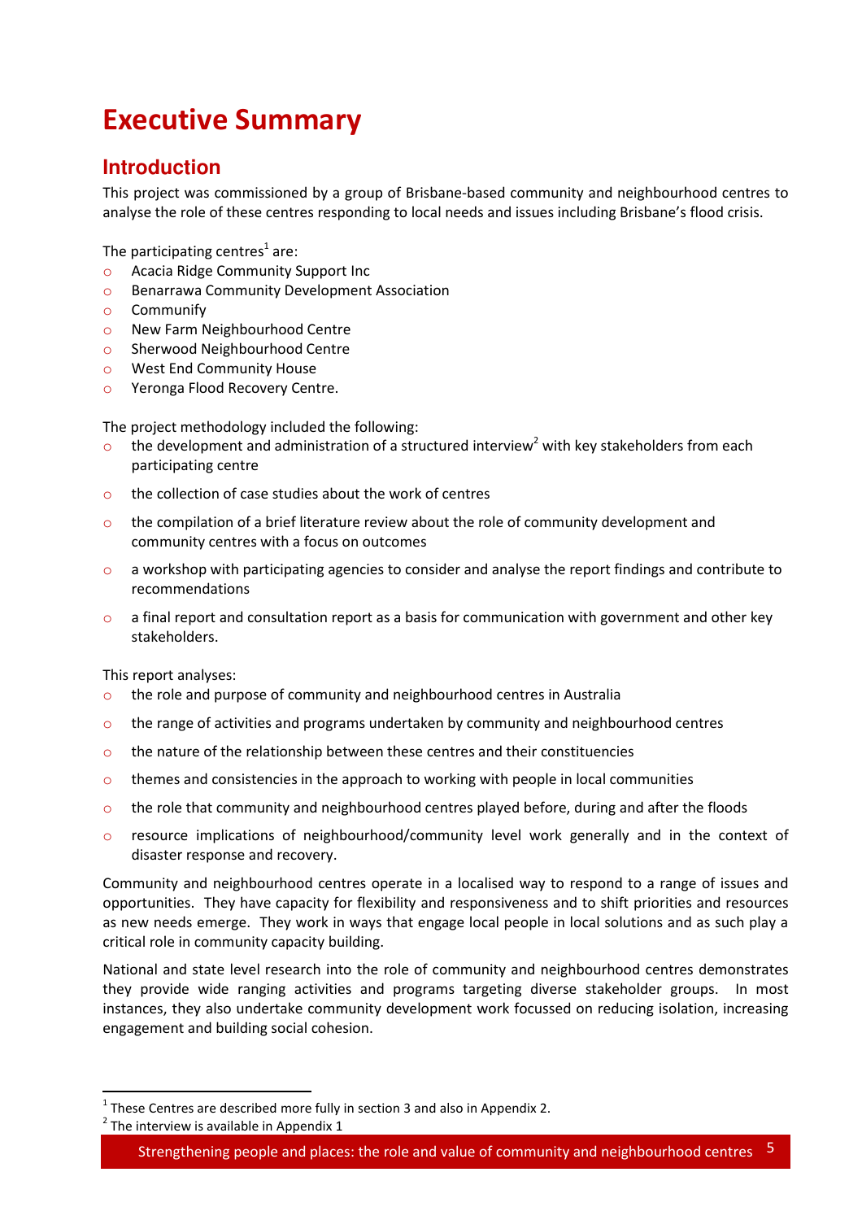## Executive Summary

## **Introduction**

This project was commissioned by a group of Brisbane-based community and neighbourhood centres to analyse the role of these centres responding to local needs and issues including Brisbane's flood crisis.

The participating centres<sup>1</sup> are:

- o Acacia Ridge Community Support Inc
- o Benarrawa Community Development Association
- o Communify
- o New Farm Neighbourhood Centre
- o Sherwood Neighbourhood Centre
- o West End Community House
- o Yeronga Flood Recovery Centre.

The project methodology included the following:

- $\circ$  the development and administration of a structured interview<sup>2</sup> with key stakeholders from each participating centre
- $\circ$  the collection of case studies about the work of centres
- $\circ$  the compilation of a brief literature review about the role of community development and community centres with a focus on outcomes
- $\circ$  a workshop with participating agencies to consider and analyse the report findings and contribute to recommendations
- $\circ$  a final report and consultation report as a basis for communication with government and other key stakeholders.

This report analyses:

- o the role and purpose of community and neighbourhood centres in Australia
- $\circ$  the range of activities and programs undertaken by community and neighbourhood centres
- $\circ$  the nature of the relationship between these centres and their constituencies
- $\circ$  themes and consistencies in the approach to working with people in local communities
- $\circ$  the role that community and neighbourhood centres played before, during and after the floods
- o resource implications of neighbourhood/community level work generally and in the context of disaster response and recovery.

Community and neighbourhood centres operate in a localised way to respond to a range of issues and opportunities. They have capacity for flexibility and responsiveness and to shift priorities and resources as new needs emerge. They work in ways that engage local people in local solutions and as such play a critical role in community capacity building.

National and state level research into the role of community and neighbourhood centres demonstrates they provide wide ranging activities and programs targeting diverse stakeholder groups. In most instances, they also undertake community development work focussed on reducing isolation, increasing engagement and building social cohesion.

 $\overline{\phantom{0}}$ 

 $1$  These Centres are described more fully in section 3 and also in Appendix 2.

 $2$  The interview is available in Appendix 1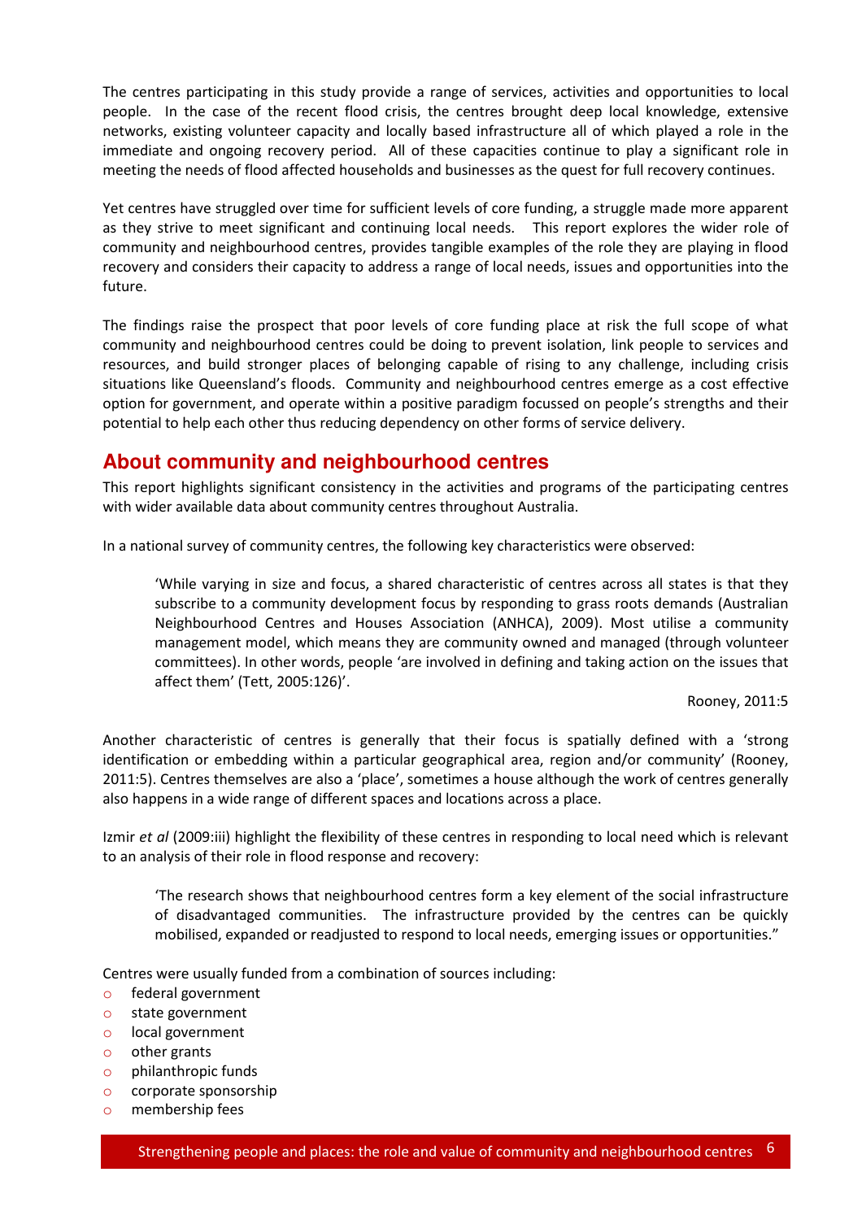The centres participating in this study provide a range of services, activities and opportunities to local people. In the case of the recent flood crisis, the centres brought deep local knowledge, extensive networks, existing volunteer capacity and locally based infrastructure all of which played a role in the immediate and ongoing recovery period. All of these capacities continue to play a significant role in meeting the needs of flood affected households and businesses as the quest for full recovery continues.

Yet centres have struggled over time for sufficient levels of core funding, a struggle made more apparent as they strive to meet significant and continuing local needs. This report explores the wider role of community and neighbourhood centres, provides tangible examples of the role they are playing in flood recovery and considers their capacity to address a range of local needs, issues and opportunities into the future.

The findings raise the prospect that poor levels of core funding place at risk the full scope of what community and neighbourhood centres could be doing to prevent isolation, link people to services and resources, and build stronger places of belonging capable of rising to any challenge, including crisis situations like Queensland's floods. Community and neighbourhood centres emerge as a cost effective option for government, and operate within a positive paradigm focussed on people's strengths and their potential to help each other thus reducing dependency on other forms of service delivery.

## **About community and neighbourhood centres**

This report highlights significant consistency in the activities and programs of the participating centres with wider available data about community centres throughout Australia.

In a national survey of community centres, the following key characteristics were observed:

'While varying in size and focus, a shared characteristic of centres across all states is that they subscribe to a community development focus by responding to grass roots demands (Australian Neighbourhood Centres and Houses Association (ANHCA), 2009). Most utilise a community management model, which means they are community owned and managed (through volunteer committees). In other words, people 'are involved in defining and taking action on the issues that affect them' (Tett, 2005:126)'.

Rooney, 2011:5

Another characteristic of centres is generally that their focus is spatially defined with a 'strong identification or embedding within a particular geographical area, region and/or community' (Rooney, 2011:5). Centres themselves are also a 'place', sometimes a house although the work of centres generally also happens in a wide range of different spaces and locations across a place.

Izmir et al (2009:iii) highlight the flexibility of these centres in responding to local need which is relevant to an analysis of their role in flood response and recovery:

'The research shows that neighbourhood centres form a key element of the social infrastructure of disadvantaged communities. The infrastructure provided by the centres can be quickly mobilised, expanded or readjusted to respond to local needs, emerging issues or opportunities."

Centres were usually funded from a combination of sources including:

- o federal government
- o state government
- o local government
- o other grants
- o philanthropic funds
- o corporate sponsorship
- o membership fees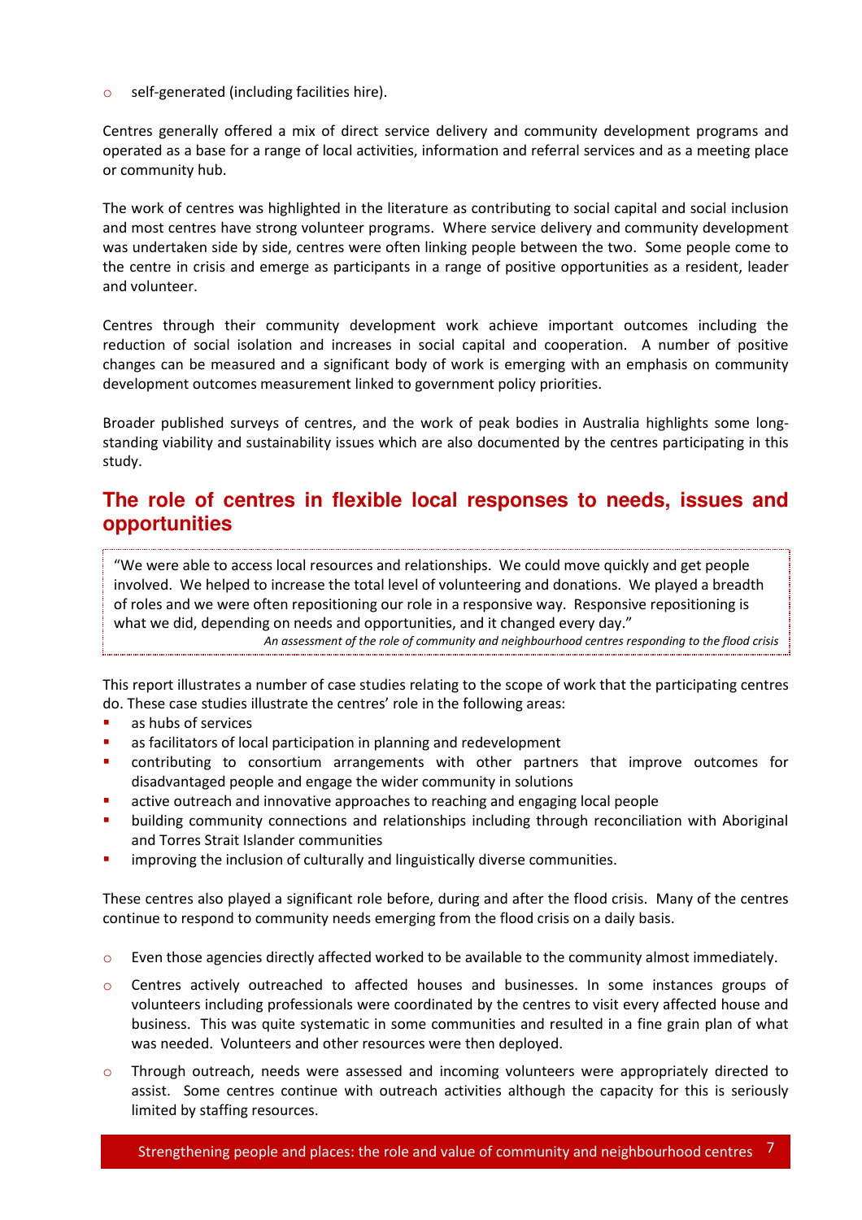o self-generated (including facilities hire).

Centres generally offered a mix of direct service delivery and community development programs and operated as a base for a range of local activities, information and referral services and as a meeting place or community hub.

The work of centres was highlighted in the literature as contributing to social capital and social inclusion and most centres have strong volunteer programs. Where service delivery and community development was undertaken side by side, centres were often linking people between the two. Some people come to the centre in crisis and emerge as participants in a range of positive opportunities as a resident, leader and volunteer.

Centres through their community development work achieve important outcomes including the reduction of social isolation and increases in social capital and cooperation. A number of positive changes can be measured and a significant body of work is emerging with an emphasis on community development outcomes measurement linked to government policy priorities.

Broader published surveys of centres, and the work of peak bodies in Australia highlights some longstanding viability and sustainability issues which are also documented by the centres participating in this study.

## **The role of centres in flexible local responses to needs, issues and opportunities**

"We were able to access local resources and relationships. We could move quickly and get people involved. We helped to increase the total level of volunteering and donations. We played a breadth of roles and we were often repositioning our role in a responsive way. Responsive repositioning is what we did, depending on needs and opportunities, and it changed every day."

An assessment of the role of community and neighbourhood centres responding to the flood crisis

This report illustrates a number of case studies relating to the scope of work that the participating centres do. These case studies illustrate the centres' role in the following areas:

- as hubs of services
- **a** as facilitators of local participation in planning and redevelopment
- contributing to consortium arrangements with other partners that improve outcomes for disadvantaged people and engage the wider community in solutions
- active outreach and innovative approaches to reaching and engaging local people
- **•** building community connections and relationships including through reconciliation with Aboriginal and Torres Strait Islander communities
- improving the inclusion of culturally and linguistically diverse communities.

These centres also played a significant role before, during and after the flood crisis. Many of the centres continue to respond to community needs emerging from the flood crisis on a daily basis.

- o Even those agencies directly affected worked to be available to the community almost immediately.
- o Centres actively outreached to affected houses and businesses. In some instances groups of volunteers including professionals were coordinated by the centres to visit every affected house and business. This was quite systematic in some communities and resulted in a fine grain plan of what was needed. Volunteers and other resources were then deployed.
- Through outreach, needs were assessed and incoming volunteers were appropriately directed to assist. Some centres continue with outreach activities although the capacity for this is seriously limited by staffing resources.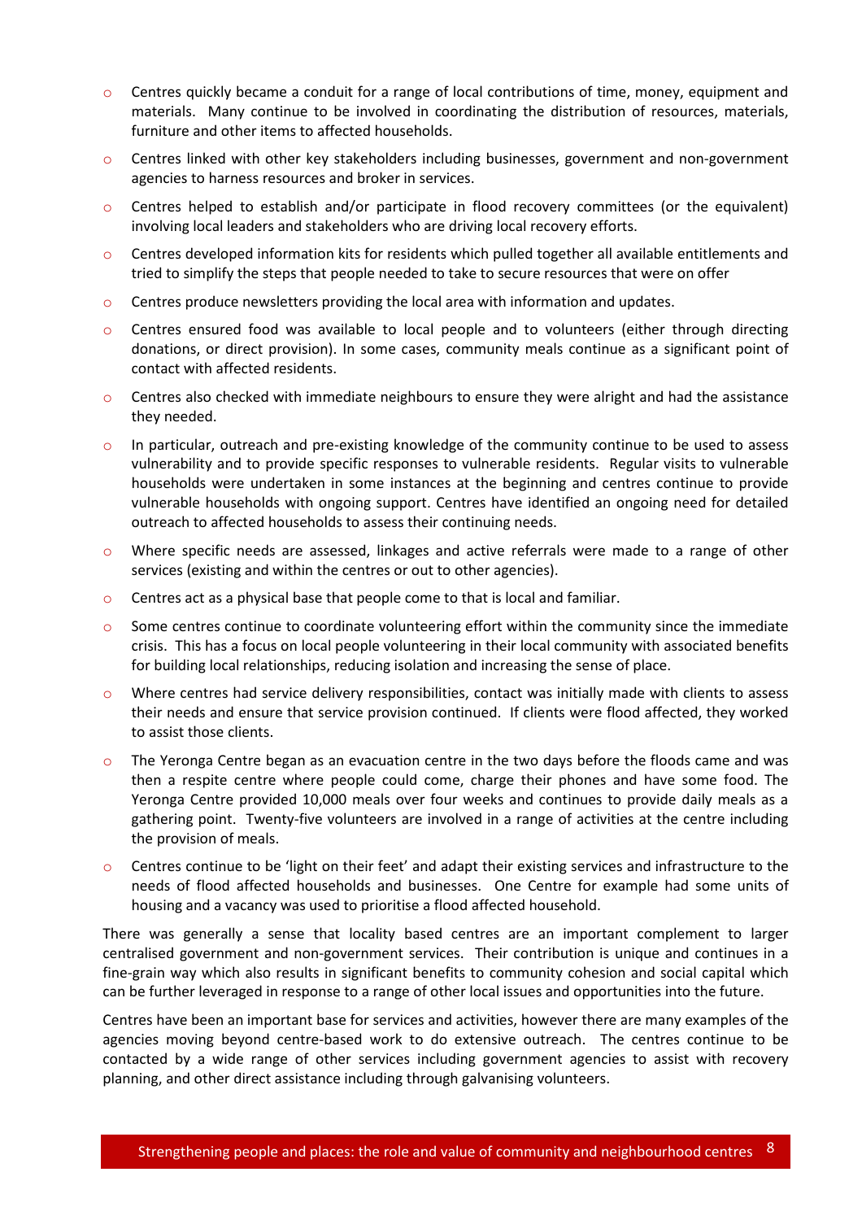- $\circ$  Centres quickly became a conduit for a range of local contributions of time, money, equipment and materials. Many continue to be involved in coordinating the distribution of resources, materials, furniture and other items to affected households.
- o Centres linked with other key stakeholders including businesses, government and non-government agencies to harness resources and broker in services.
- o Centres helped to establish and/or participate in flood recovery committees (or the equivalent) involving local leaders and stakeholders who are driving local recovery efforts.
- $\circ$  Centres developed information kits for residents which pulled together all available entitlements and tried to simplify the steps that people needed to take to secure resources that were on offer
- o Centres produce newsletters providing the local area with information and updates.
- $\circ$  Centres ensured food was available to local people and to volunteers (either through directing donations, or direct provision). In some cases, community meals continue as a significant point of contact with affected residents.
- $\circ$  Centres also checked with immediate neighbours to ensure they were alright and had the assistance they needed.
- $\circ$  In particular, outreach and pre-existing knowledge of the community continue to be used to assess vulnerability and to provide specific responses to vulnerable residents. Regular visits to vulnerable households were undertaken in some instances at the beginning and centres continue to provide vulnerable households with ongoing support. Centres have identified an ongoing need for detailed outreach to affected households to assess their continuing needs.
- o Where specific needs are assessed, linkages and active referrals were made to a range of other services (existing and within the centres or out to other agencies).
- $\circ$  Centres act as a physical base that people come to that is local and familiar.
- $\circ$  Some centres continue to coordinate volunteering effort within the community since the immediate crisis. This has a focus on local people volunteering in their local community with associated benefits for building local relationships, reducing isolation and increasing the sense of place.
- $\circ$  Where centres had service delivery responsibilities, contact was initially made with clients to assess their needs and ensure that service provision continued. If clients were flood affected, they worked to assist those clients.
- o The Yeronga Centre began as an evacuation centre in the two days before the floods came and was then a respite centre where people could come, charge their phones and have some food. The Yeronga Centre provided 10,000 meals over four weeks and continues to provide daily meals as a gathering point. Twenty-five volunteers are involved in a range of activities at the centre including the provision of meals.
- o Centres continue to be 'light on their feet' and adapt their existing services and infrastructure to the needs of flood affected households and businesses. One Centre for example had some units of housing and a vacancy was used to prioritise a flood affected household.

There was generally a sense that locality based centres are an important complement to larger centralised government and non-government services. Their contribution is unique and continues in a fine-grain way which also results in significant benefits to community cohesion and social capital which can be further leveraged in response to a range of other local issues and opportunities into the future.

Centres have been an important base for services and activities, however there are many examples of the agencies moving beyond centre-based work to do extensive outreach. The centres continue to be contacted by a wide range of other services including government agencies to assist with recovery planning, and other direct assistance including through galvanising volunteers.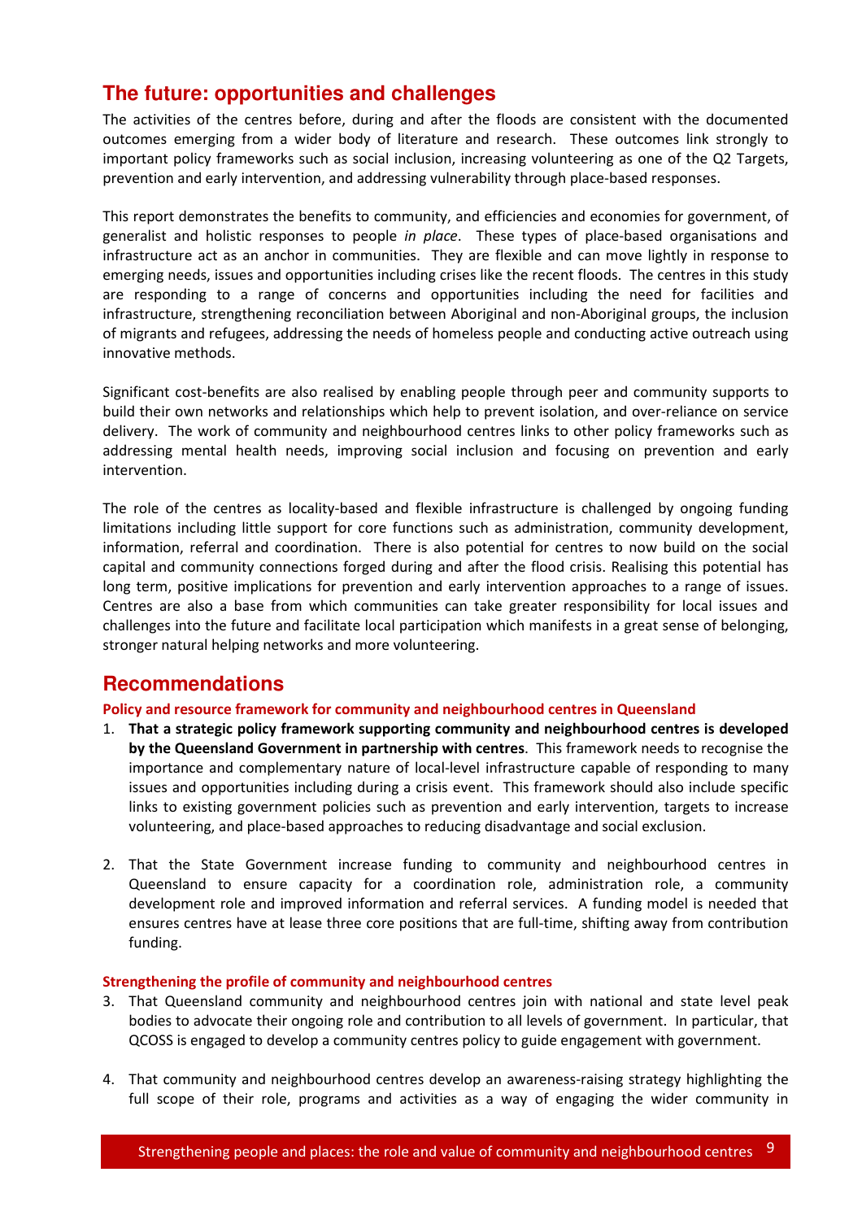## **The future: opportunities and challenges**

The activities of the centres before, during and after the floods are consistent with the documented outcomes emerging from a wider body of literature and research. These outcomes link strongly to important policy frameworks such as social inclusion, increasing volunteering as one of the Q2 Targets, prevention and early intervention, and addressing vulnerability through place-based responses.

This report demonstrates the benefits to community, and efficiencies and economies for government, of generalist and holistic responses to people in place. These types of place-based organisations and infrastructure act as an anchor in communities. They are flexible and can move lightly in response to emerging needs, issues and opportunities including crises like the recent floods. The centres in this study are responding to a range of concerns and opportunities including the need for facilities and infrastructure, strengthening reconciliation between Aboriginal and non-Aboriginal groups, the inclusion of migrants and refugees, addressing the needs of homeless people and conducting active outreach using innovative methods.

Significant cost-benefits are also realised by enabling people through peer and community supports to build their own networks and relationships which help to prevent isolation, and over-reliance on service delivery. The work of community and neighbourhood centres links to other policy frameworks such as addressing mental health needs, improving social inclusion and focusing on prevention and early intervention.

The role of the centres as locality-based and flexible infrastructure is challenged by ongoing funding limitations including little support for core functions such as administration, community development, information, referral and coordination. There is also potential for centres to now build on the social capital and community connections forged during and after the flood crisis. Realising this potential has long term, positive implications for prevention and early intervention approaches to a range of issues. Centres are also a base from which communities can take greater responsibility for local issues and challenges into the future and facilitate local participation which manifests in a great sense of belonging, stronger natural helping networks and more volunteering.

## **Recommendations**

#### Policy and resource framework for community and neighbourhood centres in Queensland

- 1. That a strategic policy framework supporting community and neighbourhood centres is developed by the Queensland Government in partnership with centres. This framework needs to recognise the importance and complementary nature of local-level infrastructure capable of responding to many issues and opportunities including during a crisis event. This framework should also include specific links to existing government policies such as prevention and early intervention, targets to increase volunteering, and place-based approaches to reducing disadvantage and social exclusion.
- 2. That the State Government increase funding to community and neighbourhood centres in Queensland to ensure capacity for a coordination role, administration role, a community development role and improved information and referral services. A funding model is needed that ensures centres have at lease three core positions that are full-time, shifting away from contribution funding.

#### Strengthening the profile of community and neighbourhood centres

- 3. That Queensland community and neighbourhood centres join with national and state level peak bodies to advocate their ongoing role and contribution to all levels of government. In particular, that QCOSS is engaged to develop a community centres policy to guide engagement with government.
- 4. That community and neighbourhood centres develop an awareness-raising strategy highlighting the full scope of their role, programs and activities as a way of engaging the wider community in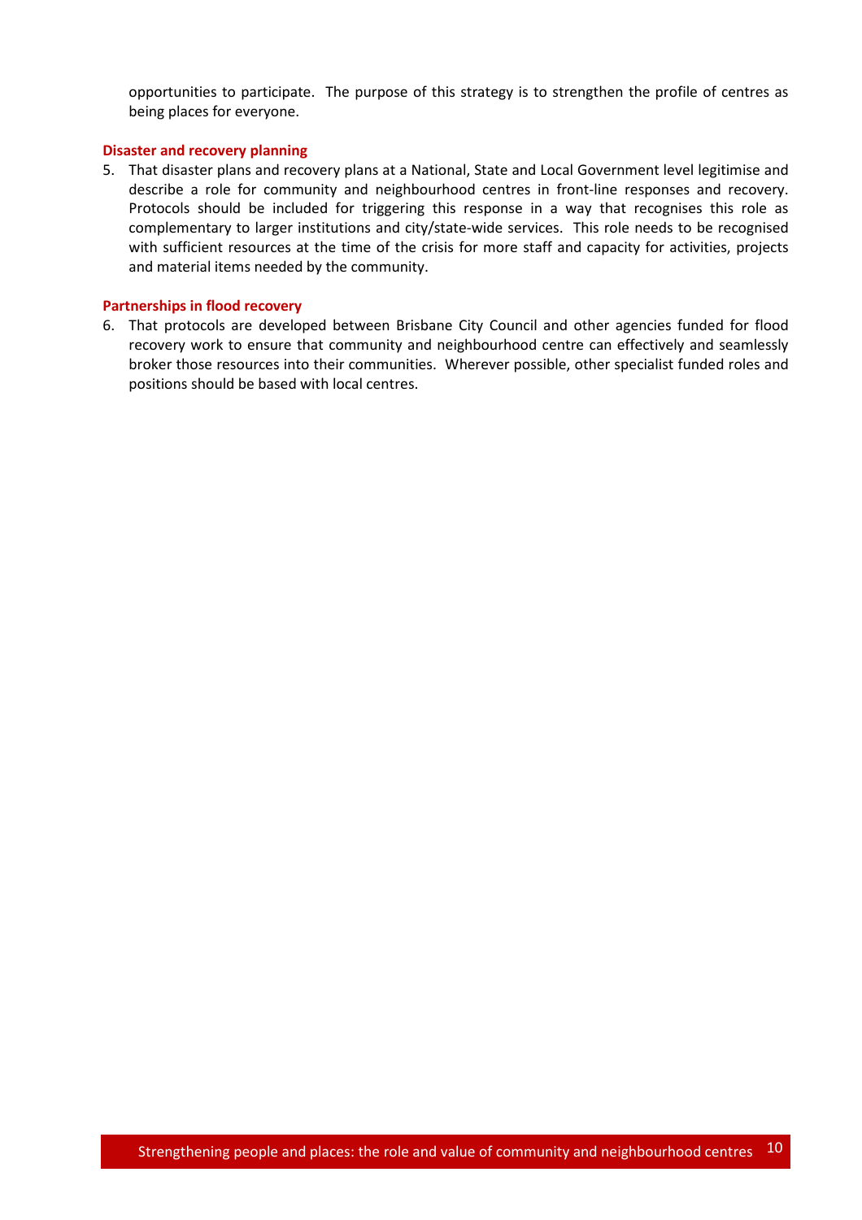opportunities to participate. The purpose of this strategy is to strengthen the profile of centres as being places for everyone.

#### Disaster and recovery planning

5. That disaster plans and recovery plans at a National, State and Local Government level legitimise and describe a role for community and neighbourhood centres in front-line responses and recovery. Protocols should be included for triggering this response in a way that recognises this role as complementary to larger institutions and city/state-wide services. This role needs to be recognised with sufficient resources at the time of the crisis for more staff and capacity for activities, projects and material items needed by the community.

#### Partnerships in flood recovery

6. That protocols are developed between Brisbane City Council and other agencies funded for flood recovery work to ensure that community and neighbourhood centre can effectively and seamlessly broker those resources into their communities. Wherever possible, other specialist funded roles and positions should be based with local centres.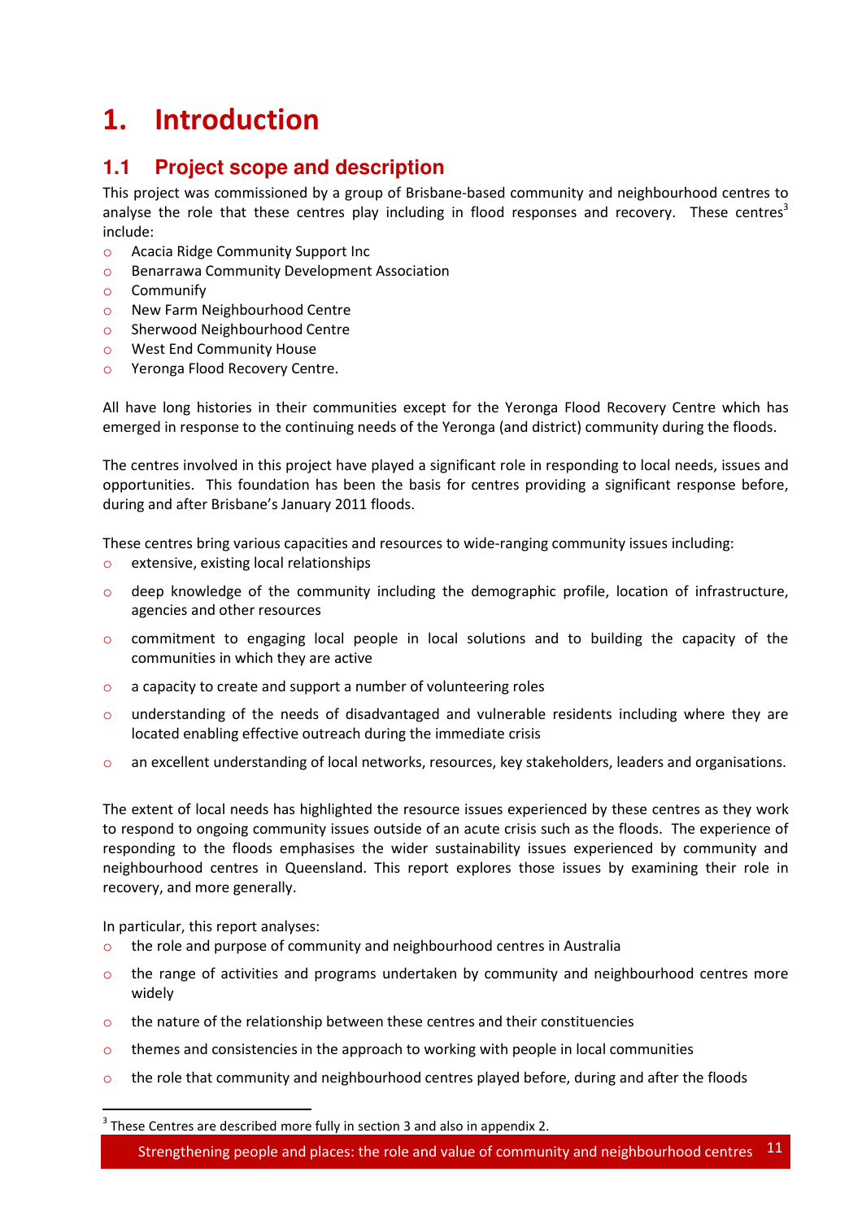## 1. Introduction

## **1.1 Project scope and description**

This project was commissioned by a group of Brisbane-based community and neighbourhood centres to analyse the role that these centres play including in flood responses and recovery. These centres<sup>3</sup> include:

- o Acacia Ridge Community Support Inc
- o Benarrawa Community Development Association
- o Communify
- o New Farm Neighbourhood Centre
- o Sherwood Neighbourhood Centre
- o West End Community House
- o Yeronga Flood Recovery Centre.

All have long histories in their communities except for the Yeronga Flood Recovery Centre which has emerged in response to the continuing needs of the Yeronga (and district) community during the floods.

The centres involved in this project have played a significant role in responding to local needs, issues and opportunities. This foundation has been the basis for centres providing a significant response before, during and after Brisbane's January 2011 floods.

These centres bring various capacities and resources to wide-ranging community issues including:

- o extensive, existing local relationships
- o deep knowledge of the community including the demographic profile, location of infrastructure, agencies and other resources
- o commitment to engaging local people in local solutions and to building the capacity of the communities in which they are active
- o a capacity to create and support a number of volunteering roles
- $\circ$  understanding of the needs of disadvantaged and vulnerable residents including where they are located enabling effective outreach during the immediate crisis
- o an excellent understanding of local networks, resources, key stakeholders, leaders and organisations.

The extent of local needs has highlighted the resource issues experienced by these centres as they work to respond to ongoing community issues outside of an acute crisis such as the floods. The experience of responding to the floods emphasises the wider sustainability issues experienced by community and neighbourhood centres in Queensland. This report explores those issues by examining their role in recovery, and more generally.

In particular, this report analyses:

 $\overline{a}$ 

- o the role and purpose of community and neighbourhood centres in Australia
- $\circ$  the range of activities and programs undertaken by community and neighbourhood centres more widely
- o the nature of the relationship between these centres and their constituencies
- $\circ$  themes and consistencies in the approach to working with people in local communities
- $\circ$  the role that community and neighbourhood centres played before, during and after the floods

Strengthening people and places: the role and value of community and neighbourhood centres  $11$ 

 $3$  These Centres are described more fully in section 3 and also in appendix 2.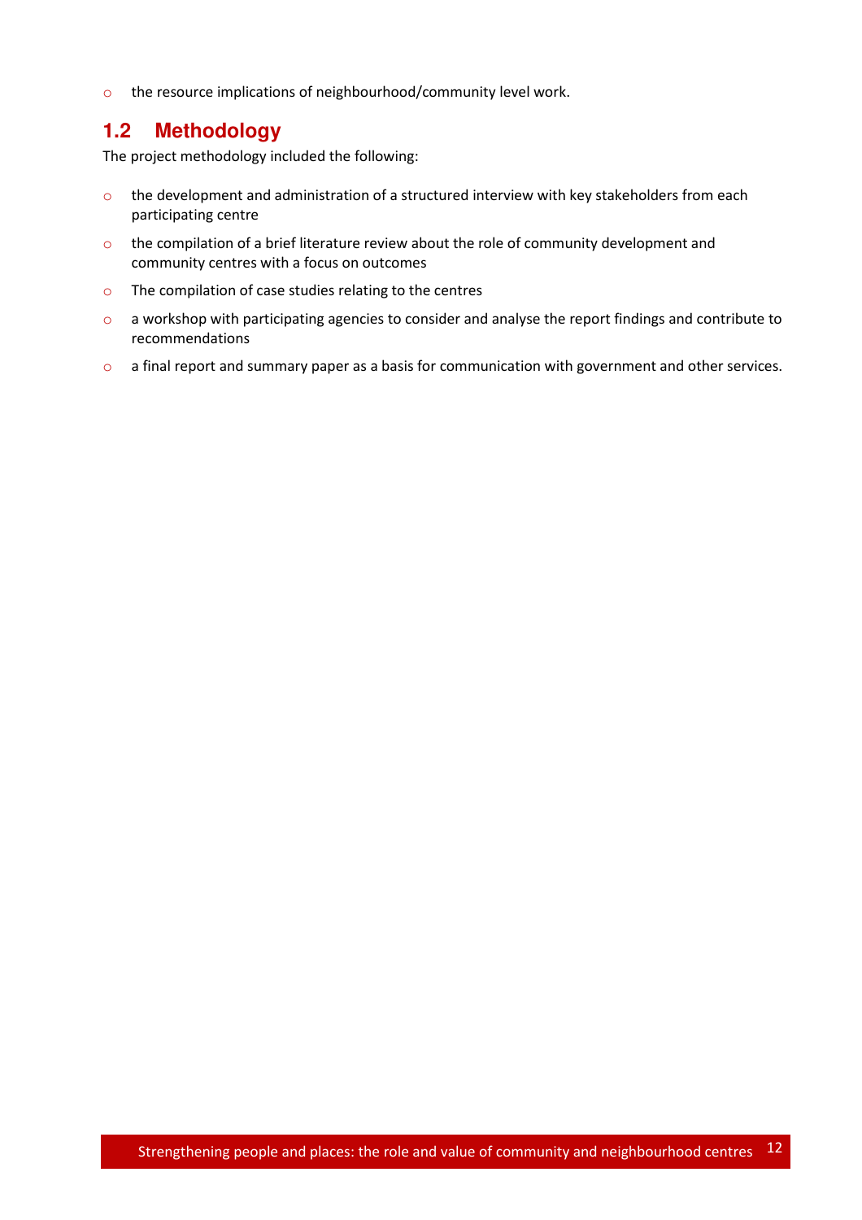o the resource implications of neighbourhood/community level work.

### **1.2 Methodology**

The project methodology included the following:

- o the development and administration of a structured interview with key stakeholders from each participating centre
- o the compilation of a brief literature review about the role of community development and community centres with a focus on outcomes
- o The compilation of case studies relating to the centres
- o a workshop with participating agencies to consider and analyse the report findings and contribute to recommendations
- o a final report and summary paper as a basis for communication with government and other services.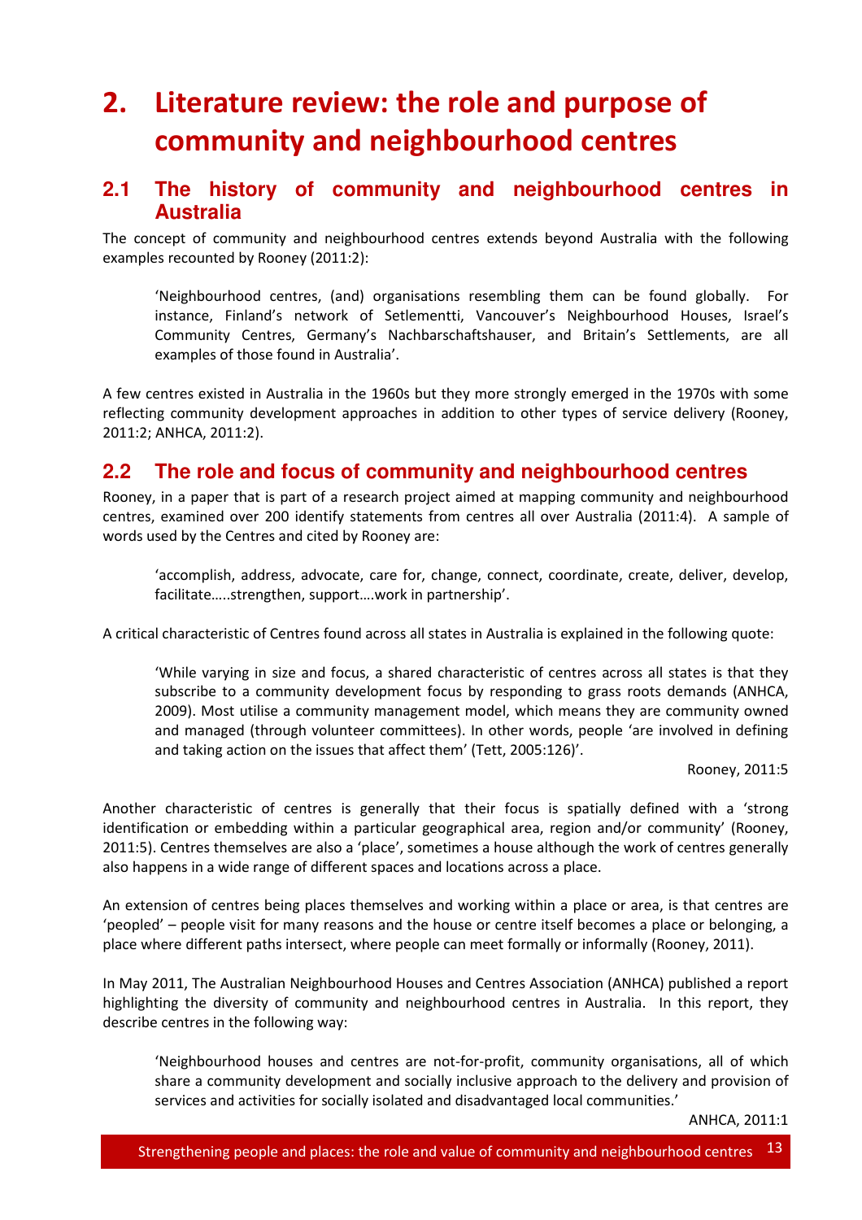# 2. Literature review: the role and purpose of community and neighbourhood centres

### **2.1 The history of community and neighbourhood centres in Australia**

The concept of community and neighbourhood centres extends beyond Australia with the following examples recounted by Rooney (2011:2):

'Neighbourhood centres, (and) organisations resembling them can be found globally. For instance, Finland's network of Setlementti, Vancouver's Neighbourhood Houses, Israel's Community Centres, Germany's Nachbarschaftshauser, and Britain's Settlements, are all examples of those found in Australia'.

A few centres existed in Australia in the 1960s but they more strongly emerged in the 1970s with some reflecting community development approaches in addition to other types of service delivery (Rooney, 2011:2; ANHCA, 2011:2).

## **2.2 The role and focus of community and neighbourhood centres**

Rooney, in a paper that is part of a research project aimed at mapping community and neighbourhood centres, examined over 200 identify statements from centres all over Australia (2011:4). A sample of words used by the Centres and cited by Rooney are:

'accomplish, address, advocate, care for, change, connect, coordinate, create, deliver, develop, facilitate…..strengthen, support….work in partnership'.

A critical characteristic of Centres found across all states in Australia is explained in the following quote:

'While varying in size and focus, a shared characteristic of centres across all states is that they subscribe to a community development focus by responding to grass roots demands (ANHCA, 2009). Most utilise a community management model, which means they are community owned and managed (through volunteer committees). In other words, people 'are involved in defining and taking action on the issues that affect them' (Tett, 2005:126)'.

Rooney, 2011:5

Another characteristic of centres is generally that their focus is spatially defined with a 'strong identification or embedding within a particular geographical area, region and/or community' (Rooney, 2011:5). Centres themselves are also a 'place', sometimes a house although the work of centres generally also happens in a wide range of different spaces and locations across a place.

An extension of centres being places themselves and working within a place or area, is that centres are 'peopled' – people visit for many reasons and the house or centre itself becomes a place or belonging, a place where different paths intersect, where people can meet formally or informally (Rooney, 2011).

In May 2011, The Australian Neighbourhood Houses and Centres Association (ANHCA) published a report highlighting the diversity of community and neighbourhood centres in Australia. In this report, they describe centres in the following way:

'Neighbourhood houses and centres are not-for-profit, community organisations, all of which share a community development and socially inclusive approach to the delivery and provision of services and activities for socially isolated and disadvantaged local communities.'

ANHCA, 2011:1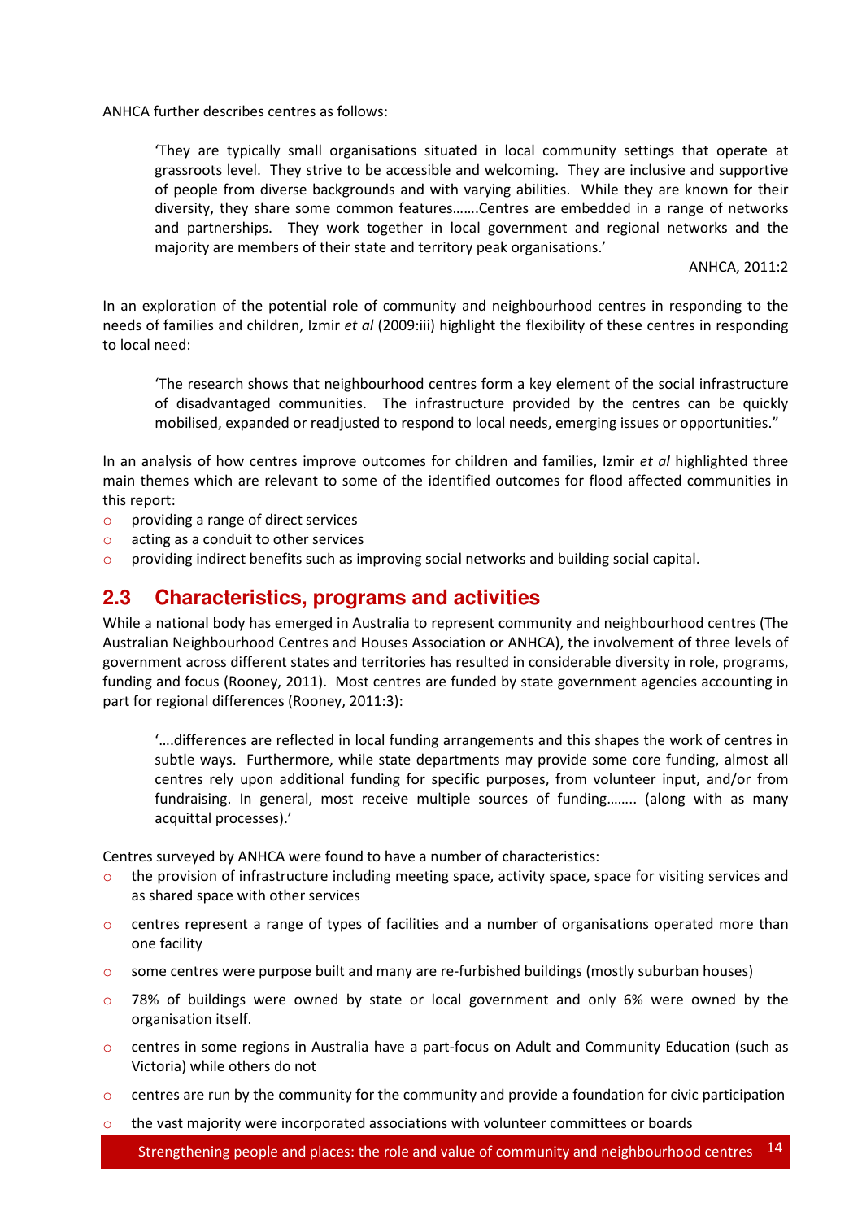ANHCA further describes centres as follows:

'They are typically small organisations situated in local community settings that operate at grassroots level. They strive to be accessible and welcoming. They are inclusive and supportive of people from diverse backgrounds and with varying abilities. While they are known for their diversity, they share some common features…….Centres are embedded in a range of networks and partnerships. They work together in local government and regional networks and the majority are members of their state and territory peak organisations.'

#### ANHCA, 2011:2

In an exploration of the potential role of community and neighbourhood centres in responding to the needs of families and children, Izmir et al (2009:iii) highlight the flexibility of these centres in responding to local need:

'The research shows that neighbourhood centres form a key element of the social infrastructure of disadvantaged communities. The infrastructure provided by the centres can be quickly mobilised, expanded or readjusted to respond to local needs, emerging issues or opportunities."

In an analysis of how centres improve outcomes for children and families, Izmir et al highlighted three main themes which are relevant to some of the identified outcomes for flood affected communities in this report:

- $\circ$  providing a range of direct services
- o acting as a conduit to other services
- o providing indirect benefits such as improving social networks and building social capital.

### **2.3 Characteristics, programs and activities**

While a national body has emerged in Australia to represent community and neighbourhood centres (The Australian Neighbourhood Centres and Houses Association or ANHCA), the involvement of three levels of government across different states and territories has resulted in considerable diversity in role, programs, funding and focus (Rooney, 2011). Most centres are funded by state government agencies accounting in part for regional differences (Rooney, 2011:3):

'….differences are reflected in local funding arrangements and this shapes the work of centres in subtle ways. Furthermore, while state departments may provide some core funding, almost all centres rely upon additional funding for specific purposes, from volunteer input, and/or from fundraising. In general, most receive multiple sources of funding…….. (along with as many acquittal processes).'

Centres surveyed by ANHCA were found to have a number of characteristics:

- the provision of infrastructure including meeting space, activity space, space for visiting services and as shared space with other services
- $\circ$  centres represent a range of types of facilities and a number of organisations operated more than one facility
- o some centres were purpose built and many are re-furbished buildings (mostly suburban houses)
- o 78% of buildings were owned by state or local government and only 6% were owned by the organisation itself.
- o centres in some regions in Australia have a part-focus on Adult and Community Education (such as Victoria) while others do not
- $\circ$  centres are run by the community for the community and provide a foundation for civic participation
- o the vast majority were incorporated associations with volunteer committees or boards

Strengthening people and places: the role and value of community and neighbourhood centres 14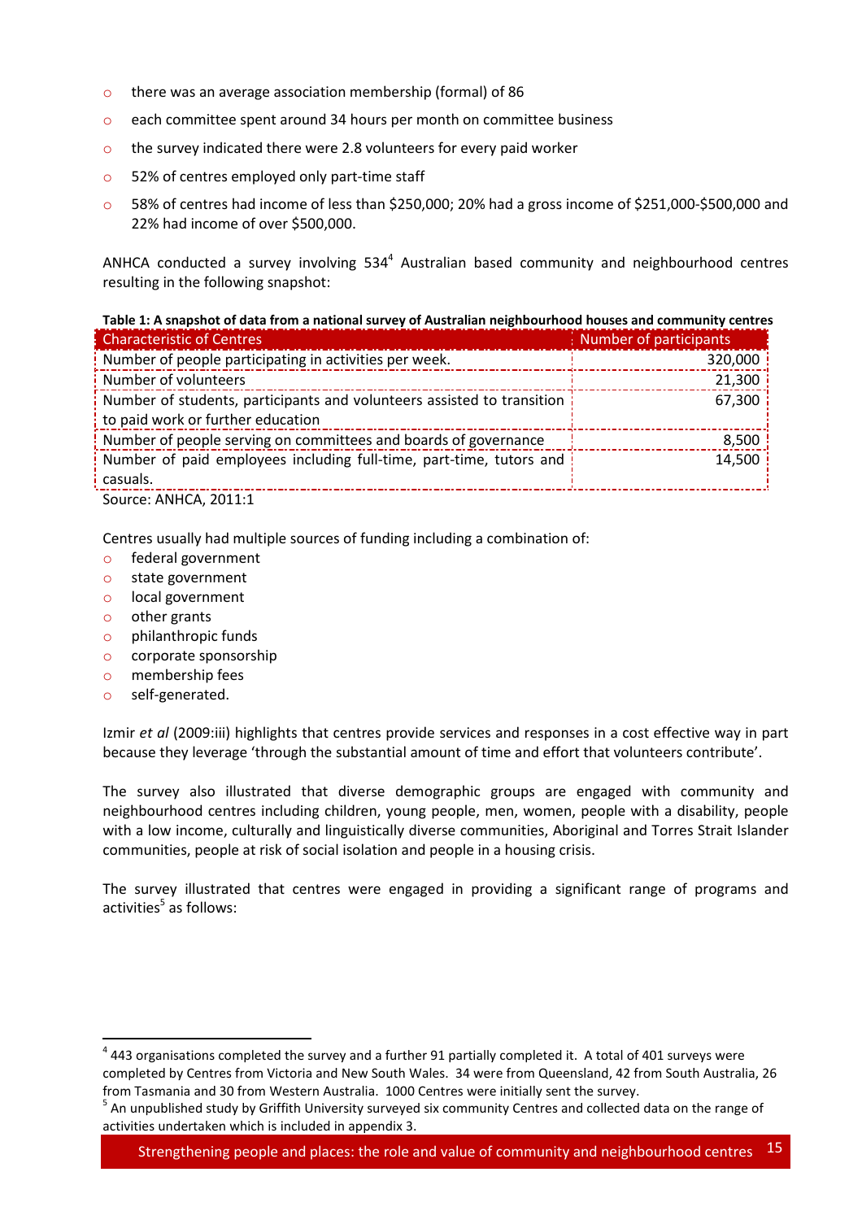- o there was an average association membership (formal) of 86
- o each committee spent around 34 hours per month on committee business
- o the survey indicated there were 2.8 volunteers for every paid worker
- o 52% of centres employed only part-time staff
- o 58% of centres had income of less than \$250,000; 20% had a gross income of \$251,000-\$500,000 and 22% had income of over \$500,000.

ANHCA conducted a survey involving 534<sup>4</sup> Australian based community and neighbourhood centres resulting in the following snapshot:

| Table 1: A snapshot of data from a national survey of Australian neighbourhood houses and community centres |                          |  |
|-------------------------------------------------------------------------------------------------------------|--------------------------|--|
| <b>Characteristic of Centres</b>                                                                            | : Number of participants |  |
| Number of people participating in activities per week.                                                      | 320,000                  |  |
| Number of volunteers                                                                                        | 21,300                   |  |
| Number of students, participants and volunteers assisted to transition                                      | 67,300                   |  |
| to paid work or further education                                                                           |                          |  |
| Number of people serving on committees and boards of governance                                             | 8,500                    |  |
| Number of paid employees including full-time, part-time, tutors and                                         | 14,500                   |  |
| casuals.                                                                                                    |                          |  |
|                                                                                                             |                          |  |

Source: ANHCA, 2011:1

Centres usually had multiple sources of funding including a combination of:

- o federal government
- o state government
- o local government
- o other grants
- o philanthropic funds
- o corporate sponsorship
- o membership fees
- o self-generated.

l

Izmir et al (2009:iii) highlights that centres provide services and responses in a cost effective way in part because they leverage 'through the substantial amount of time and effort that volunteers contribute'.

The survey also illustrated that diverse demographic groups are engaged with community and neighbourhood centres including children, young people, men, women, people with a disability, people with a low income, culturally and linguistically diverse communities, Aboriginal and Torres Strait Islander communities, people at risk of social isolation and people in a housing crisis.

The survey illustrated that centres were engaged in providing a significant range of programs and activities<sup>5</sup> as follows:

 $^4$  443 organisations completed the survey and a further 91 partially completed it. A total of 401 surveys were completed by Centres from Victoria and New South Wales. 34 were from Queensland, 42 from South Australia, 26 from Tasmania and 30 from Western Australia. 1000 Centres were initially sent the survey.

<sup>&</sup>lt;sup>5</sup> An unpublished study by Griffith University surveyed six community Centres and collected data on the range of activities undertaken which is included in appendix 3.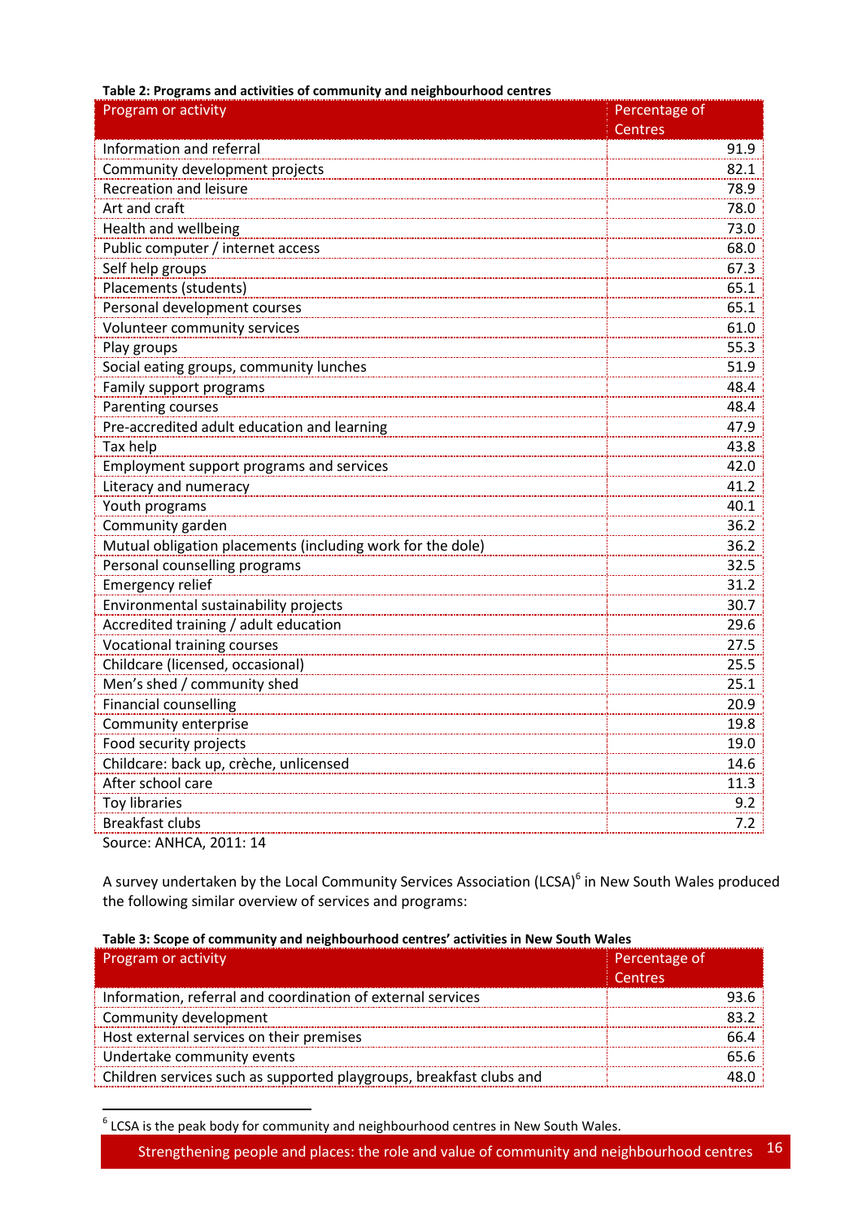#### Table 2: Programs and activities of community and neighbourhood centres

| Program or activity                                        | Percentage of  |
|------------------------------------------------------------|----------------|
|                                                            | <b>Centres</b> |
| Information and referral                                   | 91.9           |
| Community development projects                             | 82.1           |
| Recreation and leisure                                     | 78.9           |
| Art and craft                                              | 78.0           |
| Health and wellbeing                                       | 73.0           |
| Public computer / internet access                          | 68.0           |
| Self help groups                                           | 67.3           |
| Placements (students)                                      | 65.1           |
| Personal development courses                               | 65.1           |
| Volunteer community services                               | 61.0           |
| Play groups                                                | 55.3           |
| Social eating groups, community lunches                    | 51.9           |
| Family support programs                                    | 48.4           |
| Parenting courses                                          | 48.4           |
| Pre-accredited adult education and learning                | 47.9           |
| Tax help                                                   | 43.8           |
| Employment support programs and services                   | 42.0           |
| Literacy and numeracy                                      | 41.2           |
| Youth programs                                             | 40.1           |
| Community garden                                           | 36.2           |
| Mutual obligation placements (including work for the dole) | 36.2           |
| Personal counselling programs                              | 32.5           |
| <b>Emergency relief</b>                                    | 31.2           |
| Environmental sustainability projects                      | 30.7           |
| Accredited training / adult education                      | 29.6           |
| <b>Vocational training courses</b>                         | 27.5           |
| Childcare (licensed, occasional)                           | 25.5           |
| Men's shed / community shed                                | 25.1           |
| <b>Financial counselling</b>                               | 20.9           |
| Community enterprise                                       | 19.8           |
| Food security projects                                     | 19.0           |
| Childcare: back up, crèche, unlicensed                     | 14.6           |
| After school care                                          | 11.3           |
| <b>Toy libraries</b>                                       | 9.2            |
| <b>Breakfast clubs</b>                                     | 7.2            |
| Source: ANHCA, 2011: 14                                    |                |

A survey undertaken by the Local Community Services Association (LCSA)<sup>6</sup> in New South Wales produced the following similar overview of services and programs:

#### Table 3: Scope of community and neighbourhood centres' activities in New South Wales

| Program or activity                                                 | Percentage of<br>Centres |
|---------------------------------------------------------------------|--------------------------|
|                                                                     |                          |
| Information, referral and coordination of external services         |                          |
| Community development                                               | 83.2                     |
| Host external services on their premises                            | 66.4                     |
| Undertake community events                                          | 65.6                     |
| Children services such as supported playgroups, breakfast clubs and |                          |

<sup>&</sup>lt;u>COSA is the peak body for community</u> and neighbourhood centres in New South Wales.<br><sup>6</sup> LCSA is the peak body for community and neighbourhood centres in New South Wales.

Strengthening people and places: the role and value of community and neighbourhood centres 16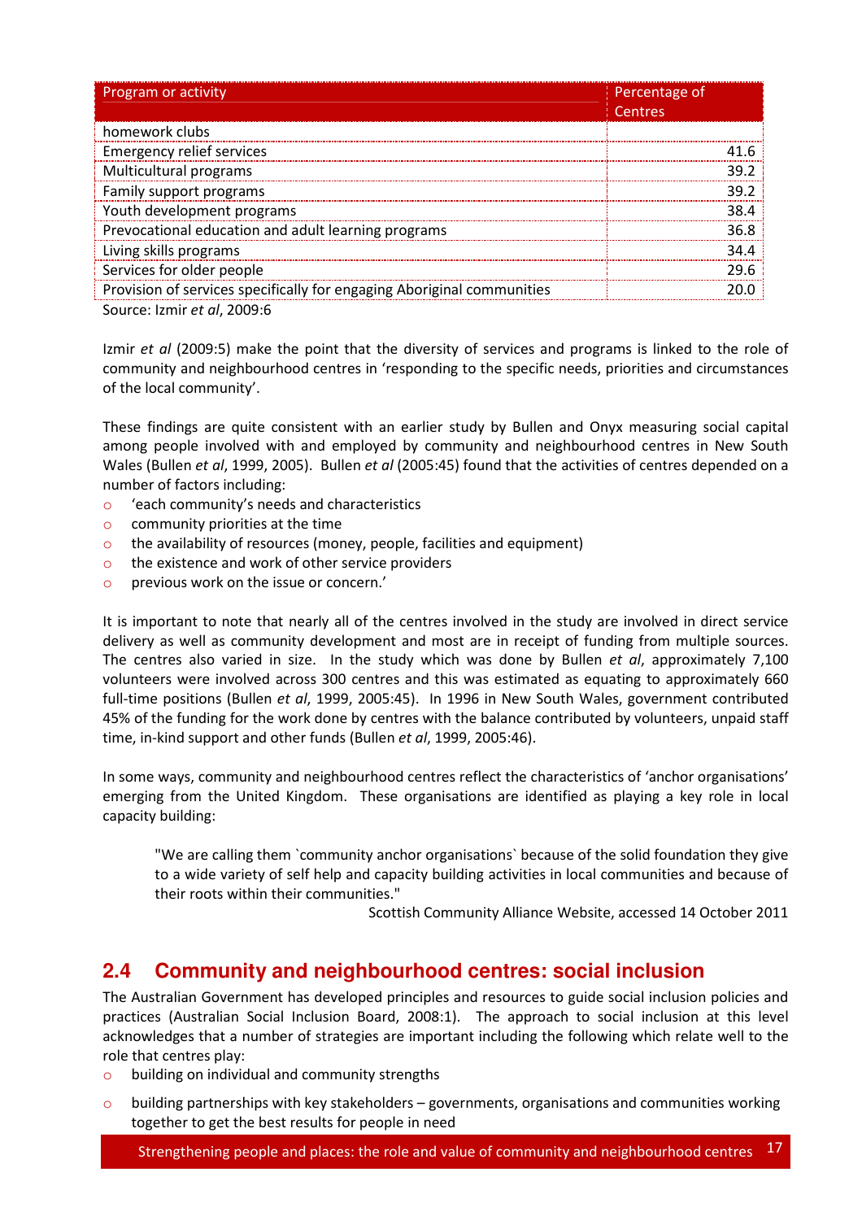| Program or activity                                                    | Percentage of |
|------------------------------------------------------------------------|---------------|
|                                                                        | Centres       |
| homework clubs                                                         |               |
| <b>Emergency relief services</b>                                       |               |
| Multicultural programs                                                 | 39.2          |
| Family support programs                                                | 39.2          |
| Youth development programs                                             | 38.4          |
| Prevocational education and adult learning programs                    | 36.8          |
| Living skills programs                                                 | 34.4          |
| Services for older people                                              | 29.6          |
| Provision of services specifically for engaging Aboriginal communities | 20.0          |
|                                                                        |               |

Source: Izmir et al, 2009:6

Izmir et al (2009:5) make the point that the diversity of services and programs is linked to the role of community and neighbourhood centres in 'responding to the specific needs, priorities and circumstances of the local community'.

These findings are quite consistent with an earlier study by Bullen and Onyx measuring social capital among people involved with and employed by community and neighbourhood centres in New South Wales (Bullen et al, 1999, 2005). Bullen et al (2005:45) found that the activities of centres depended on a number of factors including:

- o 'each community's needs and characteristics
- o community priorities at the time
- o the availability of resources (money, people, facilities and equipment)
- o the existence and work of other service providers
- o previous work on the issue or concern.'

It is important to note that nearly all of the centres involved in the study are involved in direct service delivery as well as community development and most are in receipt of funding from multiple sources. The centres also varied in size. In the study which was done by Bullen et al, approximately 7,100 volunteers were involved across 300 centres and this was estimated as equating to approximately 660 full-time positions (Bullen et al, 1999, 2005:45). In 1996 in New South Wales, government contributed 45% of the funding for the work done by centres with the balance contributed by volunteers, unpaid staff time, in-kind support and other funds (Bullen et al, 1999, 2005:46).

In some ways, community and neighbourhood centres reflect the characteristics of 'anchor organisations' emerging from the United Kingdom. These organisations are identified as playing a key role in local capacity building:

"We are calling them `community anchor organisations` because of the solid foundation they give to a wide variety of self help and capacity building activities in local communities and because of their roots within their communities."

Scottish Community Alliance Website, accessed 14 October 2011

## **2.4 Community and neighbourhood centres: social inclusion**

The Australian Government has developed principles and resources to guide social inclusion policies and practices (Australian Social Inclusion Board, 2008:1). The approach to social inclusion at this level acknowledges that a number of strategies are important including the following which relate well to the role that centres play:

- o building on individual and community strengths
- building partnerships with key stakeholders governments, organisations and communities working together to get the best results for people in need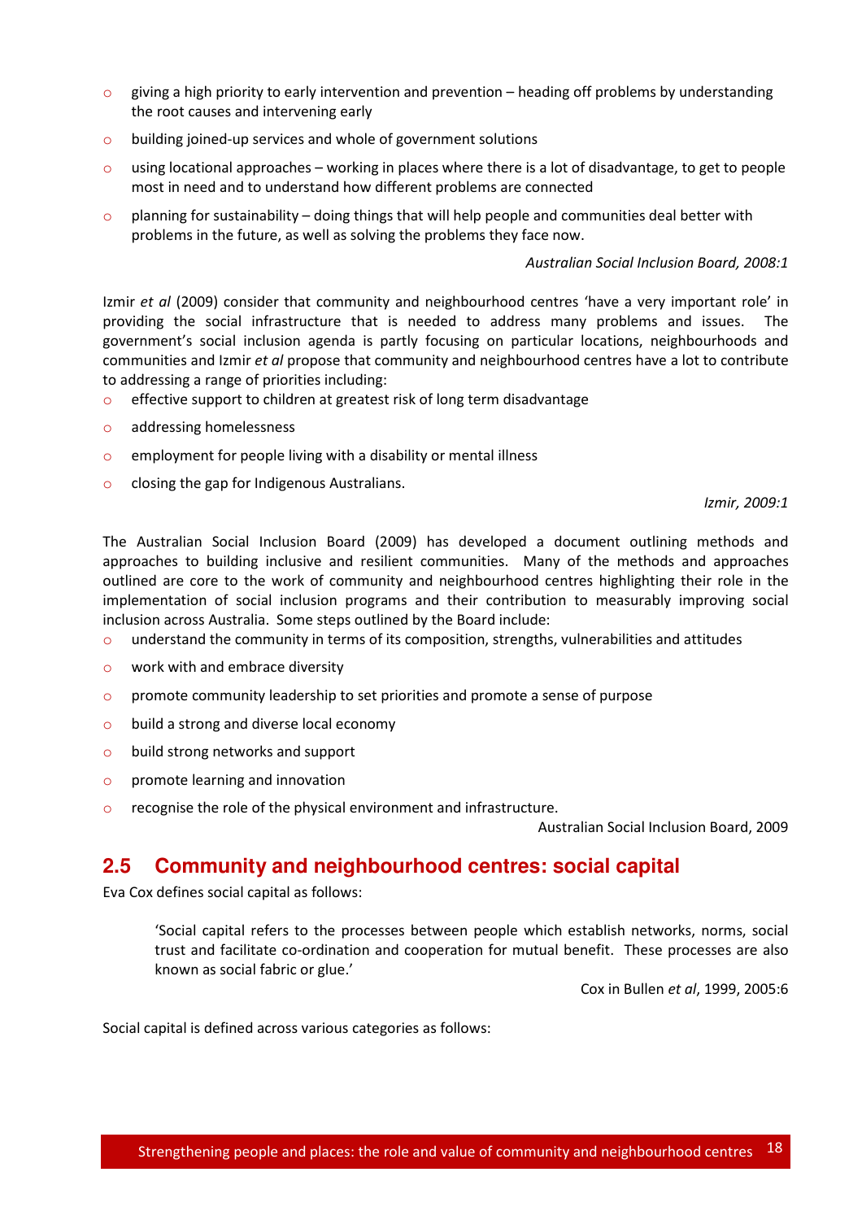- $\circ$  giving a high priority to early intervention and prevention heading off problems by understanding the root causes and intervening early
- o building joined-up services and whole of government solutions
- $\circ$  using locational approaches working in places where there is a lot of disadvantage, to get to people most in need and to understand how different problems are connected
- $\circ$  planning for sustainability doing things that will help people and communities deal better with problems in the future, as well as solving the problems they face now.

#### Australian Social Inclusion Board, 2008:1

Izmir et al (2009) consider that community and neighbourhood centres 'have a very important role' in providing the social infrastructure that is needed to address many problems and issues. The government's social inclusion agenda is partly focusing on particular locations, neighbourhoods and communities and Izmir et al propose that community and neighbourhood centres have a lot to contribute to addressing a range of priorities including:

- o effective support to children at greatest risk of long term disadvantage
- o addressing homelessness
- o employment for people living with a disability or mental illness
- o closing the gap for Indigenous Australians.

Izmir, 2009:1

The Australian Social Inclusion Board (2009) has developed a document outlining methods and approaches to building inclusive and resilient communities. Many of the methods and approaches outlined are core to the work of community and neighbourhood centres highlighting their role in the implementation of social inclusion programs and their contribution to measurably improving social inclusion across Australia. Some steps outlined by the Board include:

- $\circ$  understand the community in terms of its composition, strengths, vulnerabilities and attitudes
- o work with and embrace diversity
- $\circ$  promote community leadership to set priorities and promote a sense of purpose
- o build a strong and diverse local economy
- o build strong networks and support
- o promote learning and innovation
- $\circ$  recognise the role of the physical environment and infrastructure.

Australian Social Inclusion Board, 2009

## **2.5 Community and neighbourhood centres: social capital**

Eva Cox defines social capital as follows:

'Social capital refers to the processes between people which establish networks, norms, social trust and facilitate co-ordination and cooperation for mutual benefit. These processes are also known as social fabric or glue.'

Cox in Bullen et al, 1999, 2005:6

Social capital is defined across various categories as follows: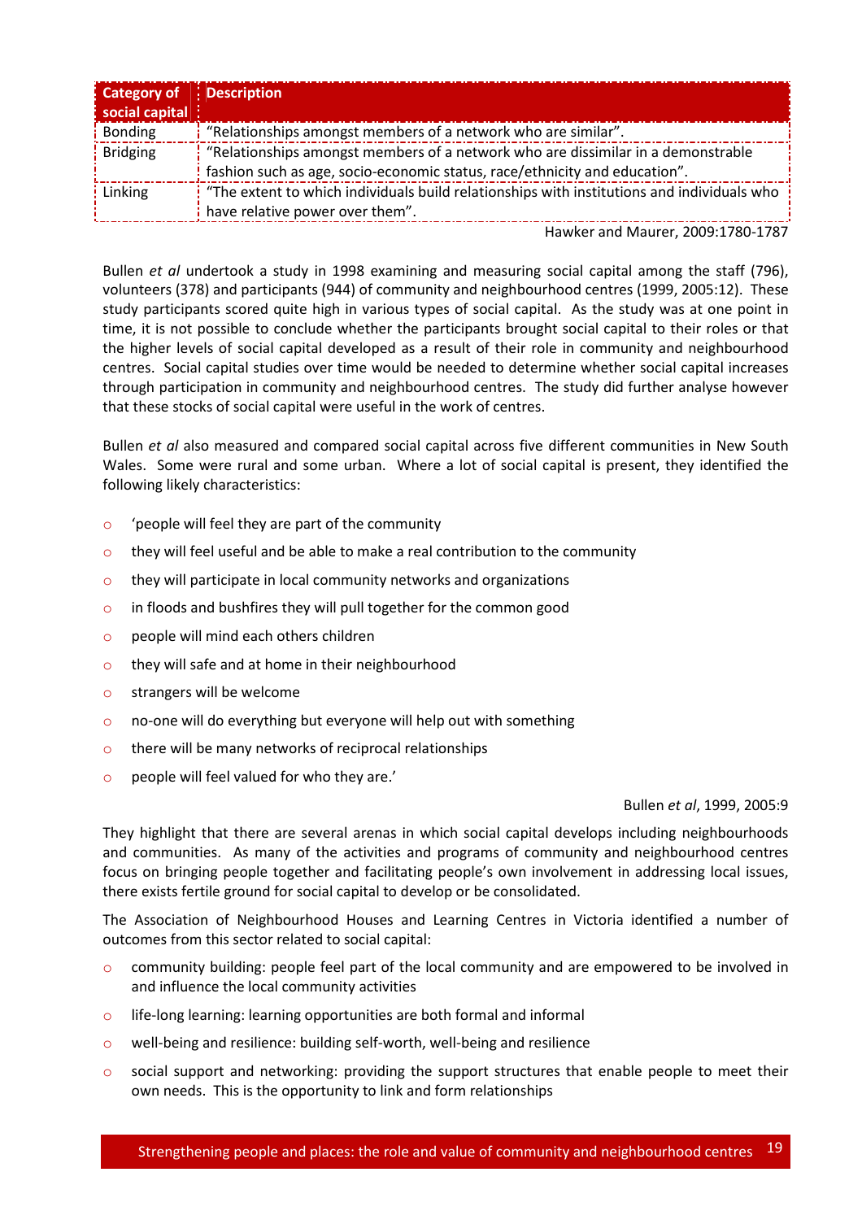| <b>Category of</b> | <b>Description</b>                                                                         |
|--------------------|--------------------------------------------------------------------------------------------|
| social capital     |                                                                                            |
| <b>Bonding</b>     | "Relationships amongst members of a network who are similar".                              |
| <b>Bridging</b>    | "Relationships amongst members of a network who are dissimilar in a demonstrable           |
|                    | fashion such as age, socio-economic status, race/ethnicity and education".                 |
| Linking            | "The extent to which individuals build relationships with institutions and individuals who |
|                    | have relative power over them".                                                            |

Hawker and Maurer, 2009:1780-1787

Bullen et al undertook a study in 1998 examining and measuring social capital among the staff (796), volunteers (378) and participants (944) of community and neighbourhood centres (1999, 2005:12). These study participants scored quite high in various types of social capital. As the study was at one point in time, it is not possible to conclude whether the participants brought social capital to their roles or that the higher levels of social capital developed as a result of their role in community and neighbourhood centres. Social capital studies over time would be needed to determine whether social capital increases through participation in community and neighbourhood centres. The study did further analyse however that these stocks of social capital were useful in the work of centres.

Bullen et al also measured and compared social capital across five different communities in New South Wales. Some were rural and some urban. Where a lot of social capital is present, they identified the following likely characteristics:

- o 'people will feel they are part of the community
- $\circ$  they will feel useful and be able to make a real contribution to the community
- o they will participate in local community networks and organizations
- o in floods and bushfires they will pull together for the common good
- o people will mind each others children
- o they will safe and at home in their neighbourhood
- o strangers will be welcome
- o no-one will do everything but everyone will help out with something
- o there will be many networks of reciprocal relationships
- o people will feel valued for who they are.'

Bullen et al, 1999, 2005:9

They highlight that there are several arenas in which social capital develops including neighbourhoods and communities. As many of the activities and programs of community and neighbourhood centres focus on bringing people together and facilitating people's own involvement in addressing local issues, there exists fertile ground for social capital to develop or be consolidated.

The Association of Neighbourhood Houses and Learning Centres in Victoria identified a number of outcomes from this sector related to social capital:

- o community building: people feel part of the local community and are empowered to be involved in and influence the local community activities
- o life-long learning: learning opportunities are both formal and informal
- o well-being and resilience: building self-worth, well-being and resilience
- $\circ$  social support and networking: providing the support structures that enable people to meet their own needs. This is the opportunity to link and form relationships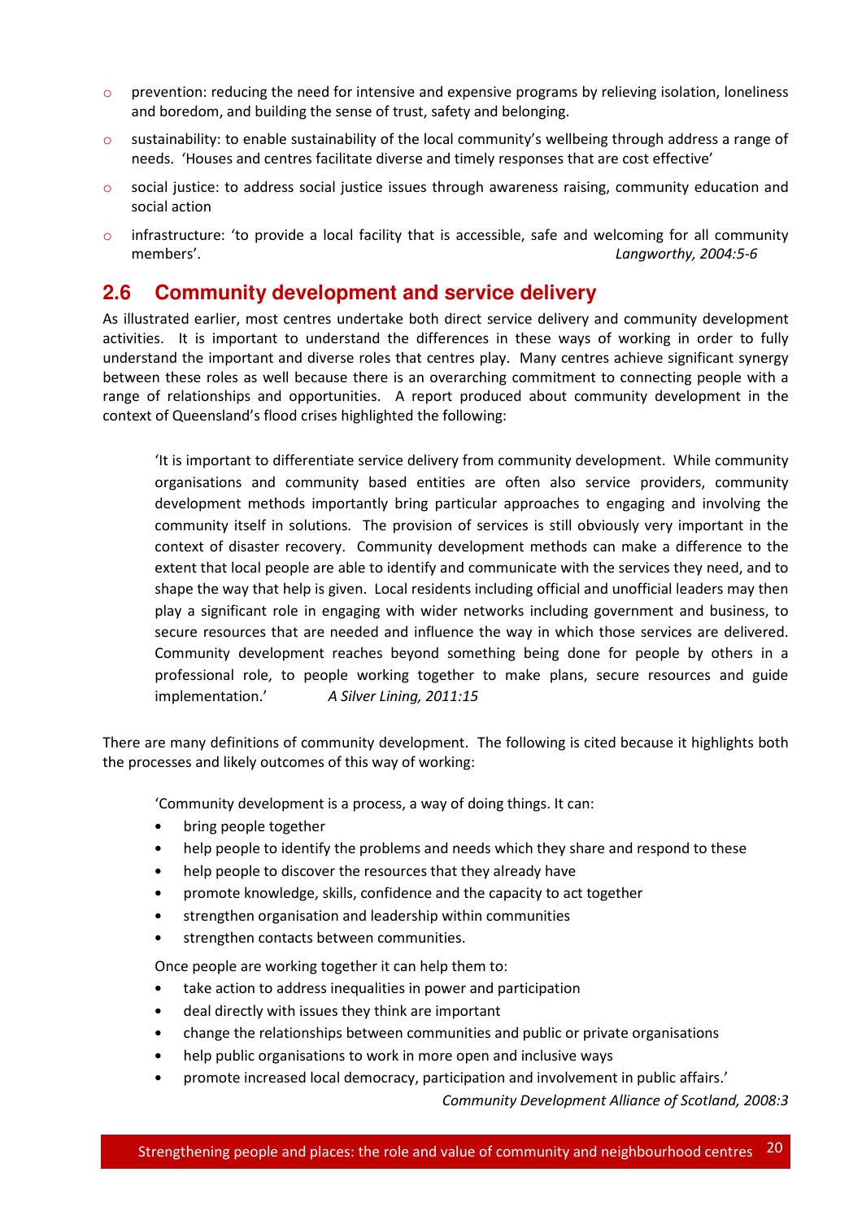- $\circ$  prevention: reducing the need for intensive and expensive programs by relieving isolation, loneliness and boredom, and building the sense of trust, safety and belonging.
- $\circ$  sustainability: to enable sustainability of the local community's wellbeing through address a range of needs. 'Houses and centres facilitate diverse and timely responses that are cost effective'
- $\circ$  social justice: to address social justice issues through awareness raising, community education and social action
- infrastructure: 'to provide a local facility that is accessible, safe and welcoming for all community members'. The matrix of the contract of the contract of the contract of the contract of the contract of the contract of the contract of the contract of the contract of the contract of the contract of the contract of the co

## **2.6 Community development and service delivery**

As illustrated earlier, most centres undertake both direct service delivery and community development activities. It is important to understand the differences in these ways of working in order to fully understand the important and diverse roles that centres play. Many centres achieve significant synergy between these roles as well because there is an overarching commitment to connecting people with a range of relationships and opportunities. A report produced about community development in the context of Queensland's flood crises highlighted the following:

'It is important to differentiate service delivery from community development. While community organisations and community based entities are often also service providers, community development methods importantly bring particular approaches to engaging and involving the community itself in solutions. The provision of services is still obviously very important in the context of disaster recovery. Community development methods can make a difference to the extent that local people are able to identify and communicate with the services they need, and to shape the way that help is given. Local residents including official and unofficial leaders may then play a significant role in engaging with wider networks including government and business, to secure resources that are needed and influence the way in which those services are delivered. Community development reaches beyond something being done for people by others in a professional role, to people working together to make plans, secure resources and guide implementation.' A Silver Lining, 2011:15

There are many definitions of community development. The following is cited because it highlights both the processes and likely outcomes of this way of working:

'Community development is a process, a way of doing things. It can:

- bring people together
- help people to identify the problems and needs which they share and respond to these
- help people to discover the resources that they already have
- promote knowledge, skills, confidence and the capacity to act together
- strengthen organisation and leadership within communities
- strengthen contacts between communities.

Once people are working together it can help them to:

- take action to address inequalities in power and participation
- deal directly with issues they think are important
- change the relationships between communities and public or private organisations
- help public organisations to work in more open and inclusive ways
- promote increased local democracy, participation and involvement in public affairs.'

Community Development Alliance of Scotland, 2008:3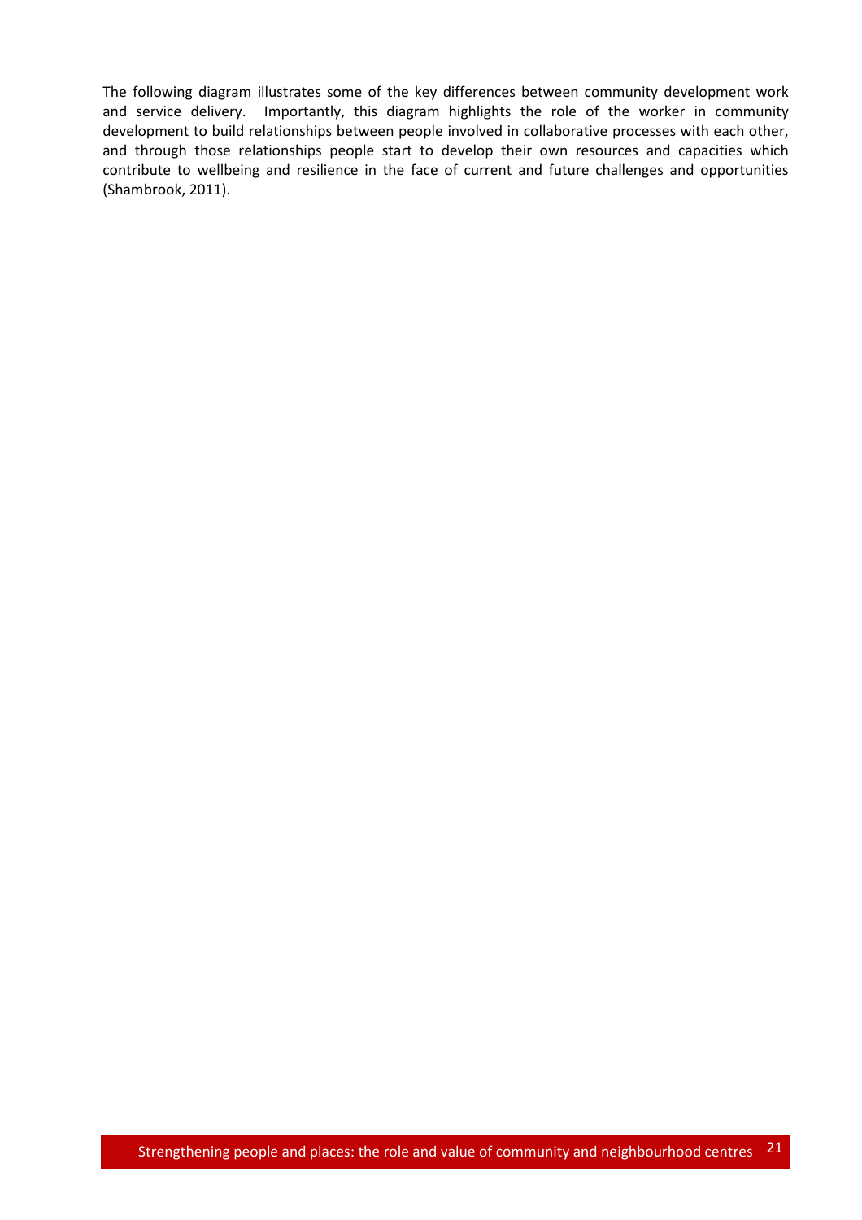The following diagram illustrates some of the key differences between community development work and service delivery. Importantly, this diagram highlights the role of the worker in community development to build relationships between people involved in collaborative processes with each other, and through those relationships people start to develop their own resources and capacities which contribute to wellbeing and resilience in the face of current and future challenges and opportunities (Shambrook, 2011).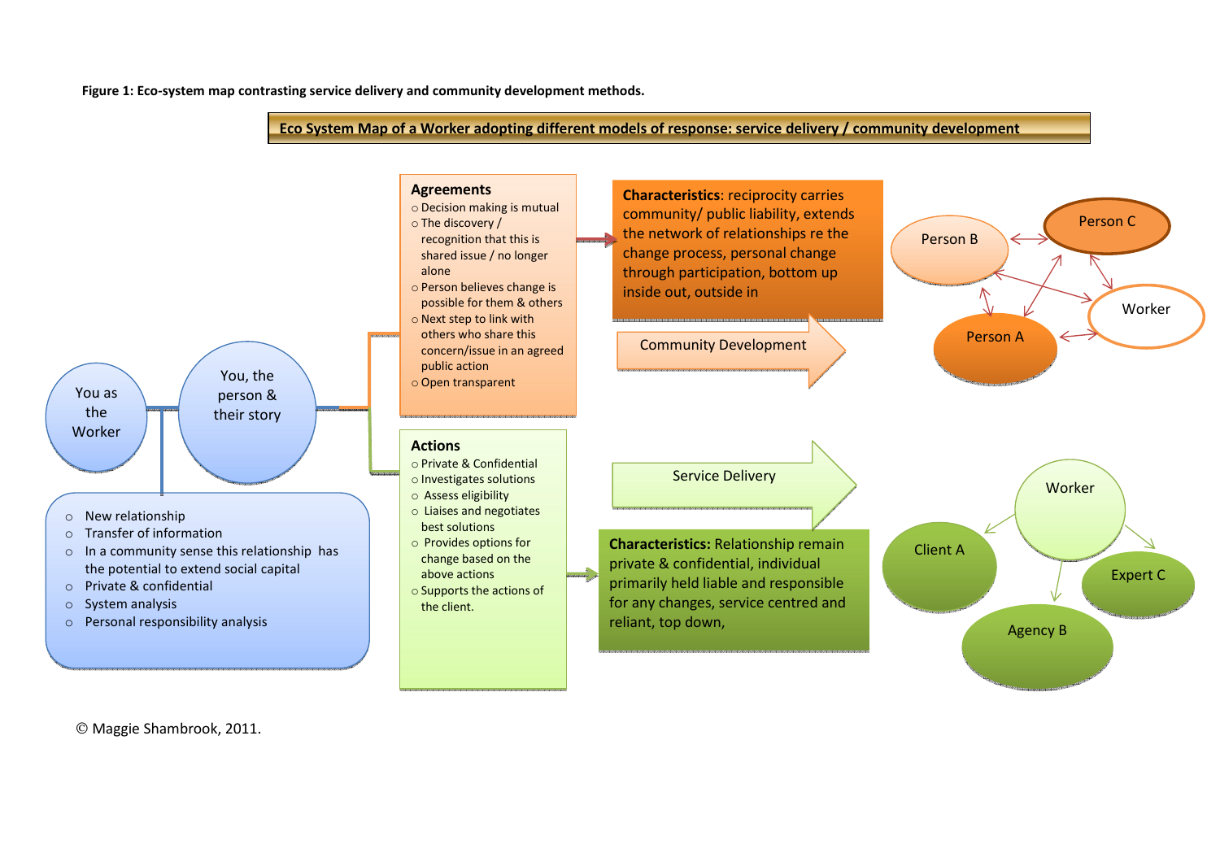Figure 1: Eco-system map contrasting service delivery and community development methods.



Maggie Shambrook, 2011.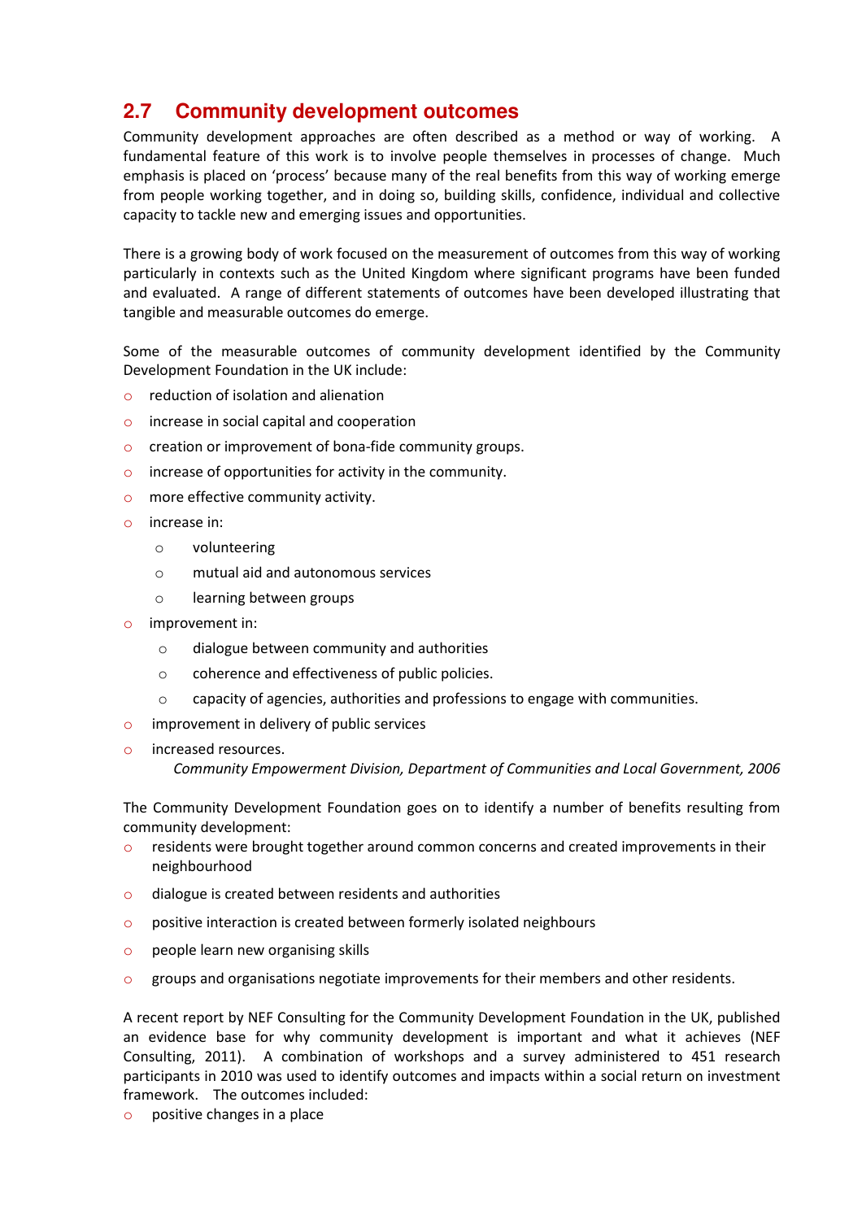## **2.7 Community development outcomes**

Community development approaches are often described as a method or way of working. A fundamental feature of this work is to involve people themselves in processes of change. Much emphasis is placed on 'process' because many of the real benefits from this way of working emerge from people working together, and in doing so, building skills, confidence, individual and collective capacity to tackle new and emerging issues and opportunities.

There is a growing body of work focused on the measurement of outcomes from this way of working particularly in contexts such as the United Kingdom where significant programs have been funded and evaluated. A range of different statements of outcomes have been developed illustrating that tangible and measurable outcomes do emerge.

Some of the measurable outcomes of community development identified by the Community Development Foundation in the UK include:

- o reduction of isolation and alienation
- o increase in social capital and cooperation
- o creation or improvement of bona-fide community groups.
- o increase of opportunities for activity in the community.
- o more effective community activity.
- o increase in:
	- o volunteering
	- o mutual aid and autonomous services
	- o learning between groups
- o improvement in:
	- o dialogue between community and authorities
	- o coherence and effectiveness of public policies.
	- o capacity of agencies, authorities and professions to engage with communities.
- o improvement in delivery of public services
- o increased resources.

Community Empowerment Division, Department of Communities and Local Government, 2006

The Community Development Foundation goes on to identify a number of benefits resulting from community development:

- o residents were brought together around common concerns and created improvements in their neighbourhood
- o dialogue is created between residents and authorities
- o positive interaction is created between formerly isolated neighbours
- o people learn new organising skills
- $\circ$  groups and organisations negotiate improvements for their members and other residents.

A recent report by NEF Consulting for the Community Development Foundation in the UK, published an evidence base for why community development is important and what it achieves (NEF Consulting, 2011). A combination of workshops and a survey administered to 451 research participants in 2010 was used to identify outcomes and impacts within a social return on investment framework. The outcomes included:

 $\circ$  positive changes in a place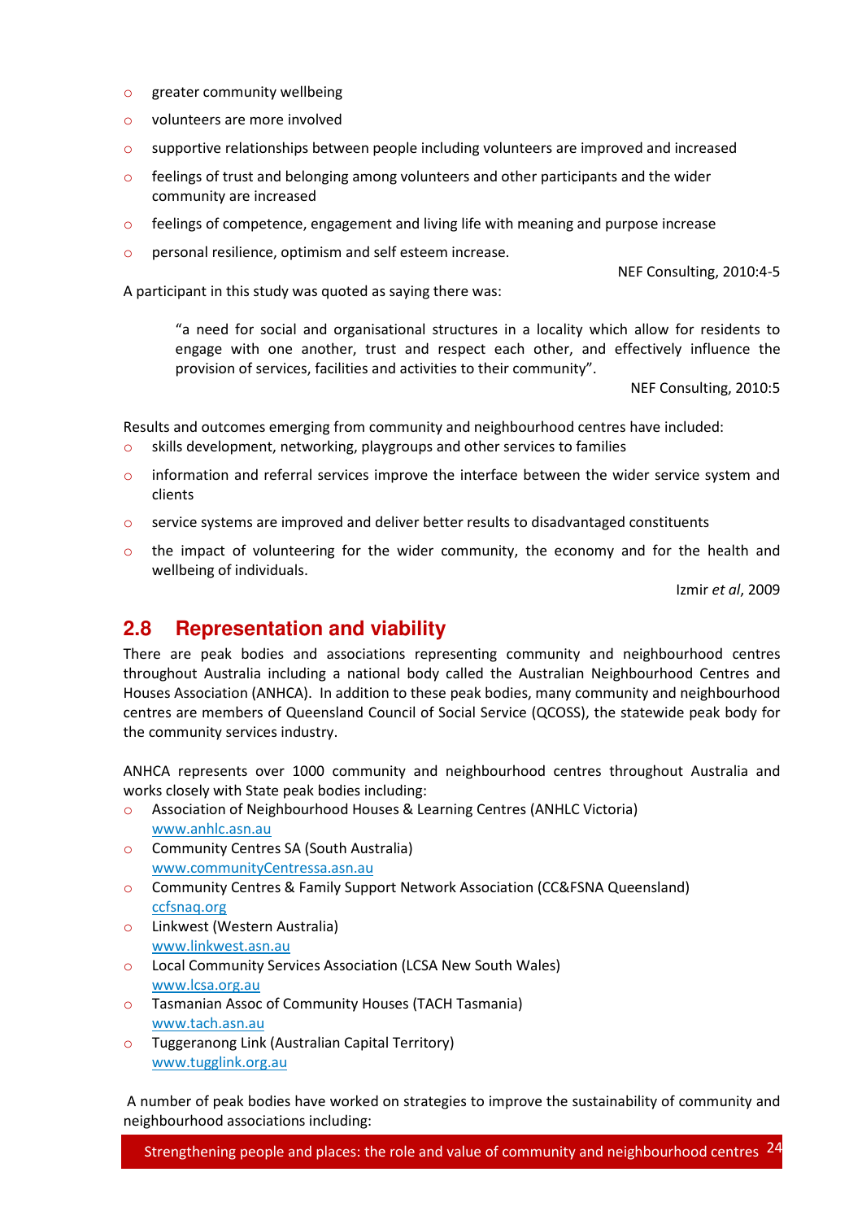- o greater community wellbeing
- o volunteers are more involved
- $\circ$  supportive relationships between people including volunteers are improved and increased
- $\circ$  feelings of trust and belonging among volunteers and other participants and the wider community are increased
- $\circ$  feelings of competence, engagement and living life with meaning and purpose increase
- o personal resilience, optimism and self esteem increase.

NEF Consulting, 2010:4-5

A participant in this study was quoted as saying there was:

"a need for social and organisational structures in a locality which allow for residents to engage with one another, trust and respect each other, and effectively influence the provision of services, facilities and activities to their community".

NEF Consulting, 2010:5

Results and outcomes emerging from community and neighbourhood centres have included:

- o skills development, networking, playgroups and other services to families
- $\circ$  information and referral services improve the interface between the wider service system and clients
- $\circ$  service systems are improved and deliver better results to disadvantaged constituents
- $\circ$  the impact of volunteering for the wider community, the economy and for the health and wellbeing of individuals.

Izmir et al, 2009

## **2.8 Representation and viability**

There are peak bodies and associations representing community and neighbourhood centres throughout Australia including a national body called the Australian Neighbourhood Centres and Houses Association (ANHCA). In addition to these peak bodies, many community and neighbourhood centres are members of Queensland Council of Social Service (QCOSS), the statewide peak body for the community services industry.

ANHCA represents over 1000 community and neighbourhood centres throughout Australia and works closely with State peak bodies including:

- o Association of Neighbourhood Houses & Learning Centres (ANHLC Victoria) www.anhlc.asn.au
- o Community Centres SA (South Australia) www.communityCentressa.asn.au
- o Community Centres & Family Support Network Association (CC&FSNA Queensland) ccfsnaq.org
- o Linkwest (Western Australia) www.linkwest.asn.au
- o Local Community Services Association (LCSA New South Wales) www.lcsa.org.au
- o Tasmanian Assoc of Community Houses (TACH Tasmania) www.tach.asn.au
- o Tuggeranong Link (Australian Capital Territory) www.tugglink.org.au

 A number of peak bodies have worked on strategies to improve the sustainability of community and neighbourhood associations including: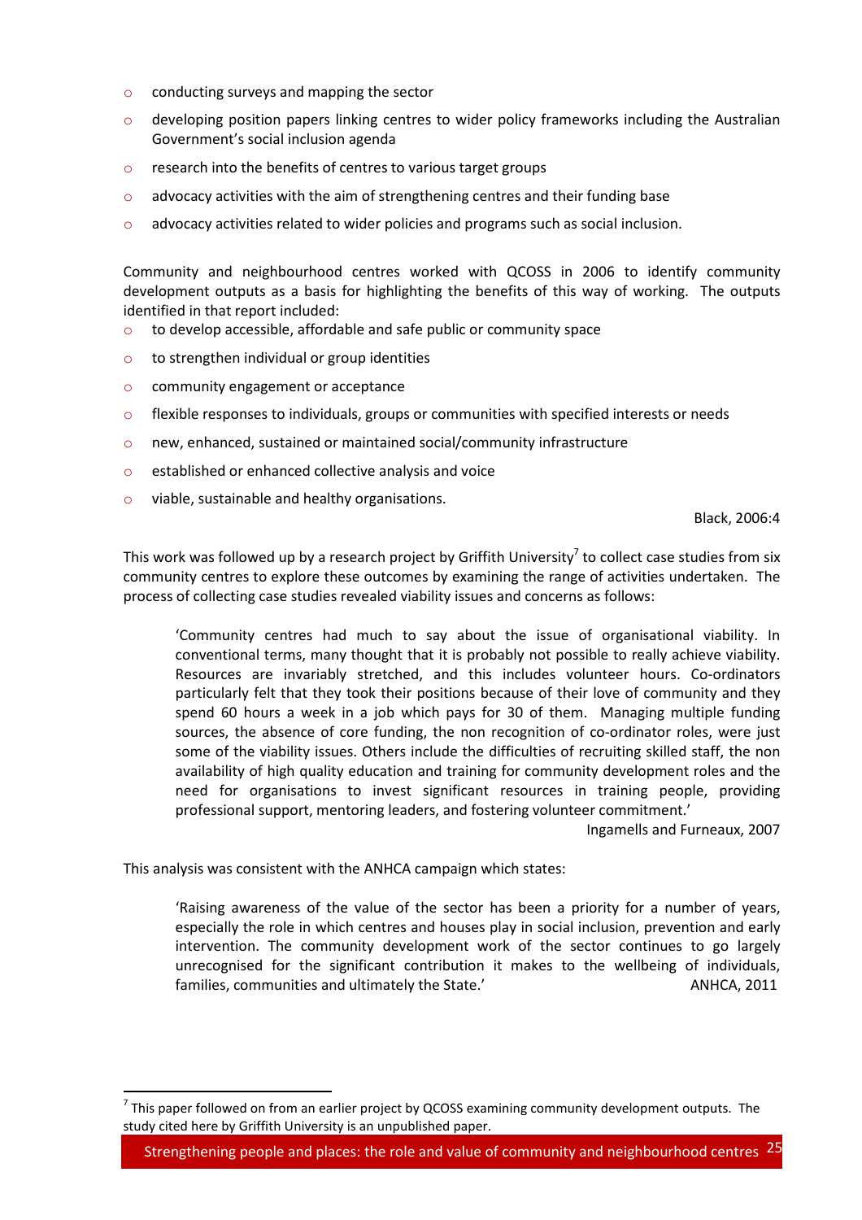- o conducting surveys and mapping the sector
- $\circ$  developing position papers linking centres to wider policy frameworks including the Australian Government's social inclusion agenda
- o research into the benefits of centres to various target groups
- $\circ$  advocacy activities with the aim of strengthening centres and their funding base
- $\circ$  advocacy activities related to wider policies and programs such as social inclusion.

Community and neighbourhood centres worked with QCOSS in 2006 to identify community development outputs as a basis for highlighting the benefits of this way of working. The outputs identified in that report included:

- o to develop accessible, affordable and safe public or community space
- o to strengthen individual or group identities
- o community engagement or acceptance
- $\circ$  flexible responses to individuals, groups or communities with specified interests or needs
- o new, enhanced, sustained or maintained social/community infrastructure
- o established or enhanced collective analysis and voice
- o viable, sustainable and healthy organisations.

Black, 2006:4

This work was followed up by a research project by Griffith University<sup>7</sup> to collect case studies from six community centres to explore these outcomes by examining the range of activities undertaken. The process of collecting case studies revealed viability issues and concerns as follows:

'Community centres had much to say about the issue of organisational viability. In conventional terms, many thought that it is probably not possible to really achieve viability. Resources are invariably stretched, and this includes volunteer hours. Co-ordinators particularly felt that they took their positions because of their love of community and they spend 60 hours a week in a job which pays for 30 of them. Managing multiple funding sources, the absence of core funding, the non recognition of co-ordinator roles, were just some of the viability issues. Others include the difficulties of recruiting skilled staff, the non availability of high quality education and training for community development roles and the need for organisations to invest significant resources in training people, providing professional support, mentoring leaders, and fostering volunteer commitment.'

Ingamells and Furneaux, 2007

This analysis was consistent with the ANHCA campaign which states:

'Raising awareness of the value of the sector has been a priority for a number of years, especially the role in which centres and houses play in social inclusion, prevention and early intervention. The community development work of the sector continues to go largely unrecognised for the significant contribution it makes to the wellbeing of individuals, families, communities and ultimately the State.' ANHCA, 2011

 $<sup>7</sup>$  This paper followed on from an earlier project by QCOSS examining community development outputs. The</sup> study cited here by Griffith University is an unpublished paper.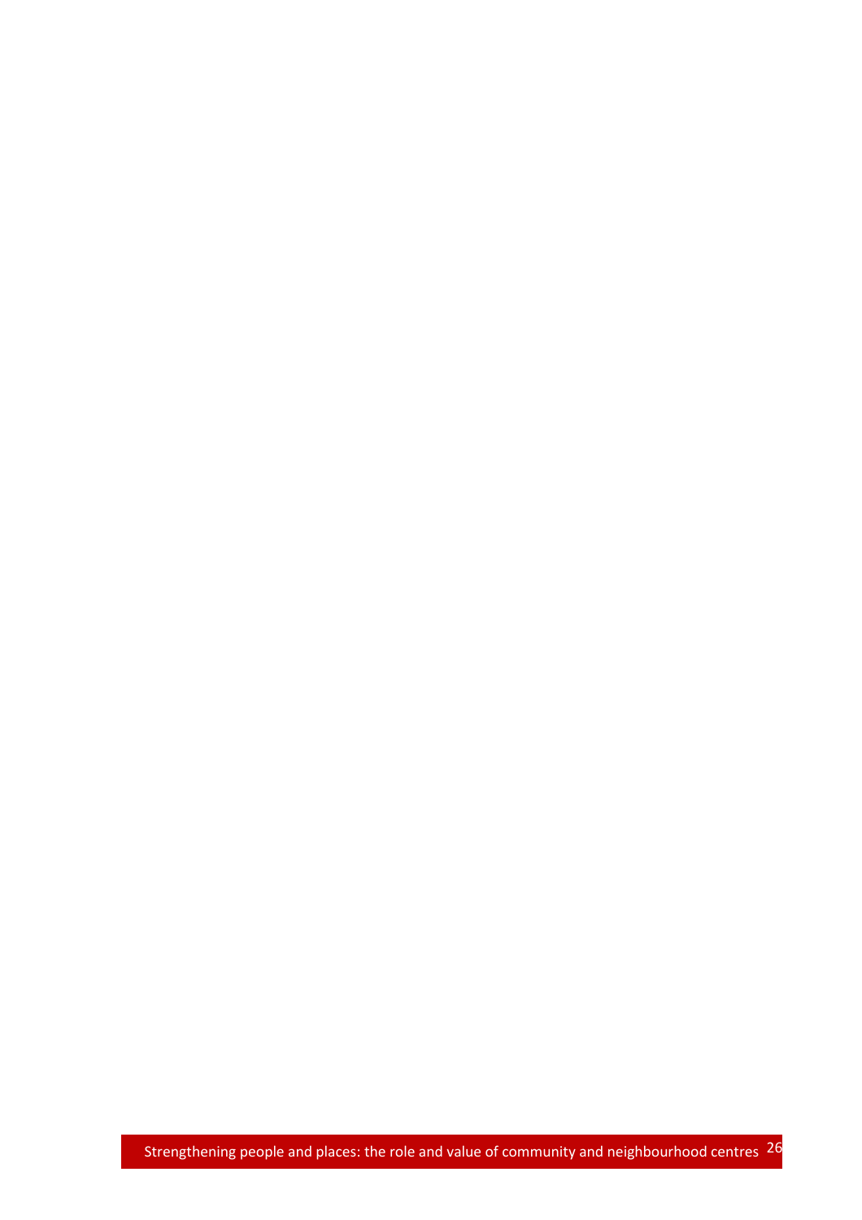Strengthening people and places: the role and value of community and neighbourhood centres 26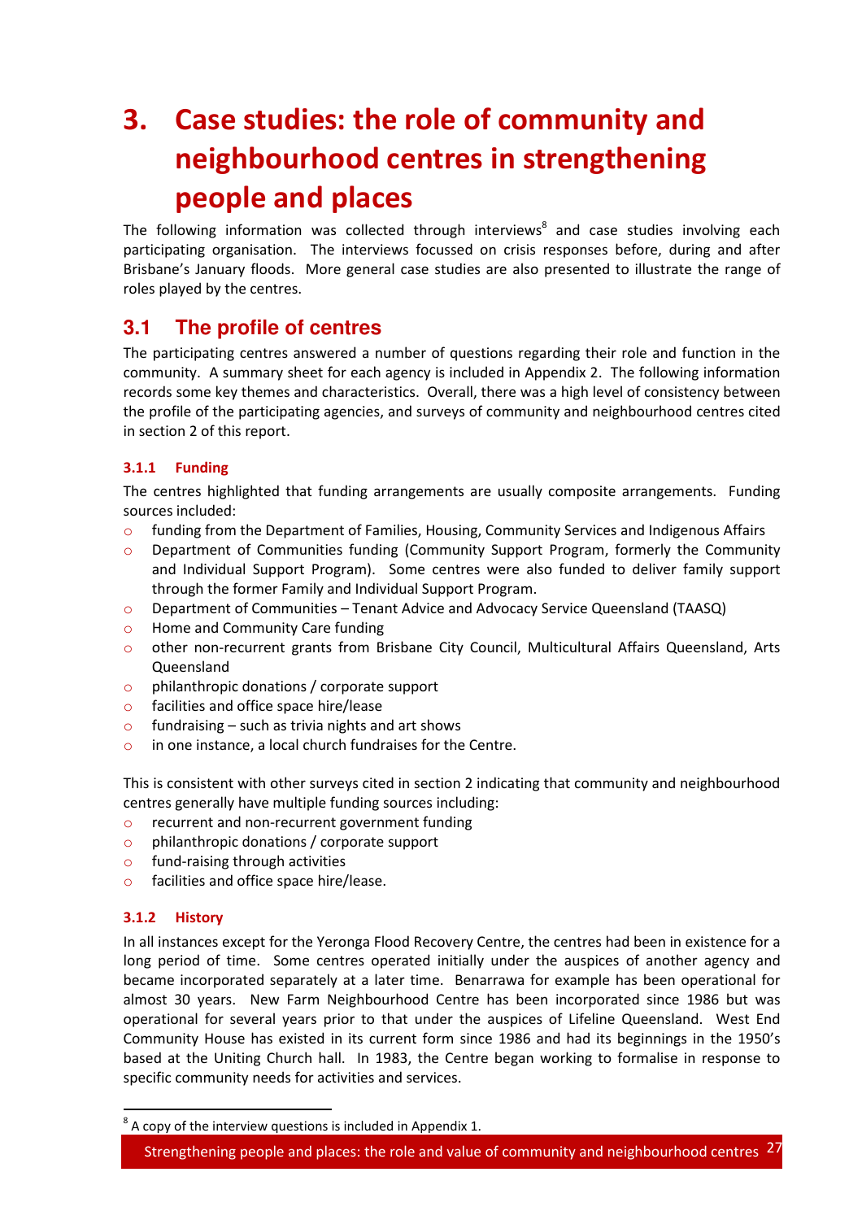# 3. Case studies: the role of community and neighbourhood centres in strengthening people and places

The following information was collected through interviews ${}^{8}$  and case studies involving each participating organisation. The interviews focussed on crisis responses before, during and after Brisbane's January floods. More general case studies are also presented to illustrate the range of roles played by the centres.

## **3.1 The profile of centres**

The participating centres answered a number of questions regarding their role and function in the community. A summary sheet for each agency is included in Appendix 2. The following information records some key themes and characteristics. Overall, there was a high level of consistency between the profile of the participating agencies, and surveys of community and neighbourhood centres cited in section 2 of this report.

### 3.1.1 Funding

The centres highlighted that funding arrangements are usually composite arrangements. Funding sources included:

- $\circ$  funding from the Department of Families, Housing, Community Services and Indigenous Affairs
- $\circ$  Department of Communities funding (Community Support Program, formerly the Community and Individual Support Program). Some centres were also funded to deliver family support through the former Family and Individual Support Program.
- o Department of Communities Tenant Advice and Advocacy Service Queensland (TAASQ)
- o Home and Community Care funding
- o other non-recurrent grants from Brisbane City Council, Multicultural Affairs Queensland, Arts Queensland
- o philanthropic donations / corporate support
- o facilities and office space hire/lease
- $\circ$  fundraising such as trivia nights and art shows
- o in one instance, a local church fundraises for the Centre.

This is consistent with other surveys cited in section 2 indicating that community and neighbourhood centres generally have multiple funding sources including:

- o recurrent and non-recurrent government funding
- o philanthropic donations / corporate support
- o fund-raising through activities
- o facilities and office space hire/lease.

#### 3.1.2 History

l

In all instances except for the Yeronga Flood Recovery Centre, the centres had been in existence for a long period of time. Some centres operated initially under the auspices of another agency and became incorporated separately at a later time. Benarrawa for example has been operational for almost 30 years. New Farm Neighbourhood Centre has been incorporated since 1986 but was operational for several years prior to that under the auspices of Lifeline Queensland. West End Community House has existed in its current form since 1986 and had its beginnings in the 1950's based at the Uniting Church hall. In 1983, the Centre began working to formalise in response to specific community needs for activities and services.

 $8$  A copy of the interview questions is included in Appendix 1.

Strengthening people and places: the role and value of community and neighbourhood centres 27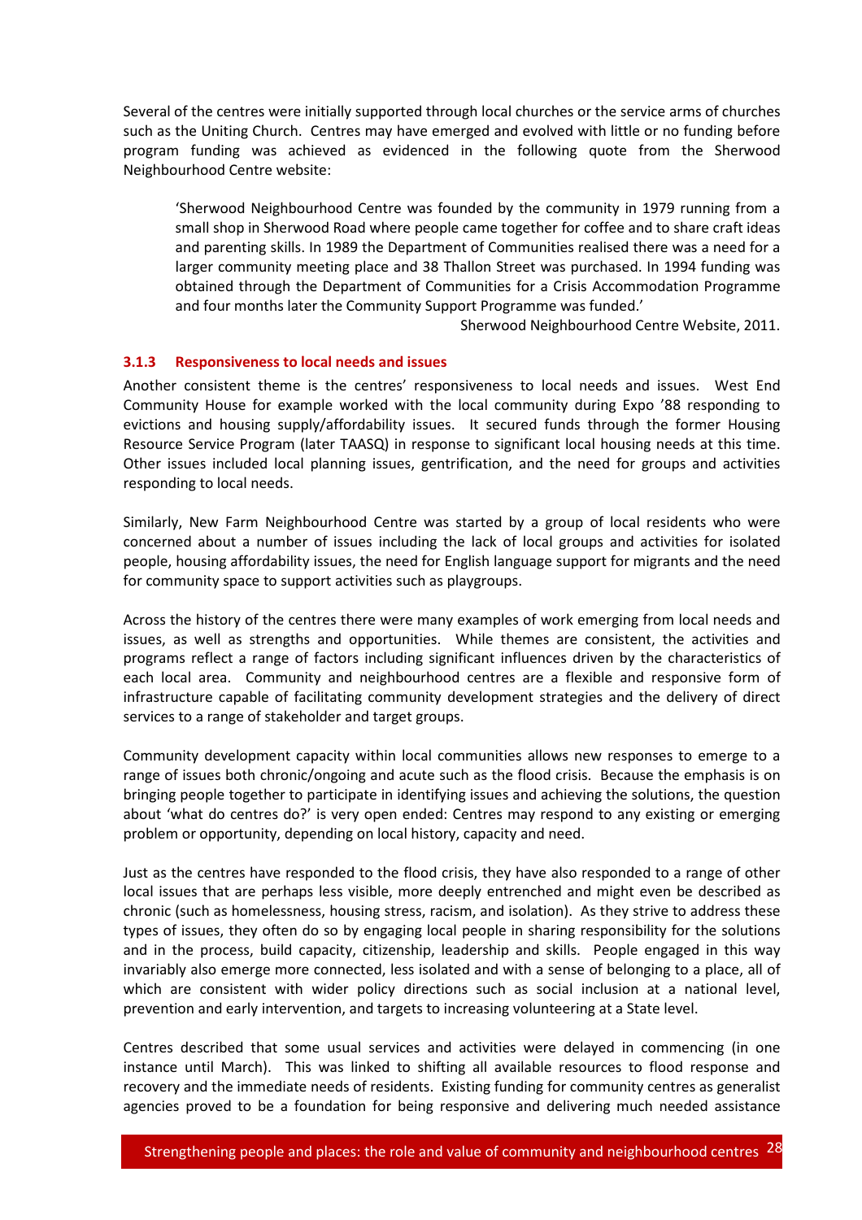Several of the centres were initially supported through local churches or the service arms of churches such as the Uniting Church. Centres may have emerged and evolved with little or no funding before program funding was achieved as evidenced in the following quote from the Sherwood Neighbourhood Centre website:

'Sherwood Neighbourhood Centre was founded by the community in 1979 running from a small shop in Sherwood Road where people came together for coffee and to share craft ideas and parenting skills. In 1989 the Department of Communities realised there was a need for a larger community meeting place and 38 Thallon Street was purchased. In 1994 funding was obtained through the Department of Communities for a Crisis Accommodation Programme and four months later the Community Support Programme was funded.'

Sherwood Neighbourhood Centre Website, 2011.

#### 3.1.3 Responsiveness to local needs and issues

Another consistent theme is the centres' responsiveness to local needs and issues. West End Community House for example worked with the local community during Expo '88 responding to evictions and housing supply/affordability issues. It secured funds through the former Housing Resource Service Program (later TAASQ) in response to significant local housing needs at this time. Other issues included local planning issues, gentrification, and the need for groups and activities responding to local needs.

Similarly, New Farm Neighbourhood Centre was started by a group of local residents who were concerned about a number of issues including the lack of local groups and activities for isolated people, housing affordability issues, the need for English language support for migrants and the need for community space to support activities such as playgroups.

Across the history of the centres there were many examples of work emerging from local needs and issues, as well as strengths and opportunities. While themes are consistent, the activities and programs reflect a range of factors including significant influences driven by the characteristics of each local area. Community and neighbourhood centres are a flexible and responsive form of infrastructure capable of facilitating community development strategies and the delivery of direct services to a range of stakeholder and target groups.

Community development capacity within local communities allows new responses to emerge to a range of issues both chronic/ongoing and acute such as the flood crisis. Because the emphasis is on bringing people together to participate in identifying issues and achieving the solutions, the question about 'what do centres do?' is very open ended: Centres may respond to any existing or emerging problem or opportunity, depending on local history, capacity and need.

Just as the centres have responded to the flood crisis, they have also responded to a range of other local issues that are perhaps less visible, more deeply entrenched and might even be described as chronic (such as homelessness, housing stress, racism, and isolation). As they strive to address these types of issues, they often do so by engaging local people in sharing responsibility for the solutions and in the process, build capacity, citizenship, leadership and skills. People engaged in this way invariably also emerge more connected, less isolated and with a sense of belonging to a place, all of which are consistent with wider policy directions such as social inclusion at a national level, prevention and early intervention, and targets to increasing volunteering at a State level.

Centres described that some usual services and activities were delayed in commencing (in one instance until March). This was linked to shifting all available resources to flood response and recovery and the immediate needs of residents. Existing funding for community centres as generalist agencies proved to be a foundation for being responsive and delivering much needed assistance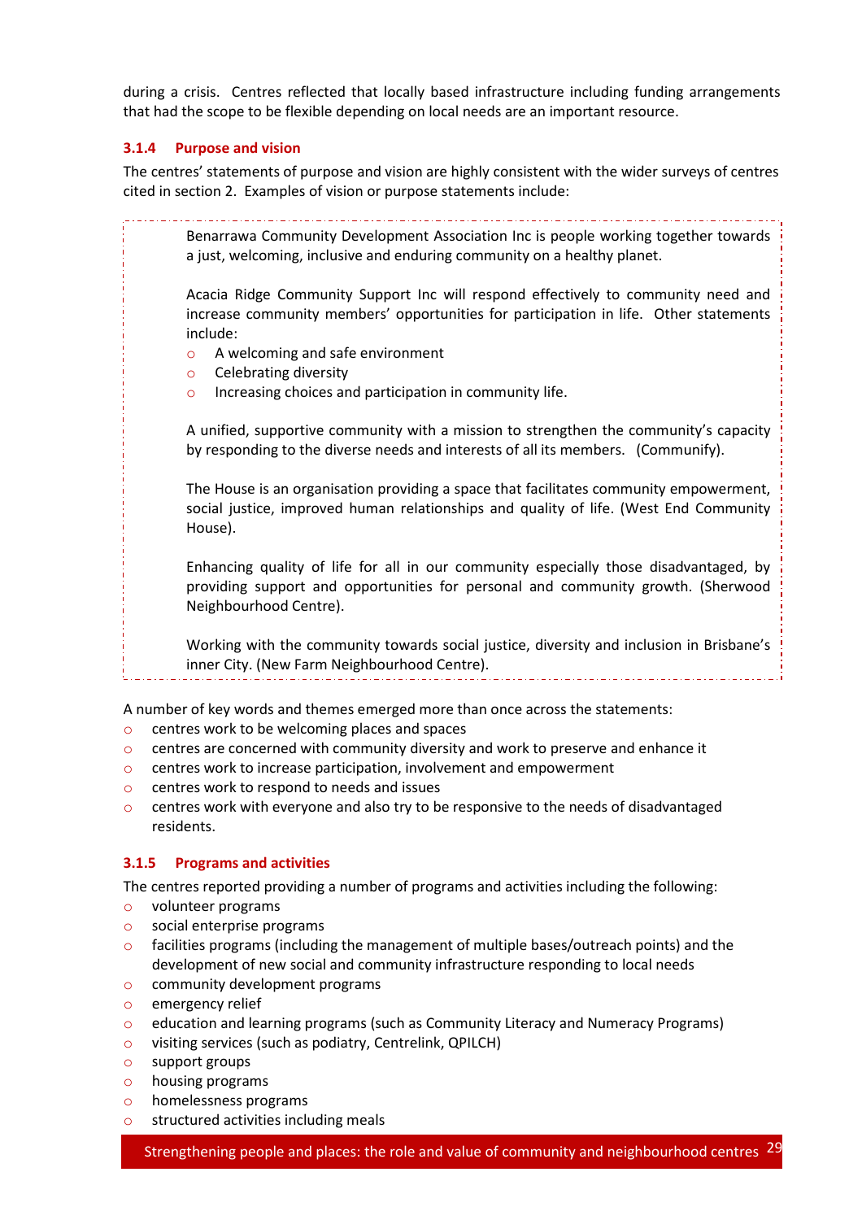during a crisis. Centres reflected that locally based infrastructure including funding arrangements that had the scope to be flexible depending on local needs are an important resource.

#### 3.1.4 Purpose and vision

The centres' statements of purpose and vision are highly consistent with the wider surveys of centres cited in section 2. Examples of vision or purpose statements include:

Benarrawa Community Development Association Inc is people working together towards a just, welcoming, inclusive and enduring community on a healthy planet.

Acacia Ridge Community Support Inc will respond effectively to community need and increase community members' opportunities for participation in life. Other statements include:

- o A welcoming and safe environment
- o Celebrating diversity
- o Increasing choices and participation in community life.

A unified, supportive community with a mission to strengthen the community's capacity by responding to the diverse needs and interests of all its members. (Communify).

The House is an organisation providing a space that facilitates community empowerment, social justice, improved human relationships and quality of life. (West End Community House).

Enhancing quality of life for all in our community especially those disadvantaged, by providing support and opportunities for personal and community growth. (Sherwood Neighbourhood Centre).

Working with the community towards social justice, diversity and inclusion in Brisbane's inner City. (New Farm Neighbourhood Centre).

A number of key words and themes emerged more than once across the statements:

- o centres work to be welcoming places and spaces
- $\circ$  centres are concerned with community diversity and work to preserve and enhance it
- o centres work to increase participation, involvement and empowerment
- o centres work to respond to needs and issues
- $\circ$  centres work with everyone and also try to be responsive to the needs of disadvantaged residents.

#### 3.1.5 Programs and activities

The centres reported providing a number of programs and activities including the following:

- o volunteer programs
- o social enterprise programs
- $\circ$  facilities programs (including the management of multiple bases/outreach points) and the development of new social and community infrastructure responding to local needs
- o community development programs
- o emergency relief
- $\circ$  education and learning programs (such as Community Literacy and Numeracy Programs)
- o visiting services (such as podiatry, Centrelink, QPILCH)
- o support groups
- o housing programs
- o homelessness programs
- o structured activities including meals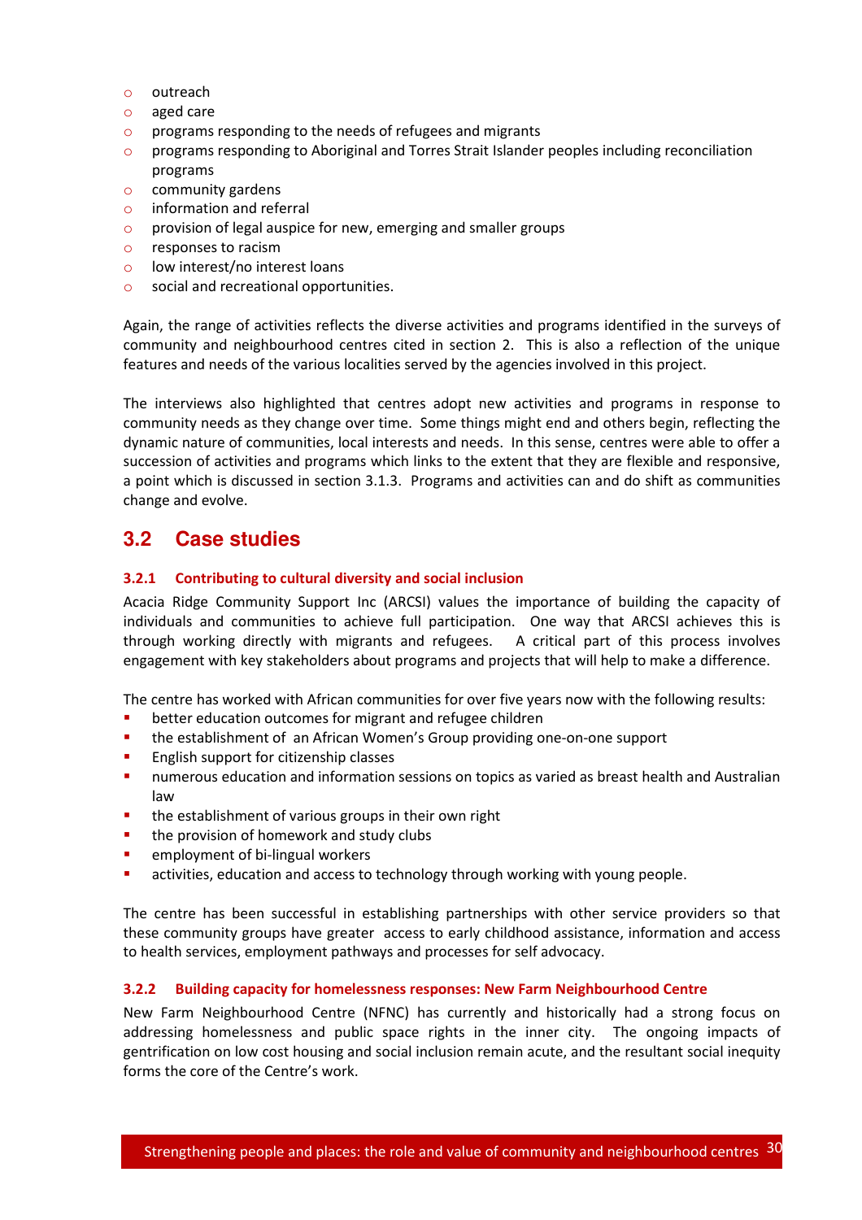- o outreach
- o aged care
- o programs responding to the needs of refugees and migrants
- $\circ$  programs responding to Aboriginal and Torres Strait Islander peoples including reconciliation programs
- o community gardens
- o information and referral
- o provision of legal auspice for new, emerging and smaller groups
- o responses to racism
- o low interest/no interest loans
- o social and recreational opportunities.

Again, the range of activities reflects the diverse activities and programs identified in the surveys of community and neighbourhood centres cited in section 2. This is also a reflection of the unique features and needs of the various localities served by the agencies involved in this project.

The interviews also highlighted that centres adopt new activities and programs in response to community needs as they change over time. Some things might end and others begin, reflecting the dynamic nature of communities, local interests and needs. In this sense, centres were able to offer a succession of activities and programs which links to the extent that they are flexible and responsive, a point which is discussed in section 3.1.3. Programs and activities can and do shift as communities change and evolve.

## **3.2 Case studies**

#### 3.2.1 Contributing to cultural diversity and social inclusion

Acacia Ridge Community Support Inc (ARCSI) values the importance of building the capacity of individuals and communities to achieve full participation. One way that ARCSI achieves this is through working directly with migrants and refugees. A critical part of this process involves engagement with key stakeholders about programs and projects that will help to make a difference.

The centre has worked with African communities for over five years now with the following results:

- better education outcomes for migrant and refugee children
- the establishment of an African Women's Group providing one-on-one support
- English support for citizenship classes
- **numerous education and information sessions on topics as varied as breast health and Australian** law
- the establishment of various groups in their own right
- **the provision of homework and study clubs**
- employment of bi-lingual workers
- activities, education and access to technology through working with young people.

The centre has been successful in establishing partnerships with other service providers so that these community groups have greater access to early childhood assistance, information and access to health services, employment pathways and processes for self advocacy.

#### 3.2.2 Building capacity for homelessness responses: New Farm Neighbourhood Centre

New Farm Neighbourhood Centre (NFNC) has currently and historically had a strong focus on addressing homelessness and public space rights in the inner city. The ongoing impacts of gentrification on low cost housing and social inclusion remain acute, and the resultant social inequity forms the core of the Centre's work.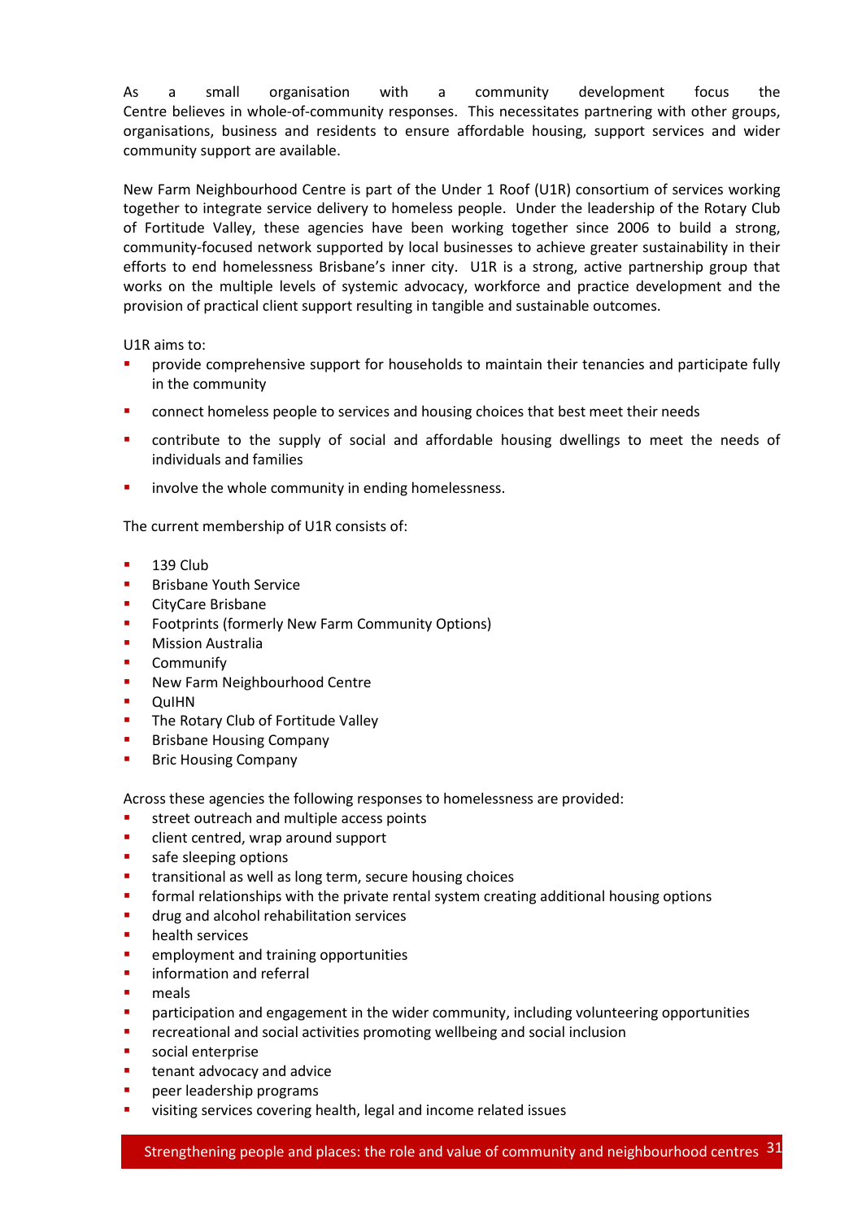As a small organisation with a community development focus the Centre believes in whole-of-community responses. This necessitates partnering with other groups, organisations, business and residents to ensure affordable housing, support services and wider community support are available.

New Farm Neighbourhood Centre is part of the Under 1 Roof (U1R) consortium of services working together to integrate service delivery to homeless people. Under the leadership of the Rotary Club of Fortitude Valley, these agencies have been working together since 2006 to build a strong, community-focused network supported by local businesses to achieve greater sustainability in their efforts to end homelessness Brisbane's inner city. U1R is a strong, active partnership group that works on the multiple levels of systemic advocacy, workforce and practice development and the provision of practical client support resulting in tangible and sustainable outcomes.

U1R aims to:

- provide comprehensive support for households to maintain their tenancies and participate fully in the community
- connect homeless people to services and housing choices that best meet their needs
- contribute to the supply of social and affordable housing dwellings to meet the needs of individuals and families
- **EXECT** involve the whole community in ending homelessness.

The current membership of U1R consists of:

- $-139$  Club
- **Brisbane Youth Service**
- **EXECUTE:** CityCare Brisbane
- **FIRM** Footprints (formerly New Farm Community Options)
- Mission Australia
- **Communify**
- **New Farm Neighbourhood Centre**
- QuIHN
- **The Rotary Club of Fortitude Valley**
- Brisbane Housing Company
- **Bric Housing Company**

Across these agencies the following responses to homelessness are provided:

- **street outreach and multiple access points**
- client centred, wrap around support
- safe sleeping options
- **transitional as well as long term, secure housing choices**
- **F** formal relationships with the private rental system creating additional housing options
- drug and alcohol rehabilitation services
- health services
- employment and training opportunities
- **·** information and referral
- meals
- participation and engagement in the wider community, including volunteering opportunities
- **•** recreational and social activities promoting wellbeing and social inclusion
- **social enterprise**
- **tenant advocacy and advice**
- peer leadership programs
- visiting services covering health, legal and income related issues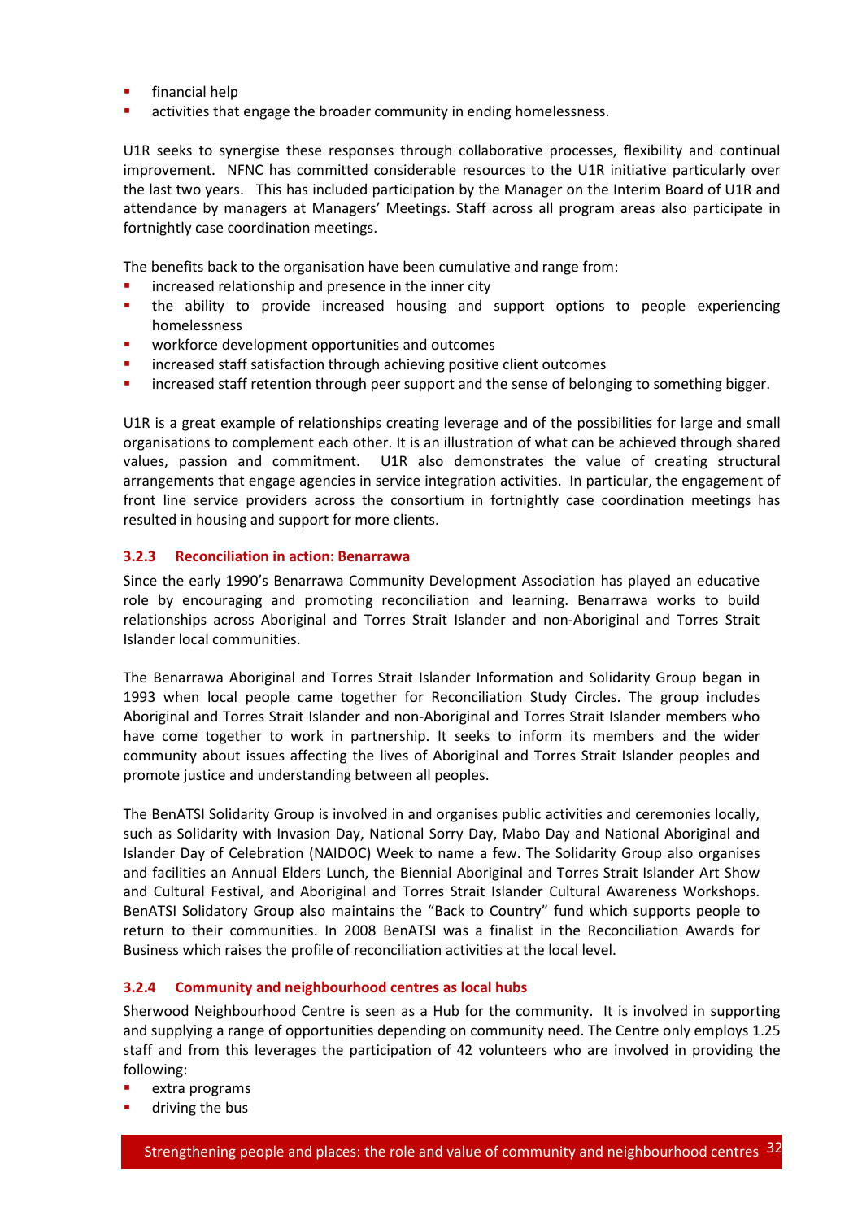- financial help
- activities that engage the broader community in ending homelessness.

U1R seeks to synergise these responses through collaborative processes, flexibility and continual improvement. NFNC has committed considerable resources to the U1R initiative particularly over the last two years. This has included participation by the Manager on the Interim Board of U1R and attendance by managers at Managers' Meetings. Staff across all program areas also participate in fortnightly case coordination meetings.

The benefits back to the organisation have been cumulative and range from:

- **EXEDENT** increased relationship and presence in the inner city
- the ability to provide increased housing and support options to people experiencing homelessness
- workforce development opportunities and outcomes
- increased staff satisfaction through achieving positive client outcomes
- **•** increased staff retention through peer support and the sense of belonging to something bigger.

U1R is a great example of relationships creating leverage and of the possibilities for large and small organisations to complement each other. It is an illustration of what can be achieved through shared values, passion and commitment. U1R also demonstrates the value of creating structural arrangements that engage agencies in service integration activities. In particular, the engagement of front line service providers across the consortium in fortnightly case coordination meetings has resulted in housing and support for more clients.

#### 3.2.3 Reconciliation in action: Benarrawa

Since the early 1990's Benarrawa Community Development Association has played an educative role by encouraging and promoting reconciliation and learning. Benarrawa works to build relationships across Aboriginal and Torres Strait Islander and non-Aboriginal and Torres Strait Islander local communities.

The Benarrawa Aboriginal and Torres Strait Islander Information and Solidarity Group began in 1993 when local people came together for Reconciliation Study Circles. The group includes Aboriginal and Torres Strait Islander and non-Aboriginal and Torres Strait Islander members who have come together to work in partnership. It seeks to inform its members and the wider community about issues affecting the lives of Aboriginal and Torres Strait Islander peoples and promote justice and understanding between all peoples.

The BenATSI Solidarity Group is involved in and organises public activities and ceremonies locally, such as Solidarity with Invasion Day, National Sorry Day, Mabo Day and National Aboriginal and Islander Day of Celebration (NAIDOC) Week to name a few. The Solidarity Group also organises and facilities an Annual Elders Lunch, the Biennial Aboriginal and Torres Strait Islander Art Show and Cultural Festival, and Aboriginal and Torres Strait Islander Cultural Awareness Workshops. BenATSI Solidatory Group also maintains the "Back to Country" fund which supports people to return to their communities. In 2008 BenATSI was a finalist in the Reconciliation Awards for Business which raises the profile of reconciliation activities at the local level.

#### 3.2.4 Community and neighbourhood centres as local hubs

Sherwood Neighbourhood Centre is seen as a Hub for the community. It is involved in supporting and supplying a range of opportunities depending on community need. The Centre only employs 1.25 staff and from this leverages the participation of 42 volunteers who are involved in providing the following:

- extra programs
- driving the bus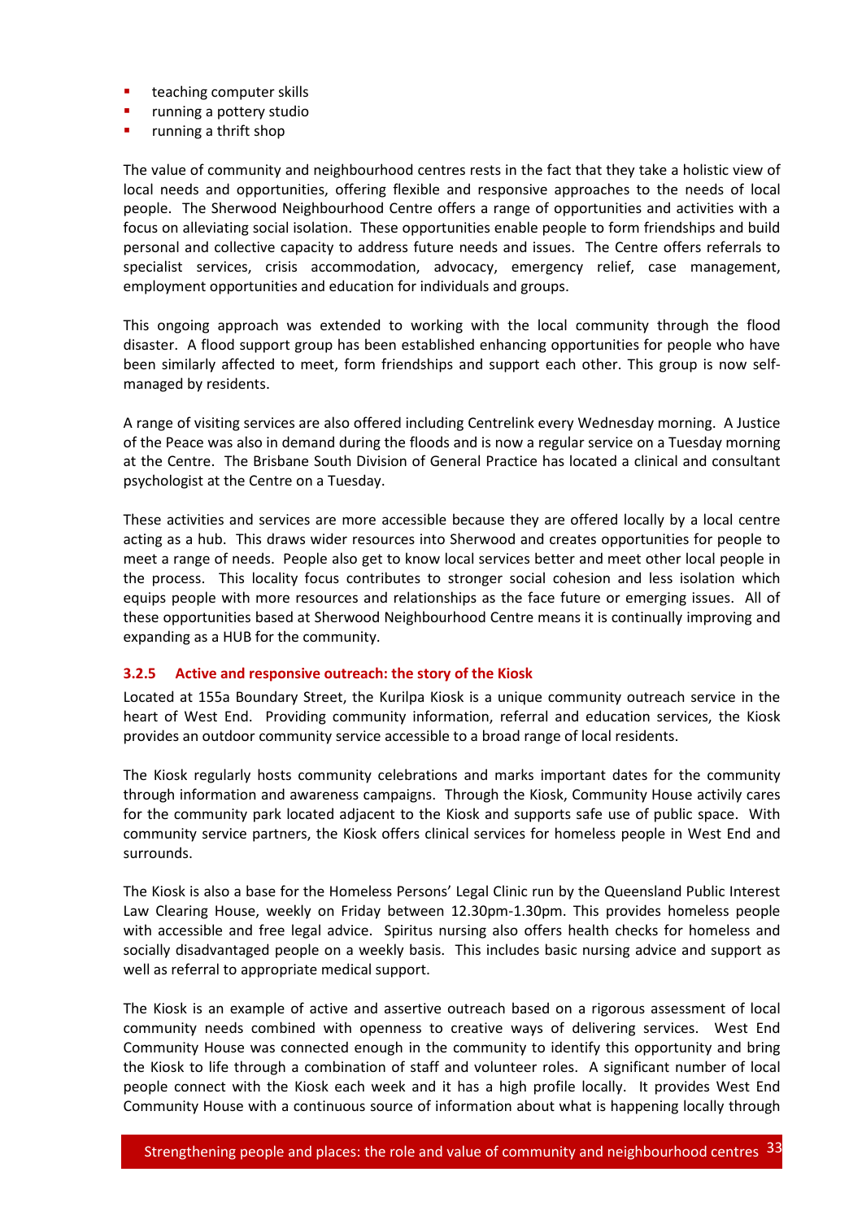- teaching computer skills
- running a pottery studio
- running a thrift shop

The value of community and neighbourhood centres rests in the fact that they take a holistic view of local needs and opportunities, offering flexible and responsive approaches to the needs of local people. The Sherwood Neighbourhood Centre offers a range of opportunities and activities with a focus on alleviating social isolation. These opportunities enable people to form friendships and build personal and collective capacity to address future needs and issues. The Centre offers referrals to specialist services, crisis accommodation, advocacy, emergency relief, case management, employment opportunities and education for individuals and groups.

This ongoing approach was extended to working with the local community through the flood disaster. A flood support group has been established enhancing opportunities for people who have been similarly affected to meet, form friendships and support each other. This group is now selfmanaged by residents.

A range of visiting services are also offered including Centrelink every Wednesday morning. A Justice of the Peace was also in demand during the floods and is now a regular service on a Tuesday morning at the Centre. The Brisbane South Division of General Practice has located a clinical and consultant psychologist at the Centre on a Tuesday.

These activities and services are more accessible because they are offered locally by a local centre acting as a hub. This draws wider resources into Sherwood and creates opportunities for people to meet a range of needs. People also get to know local services better and meet other local people in the process. This locality focus contributes to stronger social cohesion and less isolation which equips people with more resources and relationships as the face future or emerging issues. All of these opportunities based at Sherwood Neighbourhood Centre means it is continually improving and expanding as a HUB for the community.

#### 3.2.5 Active and responsive outreach: the story of the Kiosk

Located at 155a Boundary Street, the Kurilpa Kiosk is a unique community outreach service in the heart of West End. Providing community information, referral and education services, the Kiosk provides an outdoor community service accessible to a broad range of local residents.

The Kiosk regularly hosts community celebrations and marks important dates for the community through information and awareness campaigns. Through the Kiosk, Community House activily cares for the community park located adjacent to the Kiosk and supports safe use of public space. With community service partners, the Kiosk offers clinical services for homeless people in West End and surrounds.

The Kiosk is also a base for the Homeless Persons' Legal Clinic run by the Queensland Public Interest Law Clearing House, weekly on Friday between 12.30pm-1.30pm. This provides homeless people with accessible and free legal advice. Spiritus nursing also offers health checks for homeless and socially disadvantaged people on a weekly basis. This includes basic nursing advice and support as well as referral to appropriate medical support.

The Kiosk is an example of active and assertive outreach based on a rigorous assessment of local community needs combined with openness to creative ways of delivering services. West End Community House was connected enough in the community to identify this opportunity and bring the Kiosk to life through a combination of staff and volunteer roles. A significant number of local people connect with the Kiosk each week and it has a high profile locally. It provides West End Community House with a continuous source of information about what is happening locally through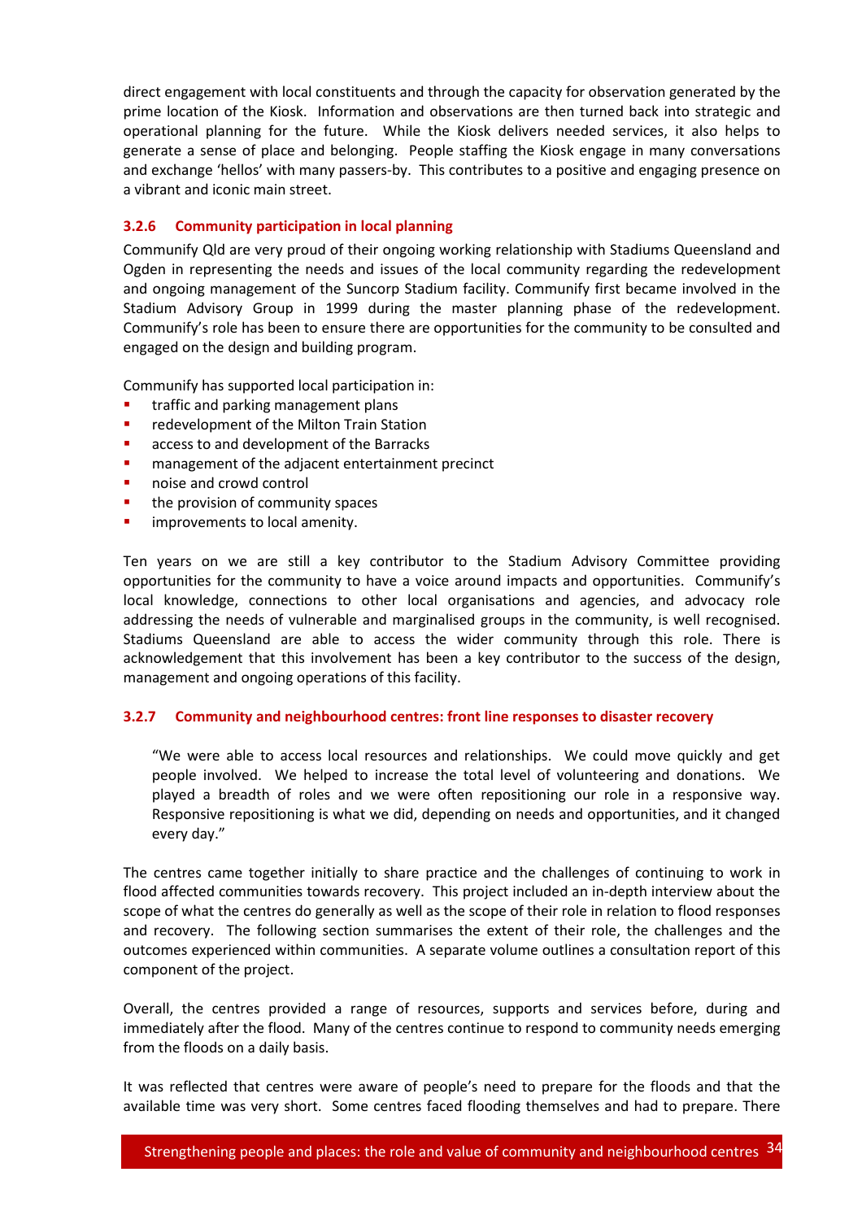direct engagement with local constituents and through the capacity for observation generated by the prime location of the Kiosk. Information and observations are then turned back into strategic and operational planning for the future. While the Kiosk delivers needed services, it also helps to generate a sense of place and belonging. People staffing the Kiosk engage in many conversations and exchange 'hellos' with many passers-by. This contributes to a positive and engaging presence on a vibrant and iconic main street.

#### 3.2.6 Community participation in local planning

Communify Qld are very proud of their ongoing working relationship with Stadiums Queensland and Ogden in representing the needs and issues of the local community regarding the redevelopment and ongoing management of the Suncorp Stadium facility. Communify first became involved in the Stadium Advisory Group in 1999 during the master planning phase of the redevelopment. Communify's role has been to ensure there are opportunities for the community to be consulted and engaged on the design and building program.

Communify has supported local participation in:

- traffic and parking management plans
- **F** redevelopment of the Milton Train Station
- access to and development of the Barracks
- management of the adjacent entertainment precinct
- noise and crowd control
- the provision of community spaces
- **·** improvements to local amenity.

Ten years on we are still a key contributor to the Stadium Advisory Committee providing opportunities for the community to have a voice around impacts and opportunities. Communify's local knowledge, connections to other local organisations and agencies, and advocacy role addressing the needs of vulnerable and marginalised groups in the community, is well recognised. Stadiums Queensland are able to access the wider community through this role. There is acknowledgement that this involvement has been a key contributor to the success of the design, management and ongoing operations of this facility.

#### 3.2.7 Community and neighbourhood centres: front line responses to disaster recovery

"We were able to access local resources and relationships. We could move quickly and get people involved. We helped to increase the total level of volunteering and donations. We played a breadth of roles and we were often repositioning our role in a responsive way. Responsive repositioning is what we did, depending on needs and opportunities, and it changed every day."

The centres came together initially to share practice and the challenges of continuing to work in flood affected communities towards recovery. This project included an in-depth interview about the scope of what the centres do generally as well as the scope of their role in relation to flood responses and recovery. The following section summarises the extent of their role, the challenges and the outcomes experienced within communities. A separate volume outlines a consultation report of this component of the project.

Overall, the centres provided a range of resources, supports and services before, during and immediately after the flood. Many of the centres continue to respond to community needs emerging from the floods on a daily basis.

It was reflected that centres were aware of people's need to prepare for the floods and that the available time was very short. Some centres faced flooding themselves and had to prepare. There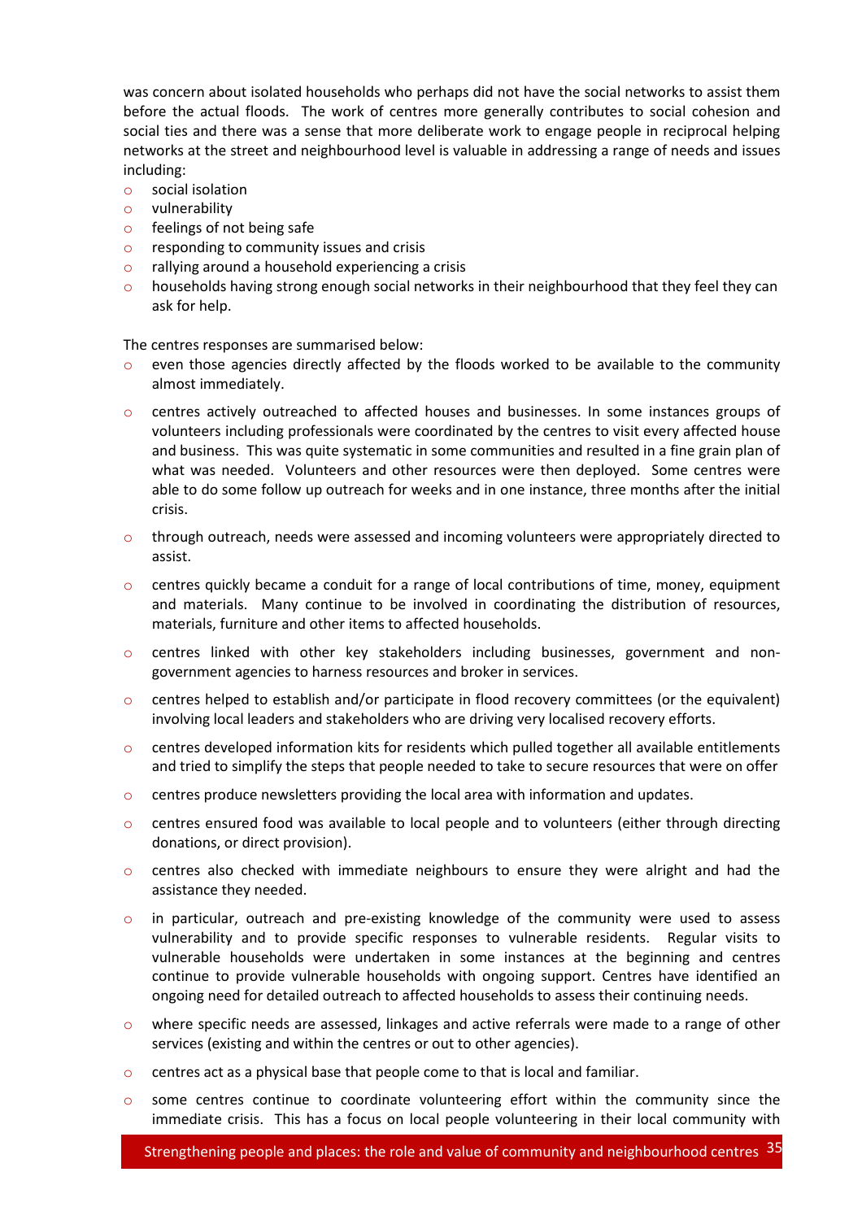was concern about isolated households who perhaps did not have the social networks to assist them before the actual floods. The work of centres more generally contributes to social cohesion and social ties and there was a sense that more deliberate work to engage people in reciprocal helping networks at the street and neighbourhood level is valuable in addressing a range of needs and issues including:

- o social isolation
- o vulnerability
- o feelings of not being safe
- o responding to community issues and crisis
- o rallying around a household experiencing a crisis
- $\circ$  households having strong enough social networks in their neighbourhood that they feel they can ask for help.

The centres responses are summarised below:

- o even those agencies directly affected by the floods worked to be available to the community almost immediately.
- o centres actively outreached to affected houses and businesses. In some instances groups of volunteers including professionals were coordinated by the centres to visit every affected house and business. This was quite systematic in some communities and resulted in a fine grain plan of what was needed. Volunteers and other resources were then deployed. Some centres were able to do some follow up outreach for weeks and in one instance, three months after the initial crisis.
- $\circ$  through outreach, needs were assessed and incoming volunteers were appropriately directed to assist.
- $\circ$  centres quickly became a conduit for a range of local contributions of time, money, equipment and materials. Many continue to be involved in coordinating the distribution of resources, materials, furniture and other items to affected households.
- $\circ$  centres linked with other key stakeholders including businesses, government and nongovernment agencies to harness resources and broker in services.
- $\circ$  centres helped to establish and/or participate in flood recovery committees (or the equivalent) involving local leaders and stakeholders who are driving very localised recovery efforts.
- $\circ$  centres developed information kits for residents which pulled together all available entitlements and tried to simplify the steps that people needed to take to secure resources that were on offer
- $\circ$  centres produce newsletters providing the local area with information and updates.
- $\circ$  centres ensured food was available to local people and to volunteers (either through directing donations, or direct provision).
- $\circ$  centres also checked with immediate neighbours to ensure they were alright and had the assistance they needed.
- $\circ$  in particular, outreach and pre-existing knowledge of the community were used to assess vulnerability and to provide specific responses to vulnerable residents. Regular visits to vulnerable households were undertaken in some instances at the beginning and centres continue to provide vulnerable households with ongoing support. Centres have identified an ongoing need for detailed outreach to affected households to assess their continuing needs.
- $\circ$  where specific needs are assessed, linkages and active referrals were made to a range of other services (existing and within the centres or out to other agencies).
- o centres act as a physical base that people come to that is local and familiar.
- o some centres continue to coordinate volunteering effort within the community since the immediate crisis. This has a focus on local people volunteering in their local community with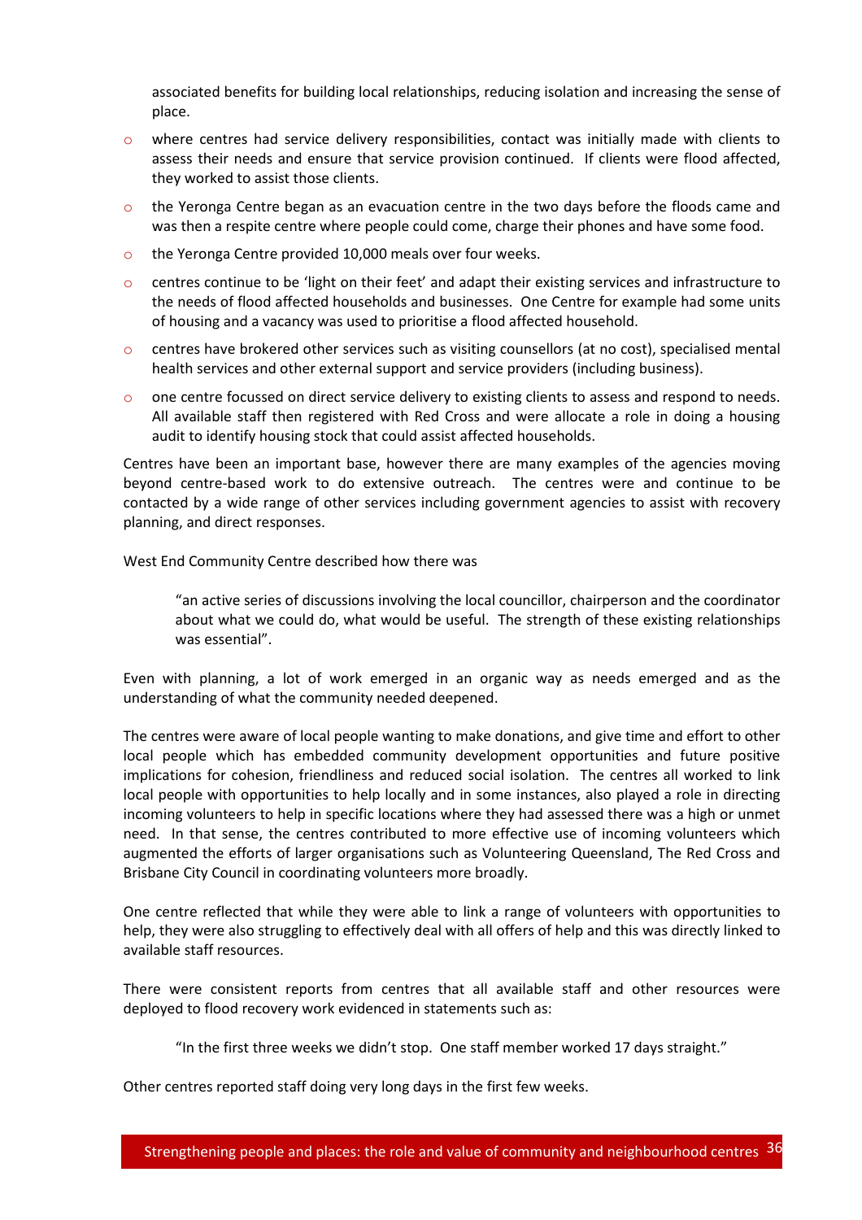associated benefits for building local relationships, reducing isolation and increasing the sense of place.

- o where centres had service delivery responsibilities, contact was initially made with clients to assess their needs and ensure that service provision continued. If clients were flood affected, they worked to assist those clients.
- $\circ$  the Yeronga Centre began as an evacuation centre in the two days before the floods came and was then a respite centre where people could come, charge their phones and have some food.
- o the Yeronga Centre provided 10,000 meals over four weeks.
- $\circ$  centres continue to be 'light on their feet' and adapt their existing services and infrastructure to the needs of flood affected households and businesses. One Centre for example had some units of housing and a vacancy was used to prioritise a flood affected household.
- $\circ$  centres have brokered other services such as visiting counsellors (at no cost), specialised mental health services and other external support and service providers (including business).
- one centre focussed on direct service delivery to existing clients to assess and respond to needs. All available staff then registered with Red Cross and were allocate a role in doing a housing audit to identify housing stock that could assist affected households.

Centres have been an important base, however there are many examples of the agencies moving beyond centre-based work to do extensive outreach. The centres were and continue to be contacted by a wide range of other services including government agencies to assist with recovery planning, and direct responses.

West End Community Centre described how there was

"an active series of discussions involving the local councillor, chairperson and the coordinator about what we could do, what would be useful. The strength of these existing relationships was essential".

Even with planning, a lot of work emerged in an organic way as needs emerged and as the understanding of what the community needed deepened.

The centres were aware of local people wanting to make donations, and give time and effort to other local people which has embedded community development opportunities and future positive implications for cohesion, friendliness and reduced social isolation. The centres all worked to link local people with opportunities to help locally and in some instances, also played a role in directing incoming volunteers to help in specific locations where they had assessed there was a high or unmet need. In that sense, the centres contributed to more effective use of incoming volunteers which augmented the efforts of larger organisations such as Volunteering Queensland, The Red Cross and Brisbane City Council in coordinating volunteers more broadly.

One centre reflected that while they were able to link a range of volunteers with opportunities to help, they were also struggling to effectively deal with all offers of help and this was directly linked to available staff resources.

There were consistent reports from centres that all available staff and other resources were deployed to flood recovery work evidenced in statements such as:

"In the first three weeks we didn't stop. One staff member worked 17 days straight."

Other centres reported staff doing very long days in the first few weeks.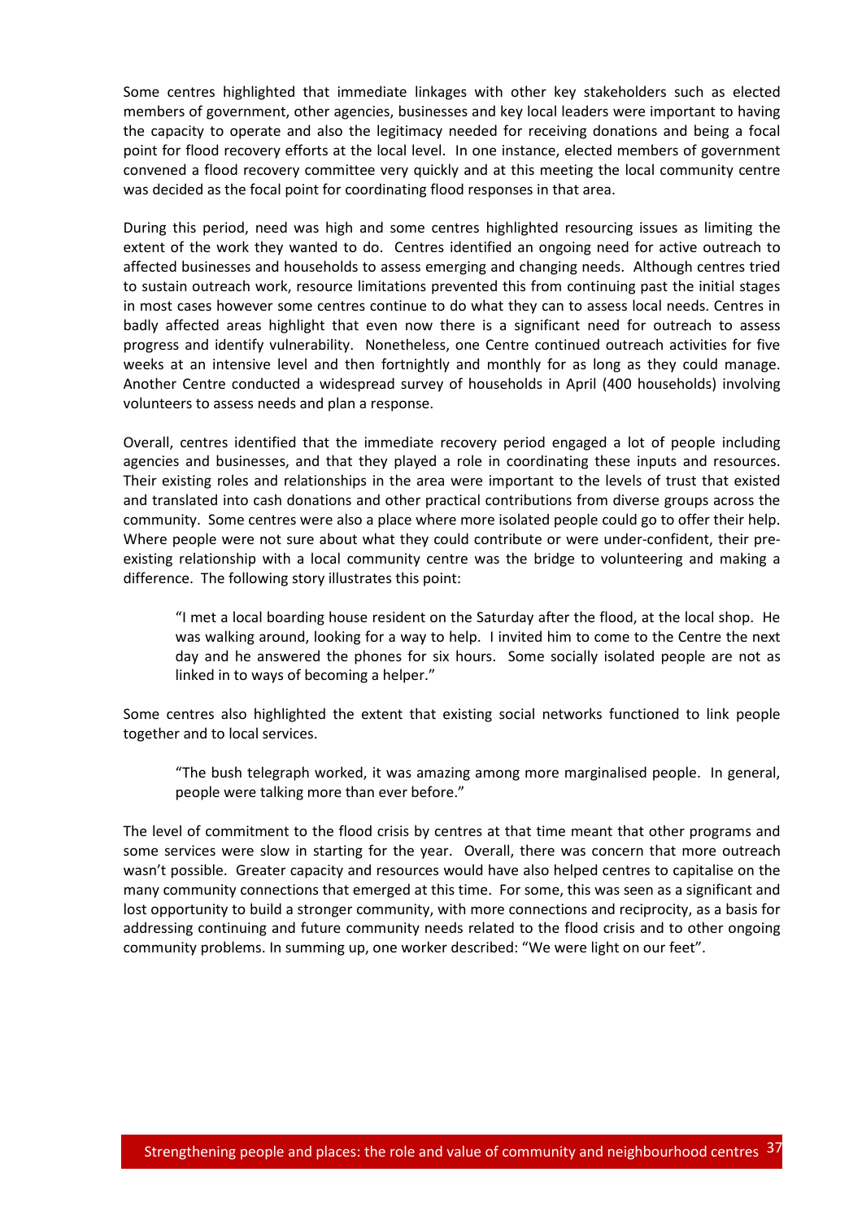Some centres highlighted that immediate linkages with other key stakeholders such as elected members of government, other agencies, businesses and key local leaders were important to having the capacity to operate and also the legitimacy needed for receiving donations and being a focal point for flood recovery efforts at the local level. In one instance, elected members of government convened a flood recovery committee very quickly and at this meeting the local community centre was decided as the focal point for coordinating flood responses in that area.

During this period, need was high and some centres highlighted resourcing issues as limiting the extent of the work they wanted to do. Centres identified an ongoing need for active outreach to affected businesses and households to assess emerging and changing needs. Although centres tried to sustain outreach work, resource limitations prevented this from continuing past the initial stages in most cases however some centres continue to do what they can to assess local needs. Centres in badly affected areas highlight that even now there is a significant need for outreach to assess progress and identify vulnerability. Nonetheless, one Centre continued outreach activities for five weeks at an intensive level and then fortnightly and monthly for as long as they could manage. Another Centre conducted a widespread survey of households in April (400 households) involving volunteers to assess needs and plan a response.

Overall, centres identified that the immediate recovery period engaged a lot of people including agencies and businesses, and that they played a role in coordinating these inputs and resources. Their existing roles and relationships in the area were important to the levels of trust that existed and translated into cash donations and other practical contributions from diverse groups across the community. Some centres were also a place where more isolated people could go to offer their help. Where people were not sure about what they could contribute or were under-confident, their preexisting relationship with a local community centre was the bridge to volunteering and making a difference. The following story illustrates this point:

"I met a local boarding house resident on the Saturday after the flood, at the local shop. He was walking around, looking for a way to help. I invited him to come to the Centre the next day and he answered the phones for six hours. Some socially isolated people are not as linked in to ways of becoming a helper."

Some centres also highlighted the extent that existing social networks functioned to link people together and to local services.

"The bush telegraph worked, it was amazing among more marginalised people. In general, people were talking more than ever before."

The level of commitment to the flood crisis by centres at that time meant that other programs and some services were slow in starting for the year. Overall, there was concern that more outreach wasn't possible. Greater capacity and resources would have also helped centres to capitalise on the many community connections that emerged at this time. For some, this was seen as a significant and lost opportunity to build a stronger community, with more connections and reciprocity, as a basis for addressing continuing and future community needs related to the flood crisis and to other ongoing community problems. In summing up, one worker described: "We were light on our feet".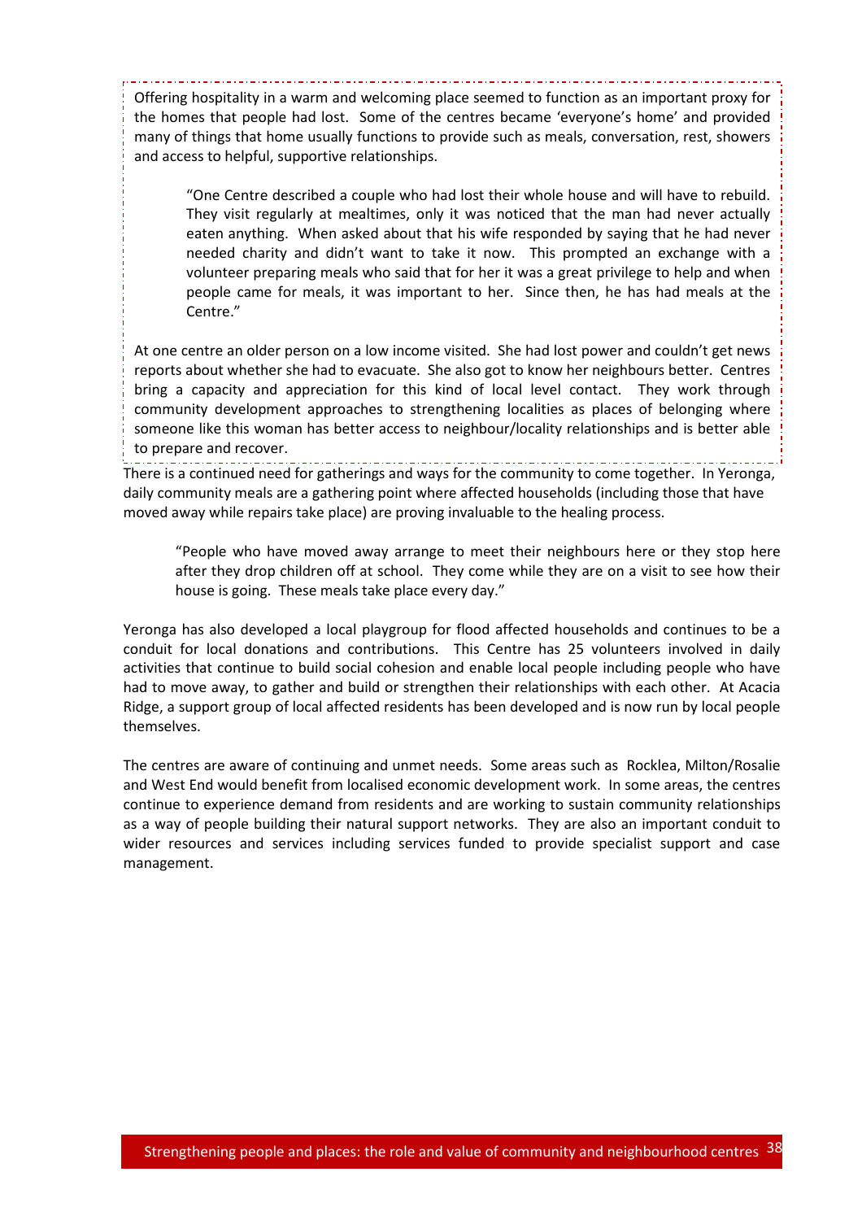Offering hospitality in a warm and welcoming place seemed to function as an important proxy for the homes that people had lost. Some of the centres became 'everyone's home' and provided many of things that home usually functions to provide such as meals, conversation, rest, showers and access to helpful, supportive relationships.

"One Centre described a couple who had lost their whole house and will have to rebuild. They visit regularly at mealtimes, only it was noticed that the man had never actually eaten anything. When asked about that his wife responded by saying that he had never needed charity and didn't want to take it now. This prompted an exchange with a volunteer preparing meals who said that for her it was a great privilege to help and when people came for meals, it was important to her. Since then, he has had meals at the Centre."

At one centre an older person on a low income visited. She had lost power and couldn't get news reports about whether she had to evacuate. She also got to know her neighbours better. Centres bring a capacity and appreciation for this kind of local level contact. They work through community development approaches to strengthening localities as places of belonging where someone like this woman has better access to neighbour/locality relationships and is better able to prepare and recover.

There is a continued need for gatherings and ways for the community to come together. In Yeronga, daily community meals are a gathering point where affected households (including those that have moved away while repairs take place) are proving invaluable to the healing process.

"People who have moved away arrange to meet their neighbours here or they stop here after they drop children off at school. They come while they are on a visit to see how their house is going. These meals take place every day."

Yeronga has also developed a local playgroup for flood affected households and continues to be a conduit for local donations and contributions. This Centre has 25 volunteers involved in daily activities that continue to build social cohesion and enable local people including people who have had to move away, to gather and build or strengthen their relationships with each other. At Acacia Ridge, a support group of local affected residents has been developed and is now run by local people themselves.

The centres are aware of continuing and unmet needs. Some areas such as Rocklea, Milton/Rosalie and West End would benefit from localised economic development work. In some areas, the centres continue to experience demand from residents and are working to sustain community relationships as a way of people building their natural support networks. They are also an important conduit to wider resources and services including services funded to provide specialist support and case management.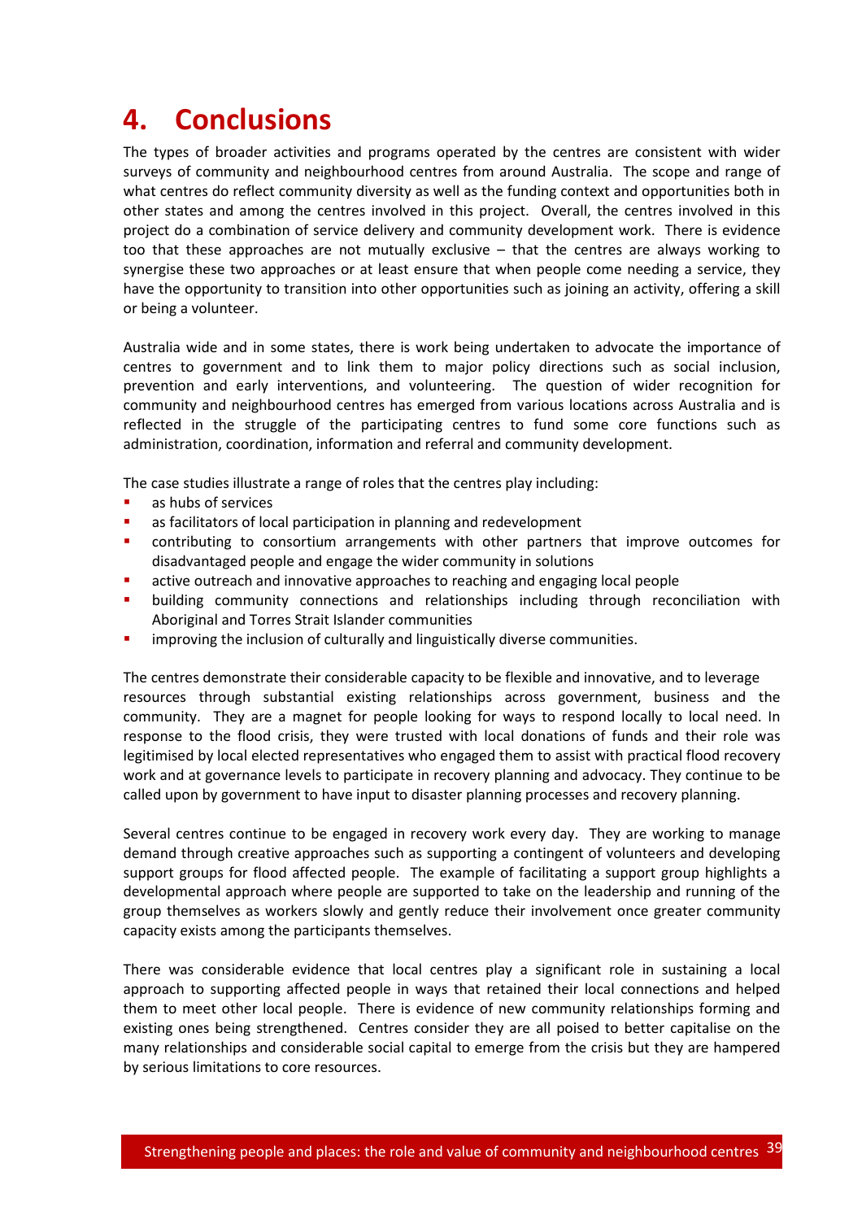## 4. Conclusions

The types of broader activities and programs operated by the centres are consistent with wider surveys of community and neighbourhood centres from around Australia. The scope and range of what centres do reflect community diversity as well as the funding context and opportunities both in other states and among the centres involved in this project. Overall, the centres involved in this project do a combination of service delivery and community development work. There is evidence too that these approaches are not mutually exclusive – that the centres are always working to synergise these two approaches or at least ensure that when people come needing a service, they have the opportunity to transition into other opportunities such as joining an activity, offering a skill or being a volunteer.

Australia wide and in some states, there is work being undertaken to advocate the importance of centres to government and to link them to major policy directions such as social inclusion, prevention and early interventions, and volunteering. The question of wider recognition for community and neighbourhood centres has emerged from various locations across Australia and is reflected in the struggle of the participating centres to fund some core functions such as administration, coordination, information and referral and community development.

The case studies illustrate a range of roles that the centres play including:

- as hubs of services
- as facilitators of local participation in planning and redevelopment
- contributing to consortium arrangements with other partners that improve outcomes for disadvantaged people and engage the wider community in solutions
- active outreach and innovative approaches to reaching and engaging local people
- building community connections and relationships including through reconciliation with Aboriginal and Torres Strait Islander communities
- improving the inclusion of culturally and linguistically diverse communities.

The centres demonstrate their considerable capacity to be flexible and innovative, and to leverage resources through substantial existing relationships across government, business and the community. They are a magnet for people looking for ways to respond locally to local need. In response to the flood crisis, they were trusted with local donations of funds and their role was legitimised by local elected representatives who engaged them to assist with practical flood recovery work and at governance levels to participate in recovery planning and advocacy. They continue to be called upon by government to have input to disaster planning processes and recovery planning.

Several centres continue to be engaged in recovery work every day. They are working to manage demand through creative approaches such as supporting a contingent of volunteers and developing support groups for flood affected people. The example of facilitating a support group highlights a developmental approach where people are supported to take on the leadership and running of the group themselves as workers slowly and gently reduce their involvement once greater community capacity exists among the participants themselves.

There was considerable evidence that local centres play a significant role in sustaining a local approach to supporting affected people in ways that retained their local connections and helped them to meet other local people. There is evidence of new community relationships forming and existing ones being strengthened. Centres consider they are all poised to better capitalise on the many relationships and considerable social capital to emerge from the crisis but they are hampered by serious limitations to core resources.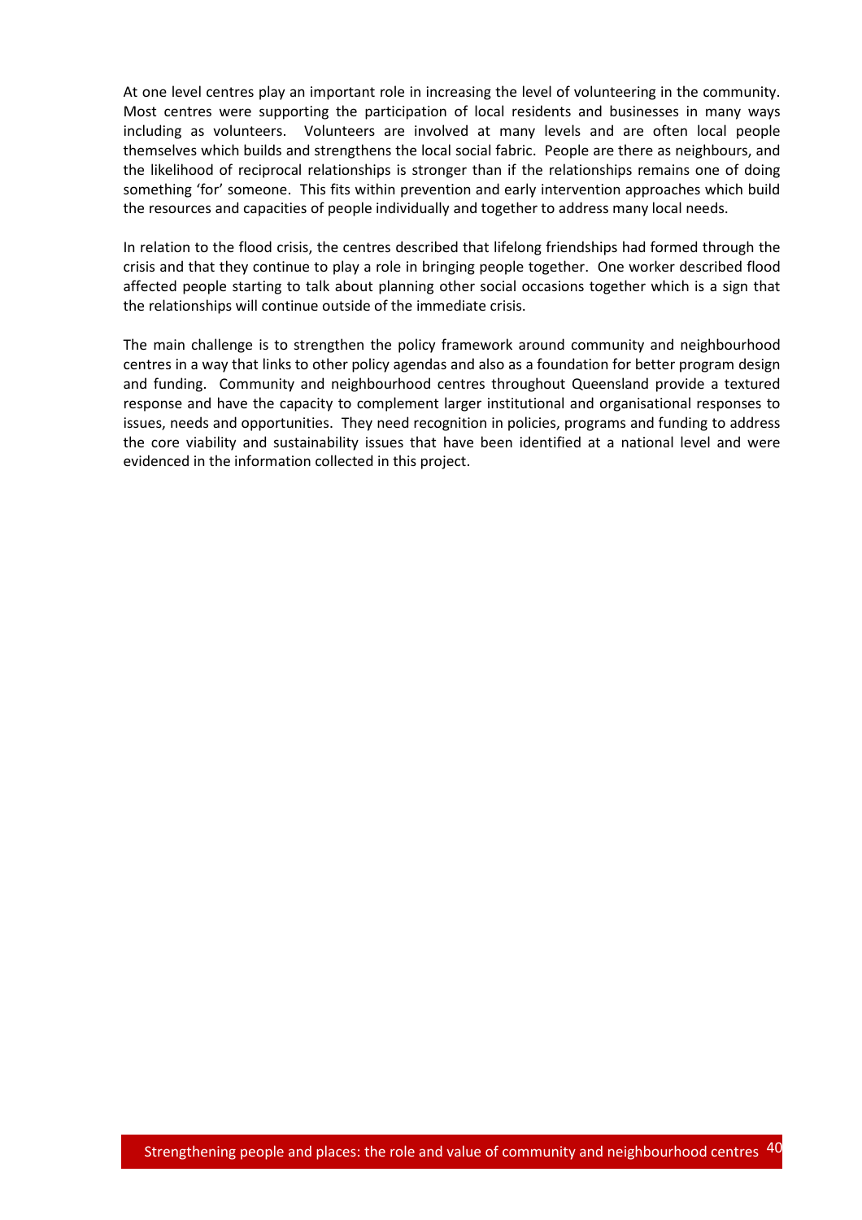At one level centres play an important role in increasing the level of volunteering in the community. Most centres were supporting the participation of local residents and businesses in many ways including as volunteers. Volunteers are involved at many levels and are often local people themselves which builds and strengthens the local social fabric. People are there as neighbours, and the likelihood of reciprocal relationships is stronger than if the relationships remains one of doing something 'for' someone. This fits within prevention and early intervention approaches which build the resources and capacities of people individually and together to address many local needs.

In relation to the flood crisis, the centres described that lifelong friendships had formed through the crisis and that they continue to play a role in bringing people together. One worker described flood affected people starting to talk about planning other social occasions together which is a sign that the relationships will continue outside of the immediate crisis.

The main challenge is to strengthen the policy framework around community and neighbourhood centres in a way that links to other policy agendas and also as a foundation for better program design and funding. Community and neighbourhood centres throughout Queensland provide a textured response and have the capacity to complement larger institutional and organisational responses to issues, needs and opportunities. They need recognition in policies, programs and funding to address the core viability and sustainability issues that have been identified at a national level and were evidenced in the information collected in this project.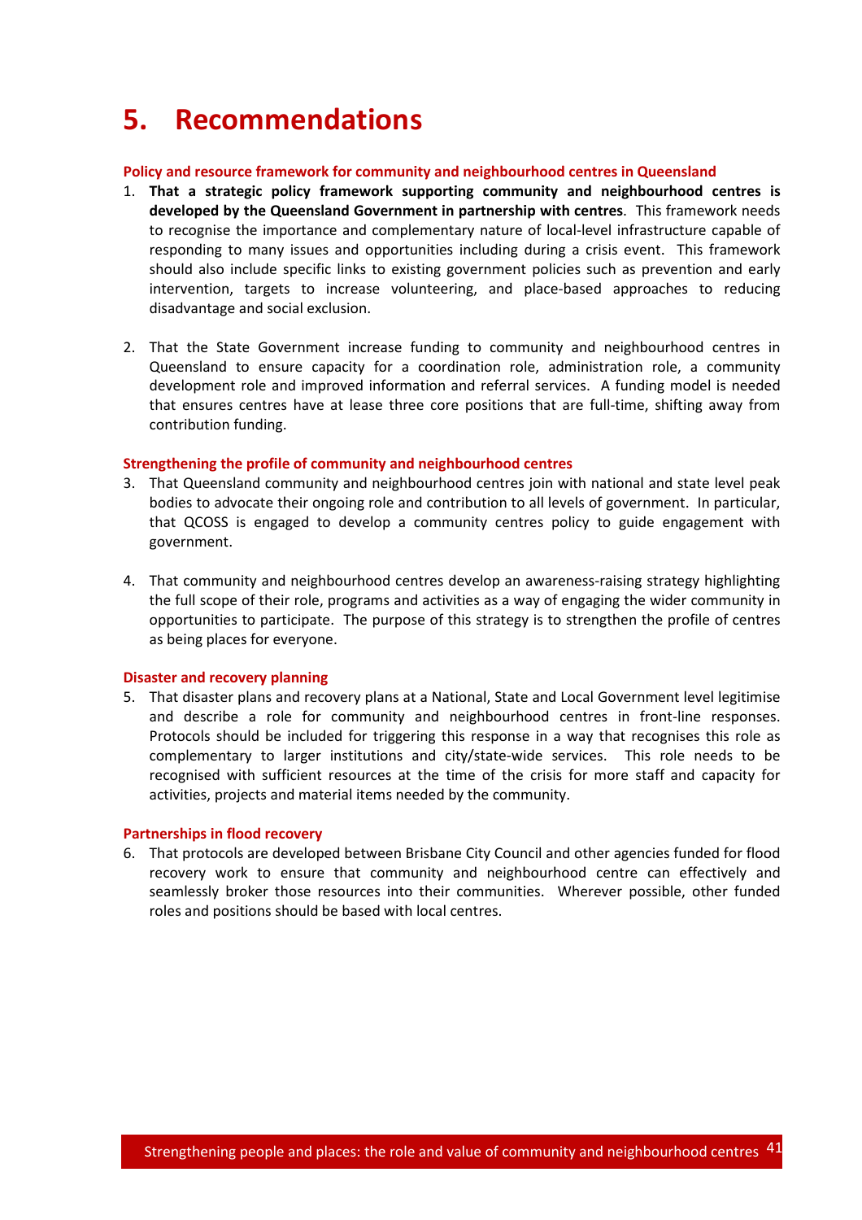## 5. Recommendations

#### Policy and resource framework for community and neighbourhood centres in Queensland

- 1. That a strategic policy framework supporting community and neighbourhood centres is developed by the Queensland Government in partnership with centres. This framework needs to recognise the importance and complementary nature of local-level infrastructure capable of responding to many issues and opportunities including during a crisis event. This framework should also include specific links to existing government policies such as prevention and early intervention, targets to increase volunteering, and place-based approaches to reducing disadvantage and social exclusion.
- 2. That the State Government increase funding to community and neighbourhood centres in Queensland to ensure capacity for a coordination role, administration role, a community development role and improved information and referral services. A funding model is needed that ensures centres have at lease three core positions that are full-time, shifting away from contribution funding.

#### Strengthening the profile of community and neighbourhood centres

- 3. That Queensland community and neighbourhood centres join with national and state level peak bodies to advocate their ongoing role and contribution to all levels of government. In particular, that QCOSS is engaged to develop a community centres policy to guide engagement with government.
- 4. That community and neighbourhood centres develop an awareness-raising strategy highlighting the full scope of their role, programs and activities as a way of engaging the wider community in opportunities to participate. The purpose of this strategy is to strengthen the profile of centres as being places for everyone.

#### Disaster and recovery planning

5. That disaster plans and recovery plans at a National, State and Local Government level legitimise and describe a role for community and neighbourhood centres in front-line responses. Protocols should be included for triggering this response in a way that recognises this role as complementary to larger institutions and city/state-wide services. This role needs to be recognised with sufficient resources at the time of the crisis for more staff and capacity for activities, projects and material items needed by the community.

#### Partnerships in flood recovery

6. That protocols are developed between Brisbane City Council and other agencies funded for flood recovery work to ensure that community and neighbourhood centre can effectively and seamlessly broker those resources into their communities. Wherever possible, other funded roles and positions should be based with local centres.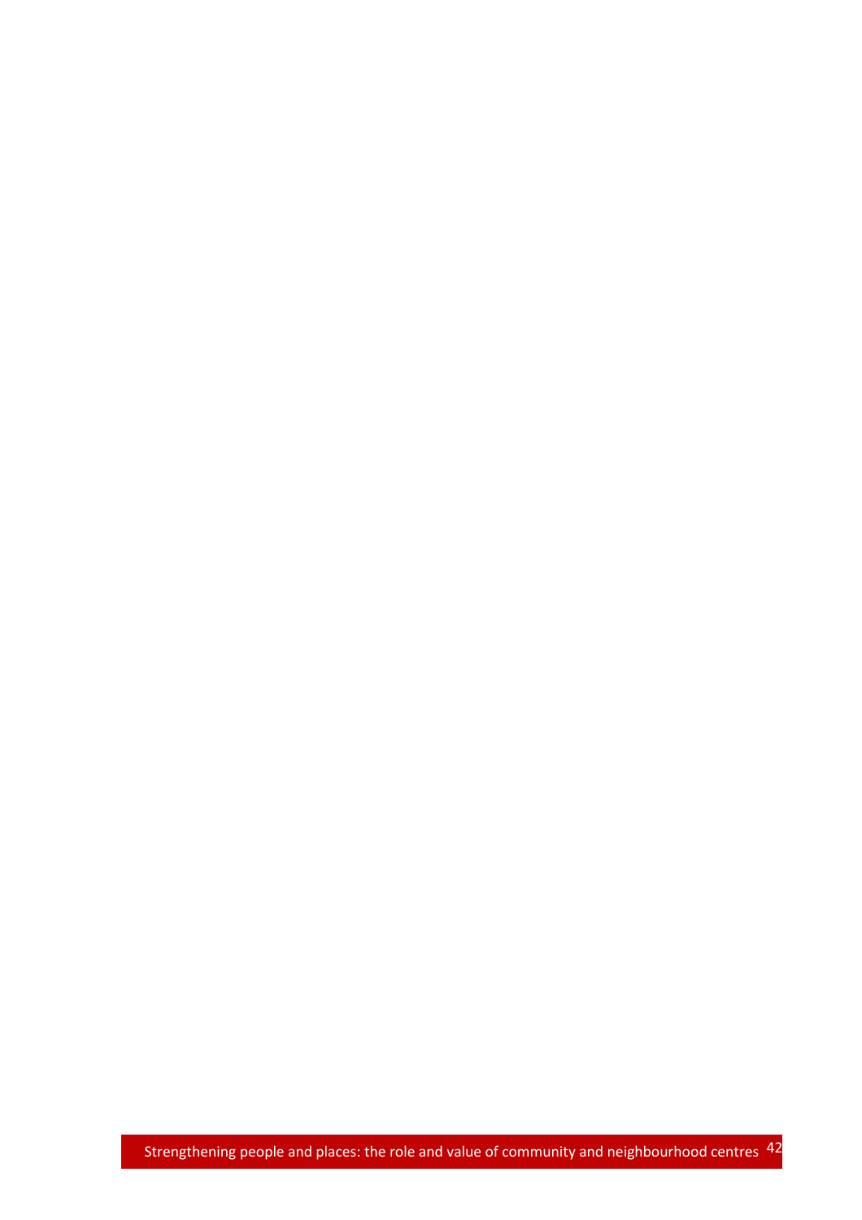Strengthening people and places: the role and value of community and neighbourhood centres 42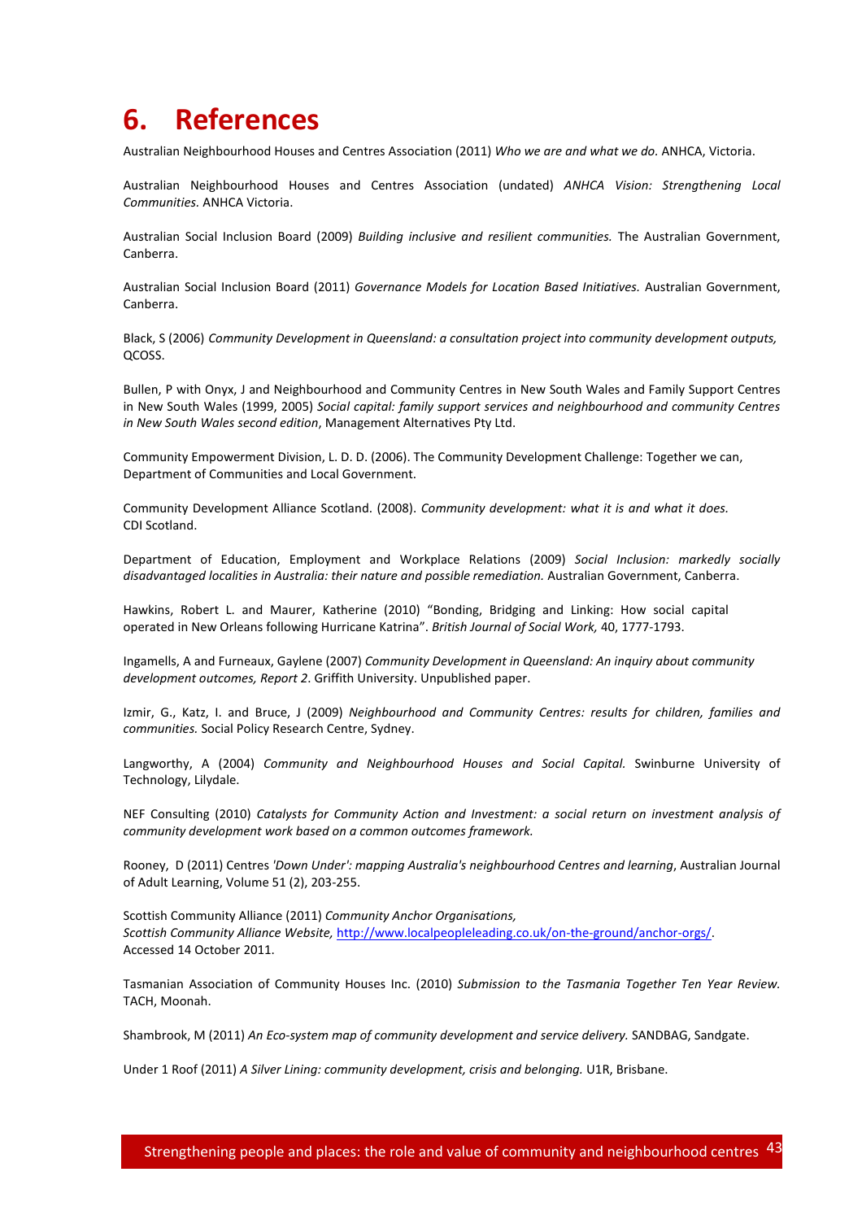## 6. References

Australian Neighbourhood Houses and Centres Association (2011) Who we are and what we do. ANHCA, Victoria.

Australian Neighbourhood Houses and Centres Association (undated) ANHCA Vision: Strengthening Local Communities. ANHCA Victoria.

Australian Social Inclusion Board (2009) Building inclusive and resilient communities. The Australian Government, Canberra.

Australian Social Inclusion Board (2011) Governance Models for Location Based Initiatives. Australian Government, Canberra.

Black, S (2006) Community Development in Queensland: a consultation project into community development outputs, QCOSS.

Bullen, P with Onyx, J and Neighbourhood and Community Centres in New South Wales and Family Support Centres in New South Wales (1999, 2005) Social capital: family support services and neighbourhood and community Centres in New South Wales second edition, Management Alternatives Pty Ltd.

Community Empowerment Division, L. D. D. (2006). The Community Development Challenge: Together we can, Department of Communities and Local Government.

Community Development Alliance Scotland. (2008). Community development: what it is and what it does. CDI Scotland.

Department of Education, Employment and Workplace Relations (2009) Social Inclusion: markedly socially disadvantaged localities in Australia: their nature and possible remediation. Australian Government, Canberra.

Hawkins, Robert L. and Maurer, Katherine (2010) "Bonding, Bridging and Linking: How social capital operated in New Orleans following Hurricane Katrina". British Journal of Social Work, 40, 1777-1793.

Ingamells, A and Furneaux, Gaylene (2007) Community Development in Queensland: An inquiry about community development outcomes, Report 2. Griffith University. Unpublished paper.

Izmir, G., Katz, I. and Bruce, J (2009) Neighbourhood and Community Centres: results for children, families and communities. Social Policy Research Centre, Sydney.

Langworthy, A (2004) Community and Neighbourhood Houses and Social Capital. Swinburne University of Technology, Lilydale.

NEF Consulting (2010) Catalysts for Community Action and Investment: a social return on investment analysis of community development work based on a common outcomes framework.

Rooney, D (2011) Centres 'Down Under': mapping Australia's neighbourhood Centres and learning, Australian Journal of Adult Learning, Volume 51 (2), 203-255.

Scottish Community Alliance (2011) Community Anchor Organisations, Scottish Community Alliance Website, http://www.localpeopleleading.co.uk/on-the-ground/anchor-orgs/. Accessed 14 October 2011.

Tasmanian Association of Community Houses Inc. (2010) Submission to the Tasmania Together Ten Year Review. TACH, Moonah.

Shambrook, M (2011) An Eco-system map of community development and service delivery. SANDBAG, Sandgate.

Under 1 Roof (2011) A Silver Lining: community development, crisis and belonging. U1R, Brisbane.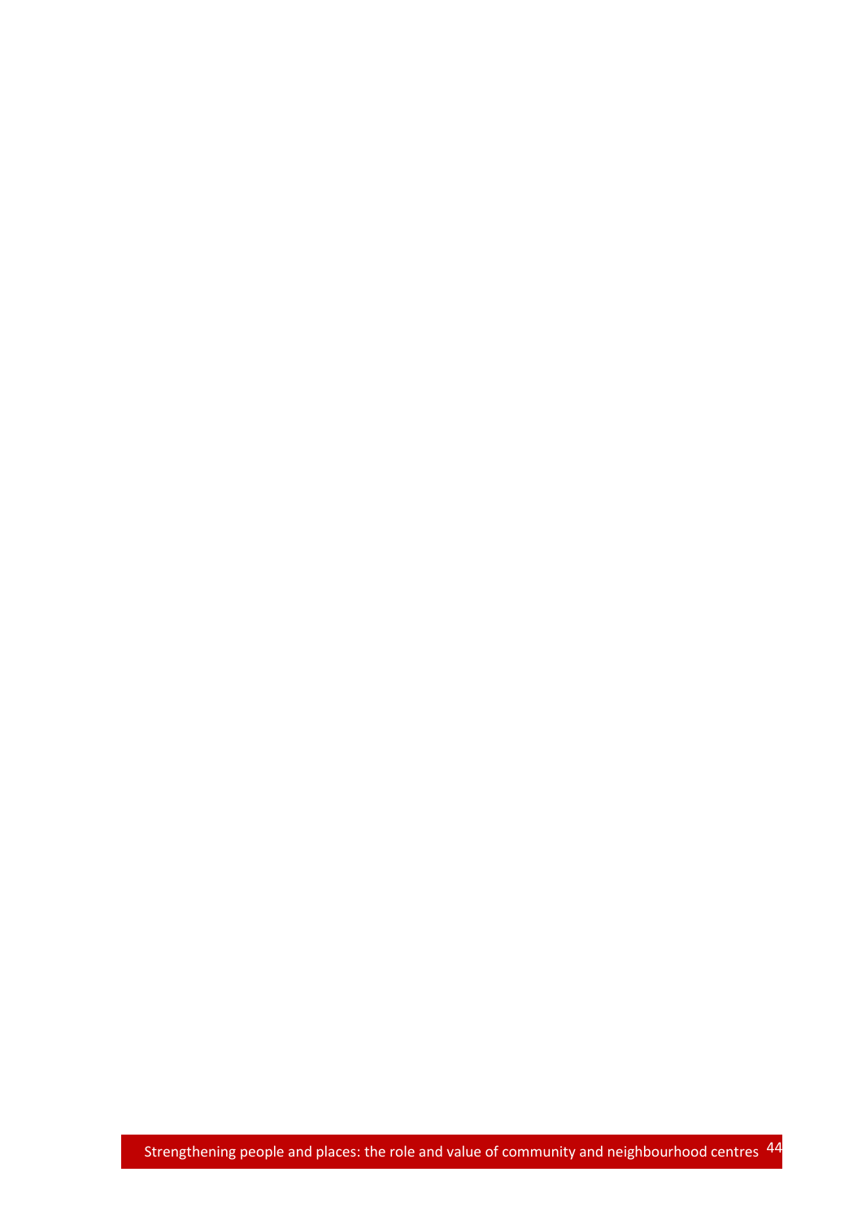Strengthening people and places: the role and value of community and neighbourhood centres 44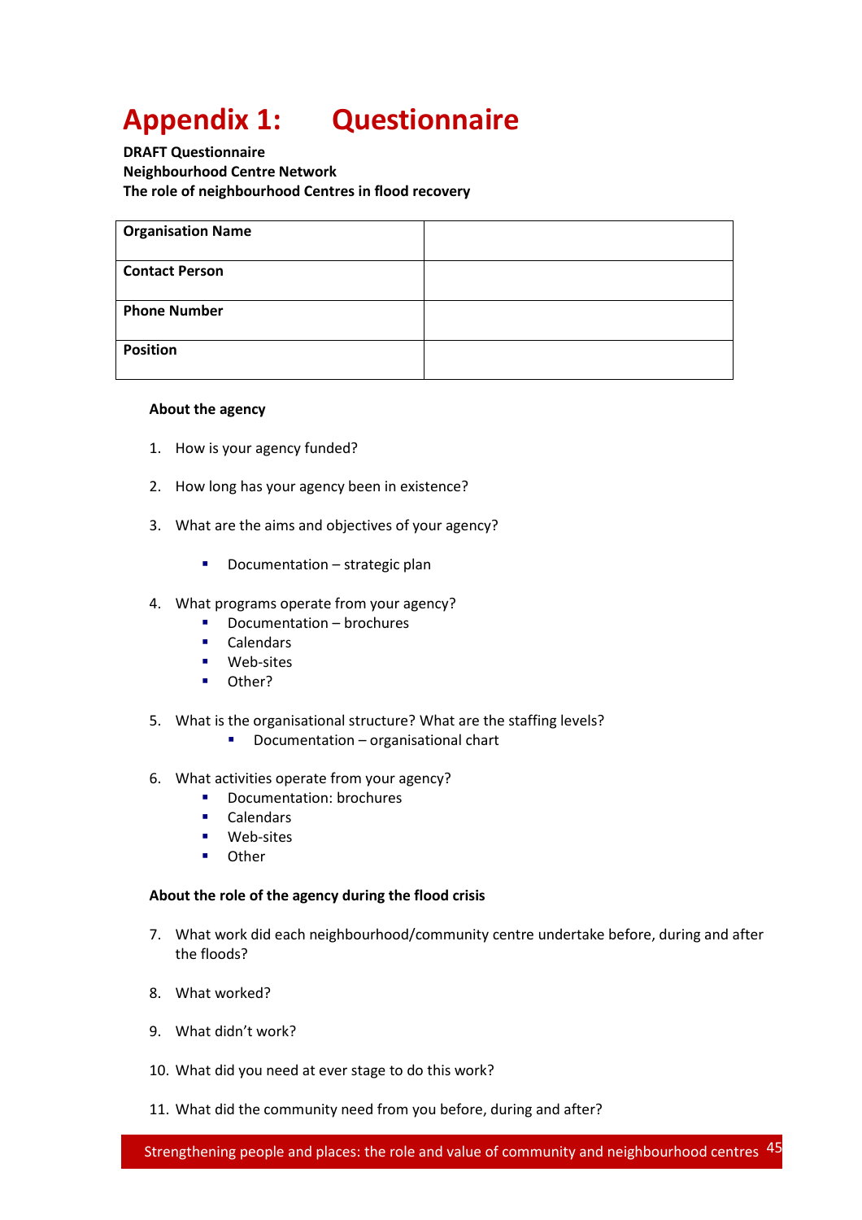# Appendix 1: Questionnaire

#### DRAFT Questionnaire Neighbourhood Centre Network The role of neighbourhood Centres in flood recovery

| <b>Organisation Name</b> |  |
|--------------------------|--|
|                          |  |
| <b>Contact Person</b>    |  |
|                          |  |
| <b>Phone Number</b>      |  |
|                          |  |
| <b>Position</b>          |  |
|                          |  |

#### About the agency

- 1. How is your agency funded?
- 2. How long has your agency been in existence?
- 3. What are the aims and objectives of your agency?
	- Documentation strategic plan
- 4. What programs operate from your agency?
	- **•** Documentation brochures
	- **Calendars**
	- **Web-sites**
	- **D**ther?
- 5. What is the organisational structure? What are the staffing levels?
	- **•** Documentation organisational chart
- 6. What activities operate from your agency?
	- **Documentation: brochures**
	- **E** Calendars
	- **Web-sites**
	- **•** Other

#### About the role of the agency during the flood crisis

- 7. What work did each neighbourhood/community centre undertake before, during and after the floods?
- 8. What worked?
- 9. What didn't work?
- 10. What did you need at ever stage to do this work?
- 11. What did the community need from you before, during and after?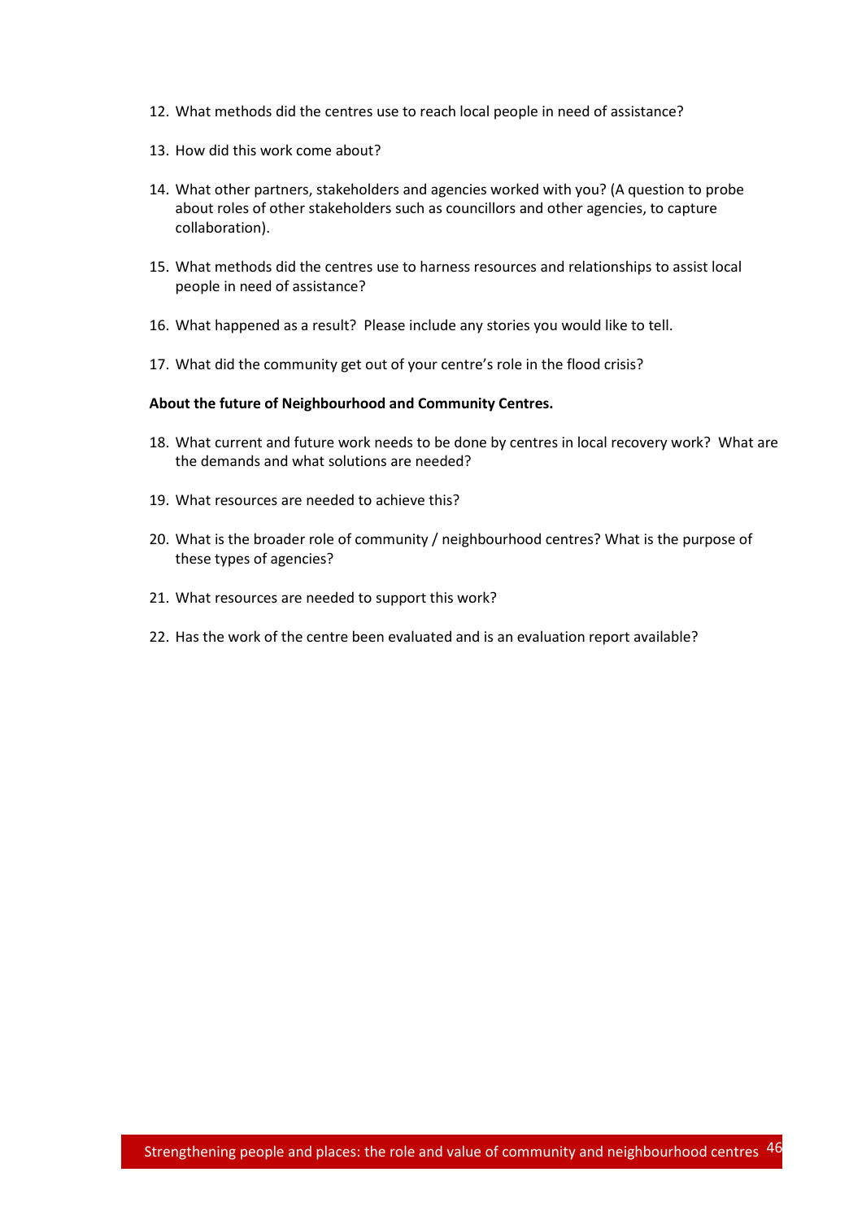- 12. What methods did the centres use to reach local people in need of assistance?
- 13. How did this work come about?
- 14. What other partners, stakeholders and agencies worked with you? (A question to probe about roles of other stakeholders such as councillors and other agencies, to capture collaboration).
- 15. What methods did the centres use to harness resources and relationships to assist local people in need of assistance?
- 16. What happened as a result? Please include any stories you would like to tell.
- 17. What did the community get out of your centre's role in the flood crisis?

#### About the future of Neighbourhood and Community Centres.

- 18. What current and future work needs to be done by centres in local recovery work? What are the demands and what solutions are needed?
- 19. What resources are needed to achieve this?
- 20. What is the broader role of community / neighbourhood centres? What is the purpose of these types of agencies?
- 21. What resources are needed to support this work?
- 22. Has the work of the centre been evaluated and is an evaluation report available?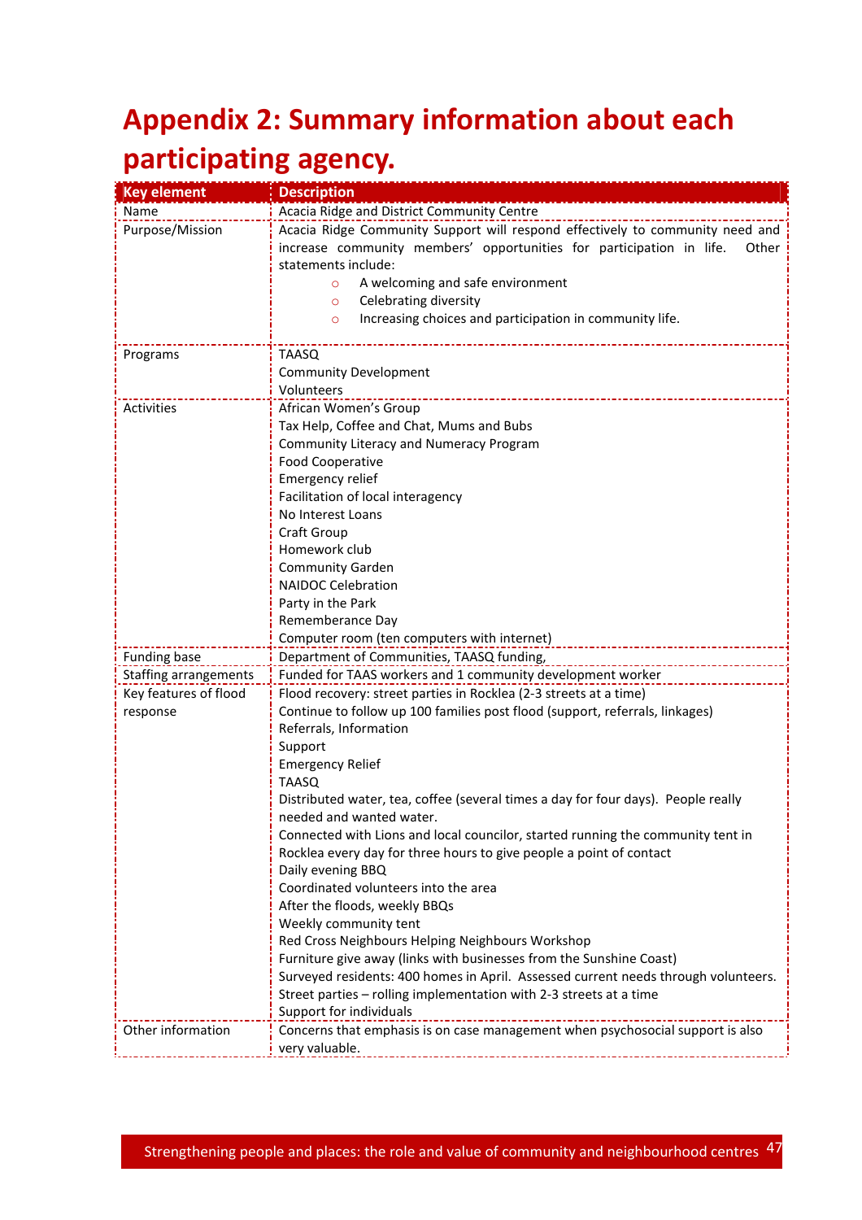# Appendix 2: Summary information about each participating agency.

| <b>Key element</b>    | <b>Description</b>                                                                 |
|-----------------------|------------------------------------------------------------------------------------|
| Name                  | Acacia Ridge and District Community Centre                                         |
| Purpose/Mission       | Acacia Ridge Community Support will respond effectively to community need and      |
|                       | increase community members' opportunities for participation in life.<br>Other      |
|                       | statements include:                                                                |
|                       | A welcoming and safe environment<br>$\circ$                                        |
|                       | Celebrating diversity<br>$\circ$                                                   |
|                       | Increasing choices and participation in community life.<br>$\circ$                 |
|                       |                                                                                    |
| Programs              | <b>TAASQ</b>                                                                       |
|                       | <b>Community Development</b>                                                       |
|                       | Volunteers                                                                         |
| Activities            | African Women's Group                                                              |
|                       | Tax Help, Coffee and Chat, Mums and Bubs                                           |
|                       | Community Literacy and Numeracy Program                                            |
|                       | <b>Food Cooperative</b>                                                            |
|                       | Emergency relief                                                                   |
|                       | Facilitation of local interagency                                                  |
|                       | No Interest Loans                                                                  |
|                       | Craft Group                                                                        |
|                       | Homework club                                                                      |
|                       | <b>Community Garden</b>                                                            |
|                       | <b>NAIDOC Celebration</b>                                                          |
|                       | Party in the Park                                                                  |
|                       | Rememberance Day                                                                   |
|                       | Computer room (ten computers with internet)                                        |
| Funding base          | Department of Communities, TAASQ funding,                                          |
| Staffing arrangements | Funded for TAAS workers and 1 community development worker                         |
| Key features of flood | Flood recovery: street parties in Rocklea (2-3 streets at a time)                  |
| response              | Continue to follow up 100 families post flood (support, referrals, linkages)       |
|                       | Referrals, Information                                                             |
|                       | Support                                                                            |
|                       | <b>Emergency Relief</b><br><b>TAASQ</b>                                            |
|                       | Distributed water, tea, coffee (several times a day for four days). People really  |
|                       | needed and wanted water.                                                           |
|                       | Connected with Lions and local councilor, started running the community tent in    |
|                       | Rocklea every day for three hours to give people a point of contact                |
|                       | Daily evening BBQ                                                                  |
|                       | Coordinated volunteers into the area                                               |
|                       | After the floods, weekly BBQs                                                      |
|                       | Weekly community tent                                                              |
|                       | Red Cross Neighbours Helping Neighbours Workshop                                   |
|                       | Furniture give away (links with businesses from the Sunshine Coast)                |
|                       | Surveyed residents: 400 homes in April. Assessed current needs through volunteers. |
|                       | Street parties - rolling implementation with 2-3 streets at a time                 |
|                       | Support for individuals                                                            |
| Other information     | Concerns that emphasis is on case management when psychosocial support is also     |
|                       | very valuable.                                                                     |
|                       |                                                                                    |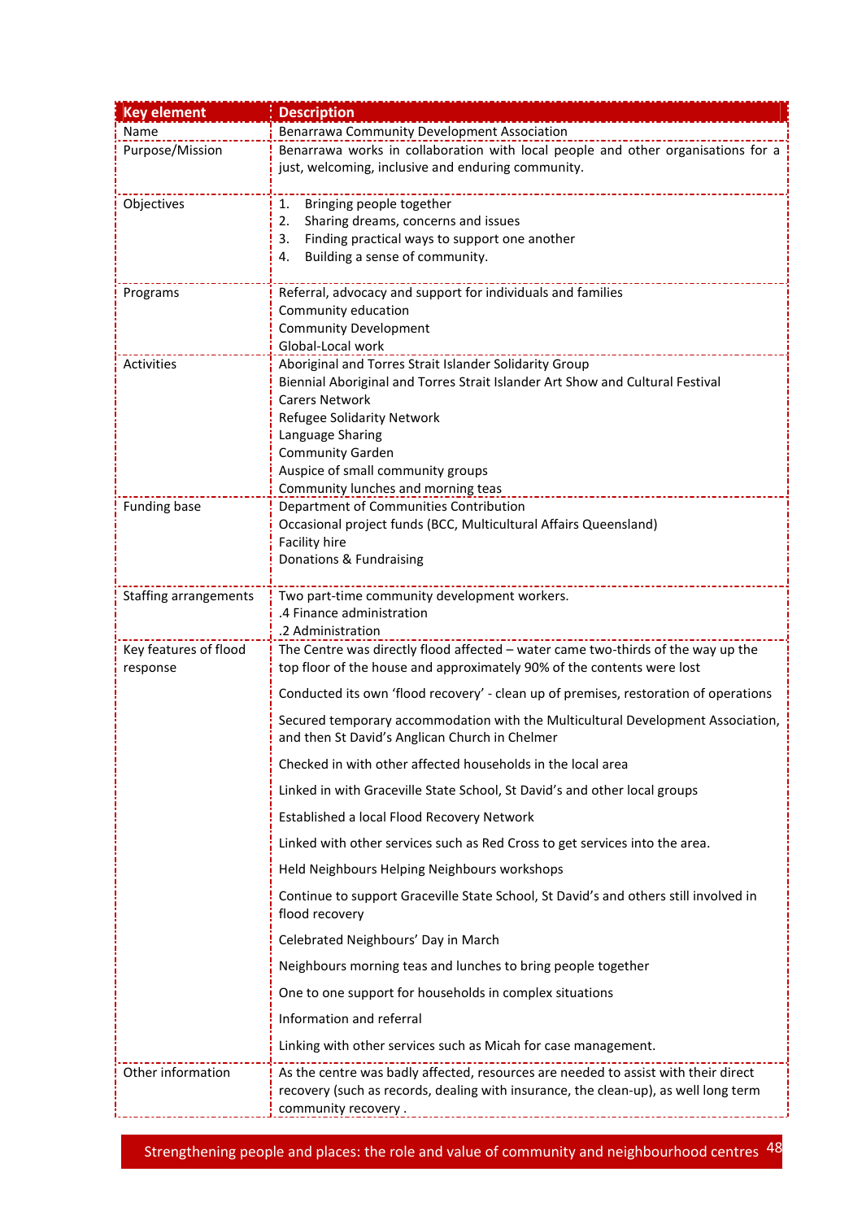| <b>Key element</b>                | <b>Description</b>                                                                                                                                                                               |
|-----------------------------------|--------------------------------------------------------------------------------------------------------------------------------------------------------------------------------------------------|
| Name                              | Benarrawa Community Development Association                                                                                                                                                      |
| Purpose/Mission                   | Benarrawa works in collaboration with local people and other organisations for a<br>just, welcoming, inclusive and enduring community.                                                           |
| Objectives                        | Bringing people together<br>1.                                                                                                                                                                   |
|                                   | 2.<br>Sharing dreams, concerns and issues                                                                                                                                                        |
|                                   | Finding practical ways to support one another<br>3.<br>Building a sense of community.                                                                                                            |
|                                   | 4.                                                                                                                                                                                               |
| Programs                          | Referral, advocacy and support for individuals and families                                                                                                                                      |
|                                   | Community education                                                                                                                                                                              |
|                                   | <b>Community Development</b>                                                                                                                                                                     |
| Activities                        | Global-Local work<br>Aboriginal and Torres Strait Islander Solidarity Group                                                                                                                      |
|                                   | Biennial Aboriginal and Torres Strait Islander Art Show and Cultural Festival                                                                                                                    |
|                                   | <b>Carers Network</b>                                                                                                                                                                            |
|                                   | Refugee Solidarity Network                                                                                                                                                                       |
|                                   | Language Sharing                                                                                                                                                                                 |
|                                   | <b>Community Garden</b><br>Auspice of small community groups                                                                                                                                     |
|                                   | Community lunches and morning teas                                                                                                                                                               |
| Funding base                      | Department of Communities Contribution                                                                                                                                                           |
|                                   | Occasional project funds (BCC, Multicultural Affairs Queensland)                                                                                                                                 |
|                                   | Facility hire                                                                                                                                                                                    |
|                                   | Donations & Fundraising                                                                                                                                                                          |
| <b>Staffing arrangements</b>      | Two part-time community development workers.                                                                                                                                                     |
|                                   | .4 Finance administration                                                                                                                                                                        |
|                                   | .2 Administration                                                                                                                                                                                |
| Key features of flood<br>response | The Centre was directly flood affected - water came two-thirds of the way up the<br>top floor of the house and approximately 90% of the contents were lost                                       |
|                                   | Conducted its own 'flood recovery' - clean up of premises, restoration of operations                                                                                                             |
|                                   | Secured temporary accommodation with the Multicultural Development Association,<br>and then St David's Anglican Church in Chelmer                                                                |
|                                   | Checked in with other affected households in the local area                                                                                                                                      |
|                                   | Linked in with Graceville State School, St David's and other local groups                                                                                                                        |
|                                   | Established a local Flood Recovery Network                                                                                                                                                       |
|                                   | Linked with other services such as Red Cross to get services into the area.                                                                                                                      |
|                                   | Held Neighbours Helping Neighbours workshops                                                                                                                                                     |
|                                   | Continue to support Graceville State School, St David's and others still involved in<br>flood recovery                                                                                           |
|                                   | Celebrated Neighbours' Day in March                                                                                                                                                              |
|                                   | Neighbours morning teas and lunches to bring people together                                                                                                                                     |
|                                   | One to one support for households in complex situations                                                                                                                                          |
|                                   | Information and referral                                                                                                                                                                         |
|                                   | Linking with other services such as Micah for case management.                                                                                                                                   |
| Other information                 | As the centre was badly affected, resources are needed to assist with their direct<br>recovery (such as records, dealing with insurance, the clean-up), as well long term<br>community recovery. |
|                                   |                                                                                                                                                                                                  |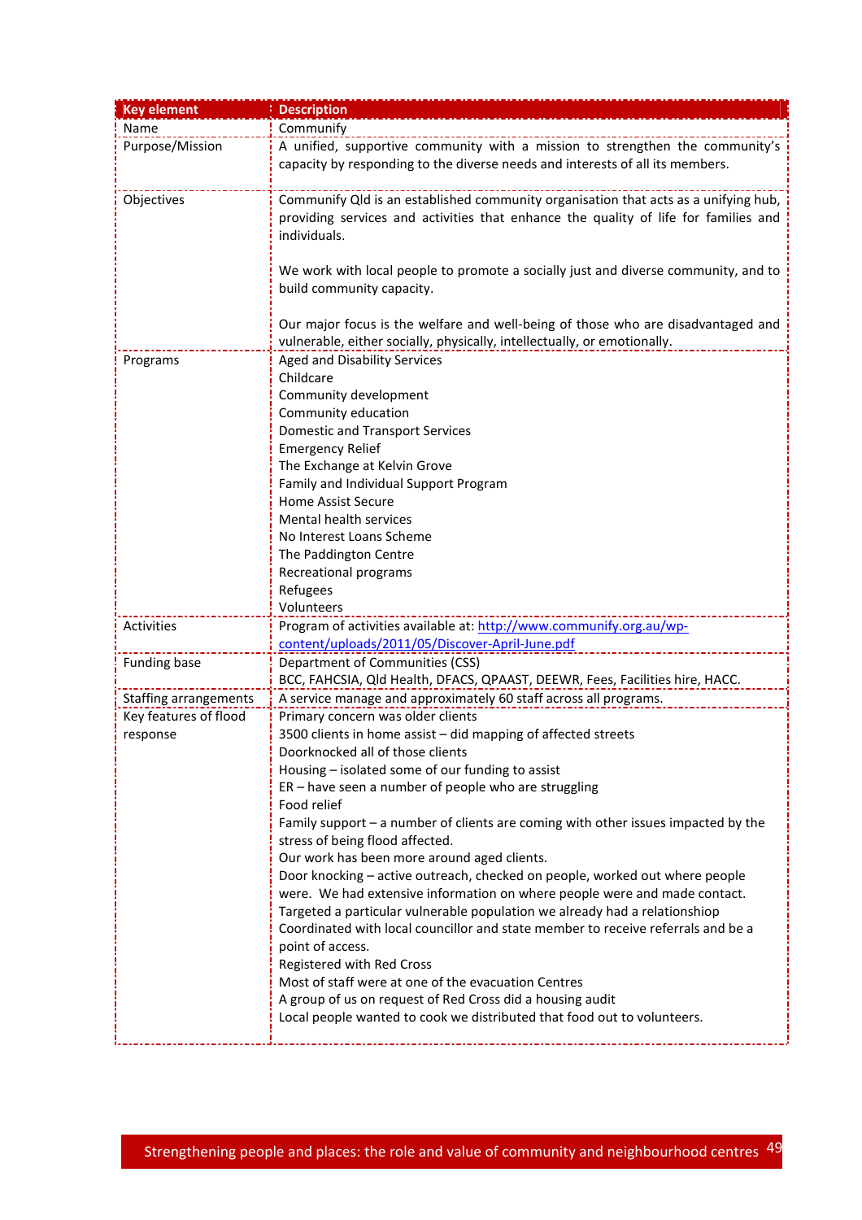| <b>Key element</b>           | <b>Description</b>                                                                                                                                                                         |
|------------------------------|--------------------------------------------------------------------------------------------------------------------------------------------------------------------------------------------|
| Name                         | Communify                                                                                                                                                                                  |
| Purpose/Mission              | A unified, supportive community with a mission to strengthen the community's<br>capacity by responding to the diverse needs and interests of all its members.                              |
| Objectives                   | Communify Qld is an established community organisation that acts as a unifying hub,<br>providing services and activities that enhance the quality of life for families and<br>individuals. |
|                              | We work with local people to promote a socially just and diverse community, and to<br>build community capacity.                                                                            |
|                              | Our major focus is the welfare and well-being of those who are disadvantaged and<br>vulnerable, either socially, physically, intellectually, or emotionally.                               |
| Programs                     | Aged and Disability Services                                                                                                                                                               |
|                              | Childcare                                                                                                                                                                                  |
|                              | Community development                                                                                                                                                                      |
|                              | Community education                                                                                                                                                                        |
|                              | <b>Domestic and Transport Services</b>                                                                                                                                                     |
|                              | <b>Emergency Relief</b>                                                                                                                                                                    |
|                              | The Exchange at Kelvin Grove                                                                                                                                                               |
|                              | Family and Individual Support Program                                                                                                                                                      |
|                              | <b>Home Assist Secure</b>                                                                                                                                                                  |
|                              | Mental health services                                                                                                                                                                     |
|                              | No Interest Loans Scheme                                                                                                                                                                   |
|                              | The Paddington Centre                                                                                                                                                                      |
|                              | Recreational programs                                                                                                                                                                      |
|                              | Refugees<br>Volunteers                                                                                                                                                                     |
| Activities                   | Program of activities available at: http://www.communify.org.au/wp-                                                                                                                        |
|                              | content/uploads/2011/05/Discover-April-June.pdf                                                                                                                                            |
| Funding base                 | Department of Communities (CSS)                                                                                                                                                            |
|                              | BCC, FAHCSIA, Qld Health, DFACS, QPAAST, DEEWR, Fees, Facilities hire, HACC.                                                                                                               |
| <b>Staffing arrangements</b> | A service manage and approximately 60 staff across all programs.                                                                                                                           |
| Key features of flood        | Primary concern was older clients                                                                                                                                                          |
| response                     | 3500 clients in home assist - did mapping of affected streets                                                                                                                              |
|                              | Doorknocked all of those clients                                                                                                                                                           |
|                              | Housing - isolated some of our funding to assist                                                                                                                                           |
|                              | ER - have seen a number of people who are struggling                                                                                                                                       |
|                              | Food relief                                                                                                                                                                                |
|                              | Family support - a number of clients are coming with other issues impacted by the                                                                                                          |
|                              | stress of being flood affected.                                                                                                                                                            |
|                              | Our work has been more around aged clients.                                                                                                                                                |
|                              | Door knocking - active outreach, checked on people, worked out where people                                                                                                                |
|                              | were. We had extensive information on where people were and made contact.                                                                                                                  |
|                              | Targeted a particular vulnerable population we already had a relationshiop<br>Coordinated with local councillor and state member to receive referrals and be a                             |
|                              | point of access.                                                                                                                                                                           |
|                              | Registered with Red Cross                                                                                                                                                                  |
|                              | Most of staff were at one of the evacuation Centres                                                                                                                                        |
|                              | A group of us on request of Red Cross did a housing audit                                                                                                                                  |
|                              | Local people wanted to cook we distributed that food out to volunteers.                                                                                                                    |
|                              |                                                                                                                                                                                            |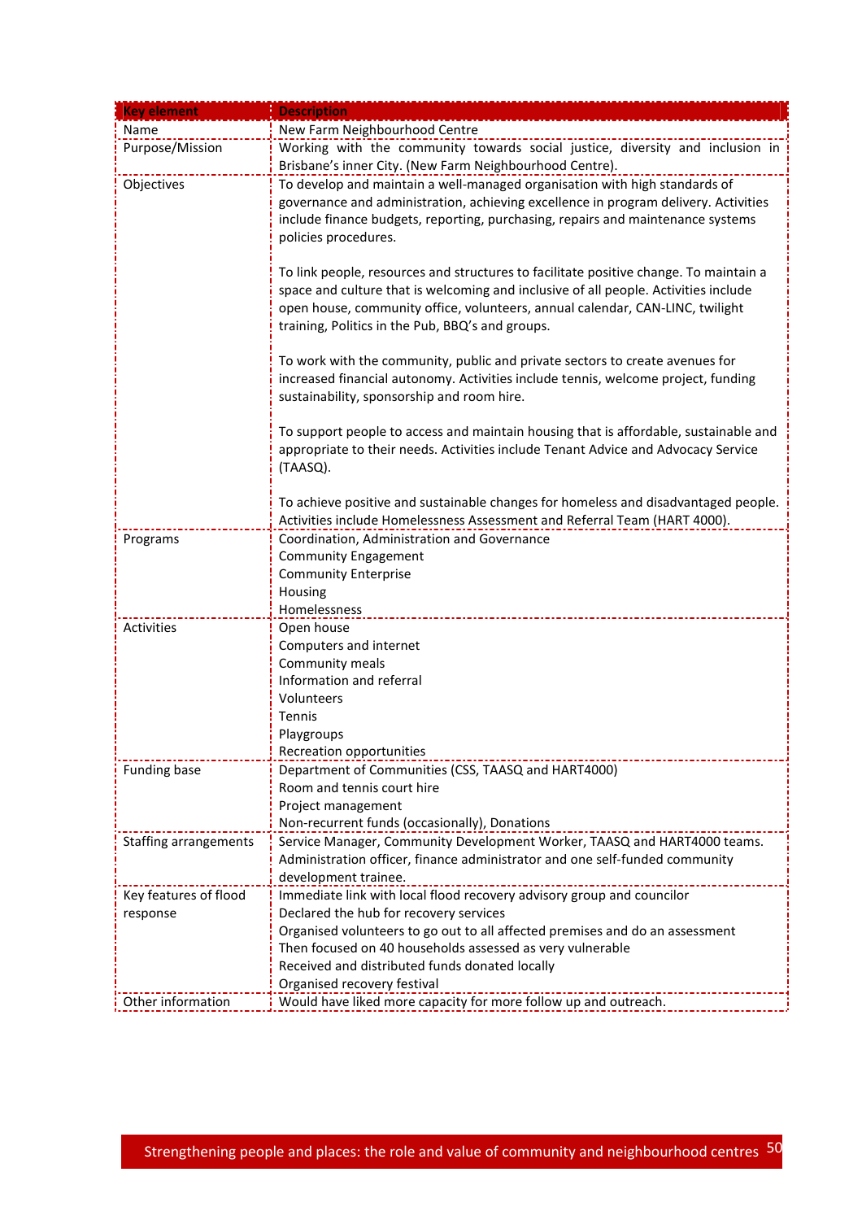| <b>Key element</b>           | <b>Description</b>                                                                    |
|------------------------------|---------------------------------------------------------------------------------------|
| Name                         | New Farm Neighbourhood Centre                                                         |
| Purpose/Mission              | Working with the community towards social justice, diversity and inclusion in         |
|                              | Brisbane's inner City. (New Farm Neighbourhood Centre).                               |
| Objectives                   | To develop and maintain a well-managed organisation with high standards of            |
|                              | governance and administration, achieving excellence in program delivery. Activities   |
|                              | include finance budgets, reporting, purchasing, repairs and maintenance systems       |
|                              | policies procedures.                                                                  |
|                              |                                                                                       |
|                              | To link people, resources and structures to facilitate positive change. To maintain a |
|                              | space and culture that is welcoming and inclusive of all people. Activities include   |
|                              | open house, community office, volunteers, annual calendar, CAN-LINC, twilight         |
|                              | training, Politics in the Pub, BBQ's and groups.                                      |
|                              |                                                                                       |
|                              | To work with the community, public and private sectors to create avenues for          |
|                              | increased financial autonomy. Activities include tennis, welcome project, funding     |
|                              | sustainability, sponsorship and room hire.                                            |
|                              |                                                                                       |
|                              | To support people to access and maintain housing that is affordable, sustainable and  |
|                              | appropriate to their needs. Activities include Tenant Advice and Advocacy Service     |
|                              | (TAASQ).                                                                              |
|                              |                                                                                       |
|                              | To achieve positive and sustainable changes for homeless and disadvantaged people.    |
|                              | Activities include Homelessness Assessment and Referral Team (HART 4000).             |
| Programs                     | Coordination, Administration and Governance                                           |
|                              | <b>Community Engagement</b>                                                           |
|                              | <b>Community Enterprise</b>                                                           |
|                              | Housing                                                                               |
|                              | Homelessness                                                                          |
| Activities                   | Open house                                                                            |
|                              | Computers and internet                                                                |
|                              | Community meals                                                                       |
|                              | Information and referral                                                              |
|                              | Volunteers                                                                            |
|                              | Tennis                                                                                |
|                              | Playgroups                                                                            |
|                              | Recreation opportunities                                                              |
| Funding base                 | Department of Communities (CSS, TAASQ and HART4000)                                   |
|                              | Room and tennis court hire                                                            |
|                              | Project management                                                                    |
|                              | Non-recurrent funds (occasionally), Donations                                         |
| <b>Staffing arrangements</b> | Service Manager, Community Development Worker, TAASQ and HART4000 teams.              |
|                              | Administration officer, finance administrator and one self-funded community           |
|                              | development trainee.                                                                  |
| Key features of flood        | Immediate link with local flood recovery advisory group and councilor                 |
| response                     | Declared the hub for recovery services                                                |
|                              | Organised volunteers to go out to all affected premises and do an assessment          |
|                              | Then focused on 40 households assessed as very vulnerable                             |
|                              | Received and distributed funds donated locally                                        |
|                              | Organised recovery festival                                                           |
| Other information            | Would have liked more capacity for more follow up and outreach.                       |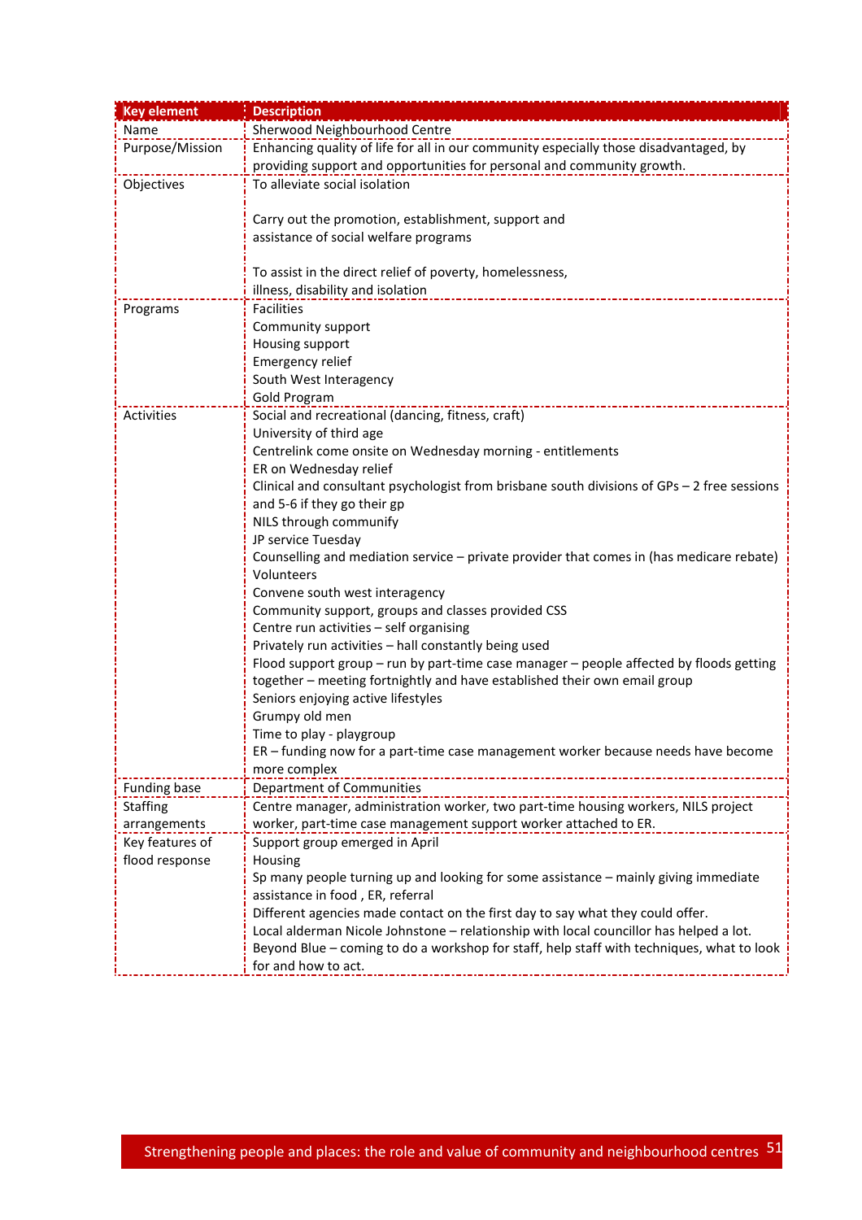| <b>Key element</b> | <b>Description</b>                                                                          |
|--------------------|---------------------------------------------------------------------------------------------|
| Name               | Sherwood Neighbourhood Centre                                                               |
| Purpose/Mission    | Enhancing quality of life for all in our community especially those disadvantaged, by       |
|                    | providing support and opportunities for personal and community growth.                      |
| Objectives         | To alleviate social isolation                                                               |
|                    |                                                                                             |
|                    | Carry out the promotion, establishment, support and                                         |
|                    | assistance of social welfare programs                                                       |
|                    |                                                                                             |
|                    | To assist in the direct relief of poverty, homelessness,                                    |
|                    | illness, disability and isolation                                                           |
| Programs           | <b>Facilities</b>                                                                           |
|                    | Community support                                                                           |
|                    | Housing support                                                                             |
|                    | Emergency relief                                                                            |
|                    | South West Interagency                                                                      |
|                    | Gold Program                                                                                |
| Activities         | Social and recreational (dancing, fitness, craft)                                           |
|                    | University of third age                                                                     |
|                    | Centrelink come onsite on Wednesday morning - entitlements                                  |
|                    | ER on Wednesday relief                                                                      |
|                    | Clinical and consultant psychologist from brisbane south divisions of GPs - 2 free sessions |
|                    | and 5-6 if they go their gp<br>NILS through communify                                       |
|                    | JP service Tuesday                                                                          |
|                    | Counselling and mediation service - private provider that comes in (has medicare rebate)    |
|                    | Volunteers                                                                                  |
|                    | Convene south west interagency                                                              |
|                    | Community support, groups and classes provided CSS                                          |
|                    | Centre run activities - self organising                                                     |
|                    | Privately run activities - hall constantly being used                                       |
|                    | Flood support group - run by part-time case manager - people affected by floods getting     |
|                    | together - meeting fortnightly and have established their own email group                   |
|                    | Seniors enjoying active lifestyles                                                          |
|                    | Grumpy old men                                                                              |
|                    | Time to play - playgroup                                                                    |
|                    | ER - funding now for a part-time case management worker because needs have become           |
|                    | more complex                                                                                |
| Funding base       | Department of Communities                                                                   |
| <b>Staffing</b>    | Centre manager, administration worker, two part-time housing workers, NILS project          |
| arrangements       | worker, part-time case management support worker attached to ER.                            |
| Key features of    | Support group emerged in April                                                              |
| flood response     | Housing                                                                                     |
|                    | Sp many people turning up and looking for some assistance - mainly giving immediate         |
|                    | assistance in food, ER, referral                                                            |
|                    | Different agencies made contact on the first day to say what they could offer.              |
|                    | Local alderman Nicole Johnstone - relationship with local councillor has helped a lot.      |
|                    | Beyond Blue - coming to do a workshop for staff, help staff with techniques, what to look   |
|                    | for and how to act.                                                                         |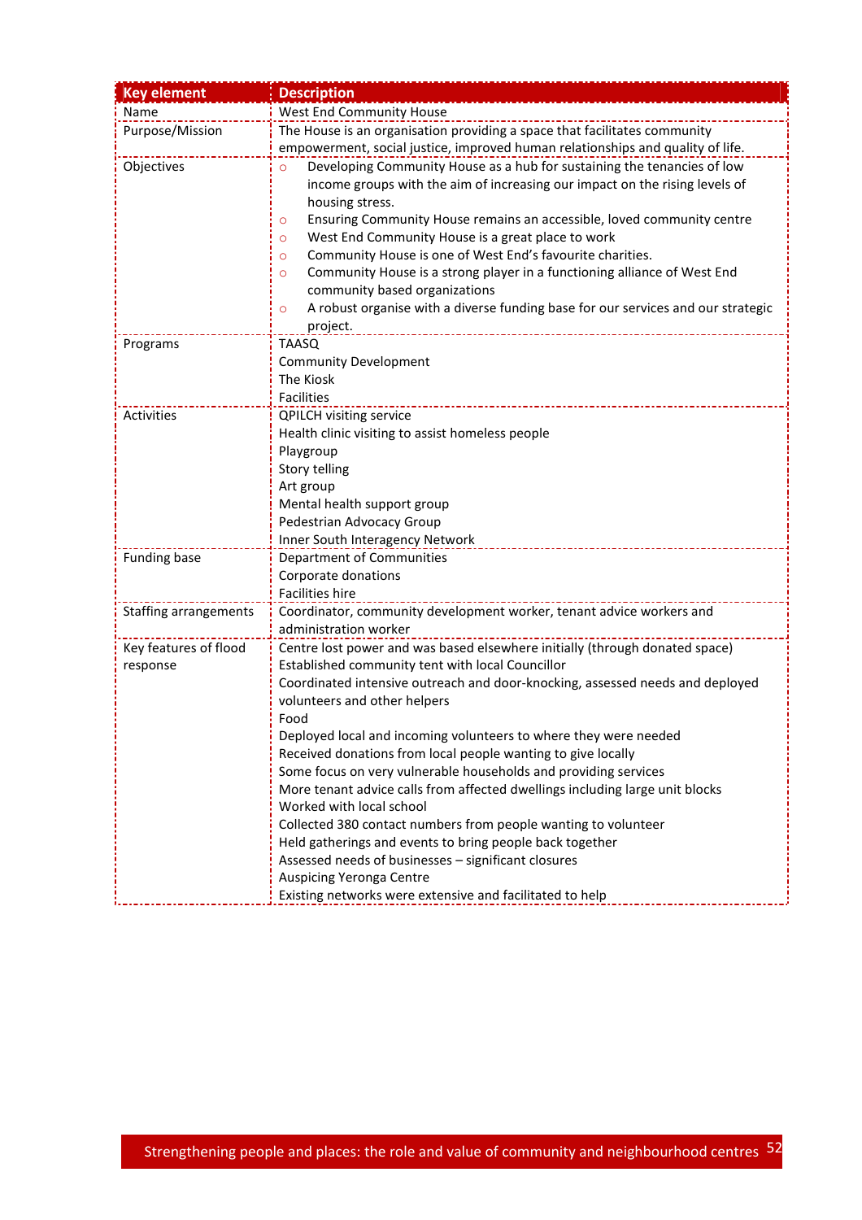| <b>Key element</b>           | <b>Description</b>                                                                                                                                          |  |  |
|------------------------------|-------------------------------------------------------------------------------------------------------------------------------------------------------------|--|--|
| Name                         | West End Community House                                                                                                                                    |  |  |
| Purpose/Mission              | The House is an organisation providing a space that facilitates community<br>empowerment, social justice, improved human relationships and quality of life. |  |  |
|                              |                                                                                                                                                             |  |  |
| Objectives                   | Developing Community House as a hub for sustaining the tenancies of low<br>$\circ$                                                                          |  |  |
|                              | income groups with the aim of increasing our impact on the rising levels of                                                                                 |  |  |
|                              | housing stress.                                                                                                                                             |  |  |
|                              | Ensuring Community House remains an accessible, loved community centre<br>$\circ$                                                                           |  |  |
|                              | West End Community House is a great place to work<br>$\circ$                                                                                                |  |  |
|                              | Community House is one of West End's favourite charities.<br>$\circ$                                                                                        |  |  |
|                              | Community House is a strong player in a functioning alliance of West End<br>$\circ$                                                                         |  |  |
|                              | community based organizations                                                                                                                               |  |  |
|                              | A robust organise with a diverse funding base for our services and our strategic<br>$\circ$                                                                 |  |  |
|                              | project.                                                                                                                                                    |  |  |
| Programs                     | <b>TAASQ</b>                                                                                                                                                |  |  |
|                              | <b>Community Development</b>                                                                                                                                |  |  |
|                              | The Kiosk                                                                                                                                                   |  |  |
|                              | Facilities                                                                                                                                                  |  |  |
| Activities                   | <b>QPILCH visiting service</b>                                                                                                                              |  |  |
|                              | Health clinic visiting to assist homeless people                                                                                                            |  |  |
|                              | Playgroup                                                                                                                                                   |  |  |
|                              | Story telling                                                                                                                                               |  |  |
|                              | Art group                                                                                                                                                   |  |  |
|                              | Mental health support group                                                                                                                                 |  |  |
|                              | Pedestrian Advocacy Group                                                                                                                                   |  |  |
| Funding base                 | Inner South Interagency Network<br>Department of Communities                                                                                                |  |  |
|                              | Corporate donations                                                                                                                                         |  |  |
|                              | Facilities hire                                                                                                                                             |  |  |
| <b>Staffing arrangements</b> | Coordinator, community development worker, tenant advice workers and                                                                                        |  |  |
|                              | administration worker                                                                                                                                       |  |  |
| Key features of flood        | Centre lost power and was based elsewhere initially (through donated space)                                                                                 |  |  |
| response                     | Established community tent with local Councillor                                                                                                            |  |  |
|                              | Coordinated intensive outreach and door-knocking, assessed needs and deployed                                                                               |  |  |
|                              | volunteers and other helpers                                                                                                                                |  |  |
|                              | Food                                                                                                                                                        |  |  |
|                              | Deployed local and incoming volunteers to where they were needed                                                                                            |  |  |
|                              | Received donations from local people wanting to give locally                                                                                                |  |  |
|                              | Some focus on very vulnerable households and providing services                                                                                             |  |  |
|                              | More tenant advice calls from affected dwellings including large unit blocks                                                                                |  |  |
|                              | Worked with local school                                                                                                                                    |  |  |
|                              | Collected 380 contact numbers from people wanting to volunteer                                                                                              |  |  |
|                              | Held gatherings and events to bring people back together                                                                                                    |  |  |
|                              | Assessed needs of businesses - significant closures                                                                                                         |  |  |
|                              | Auspicing Yeronga Centre                                                                                                                                    |  |  |
|                              | Existing networks were extensive and facilitated to help                                                                                                    |  |  |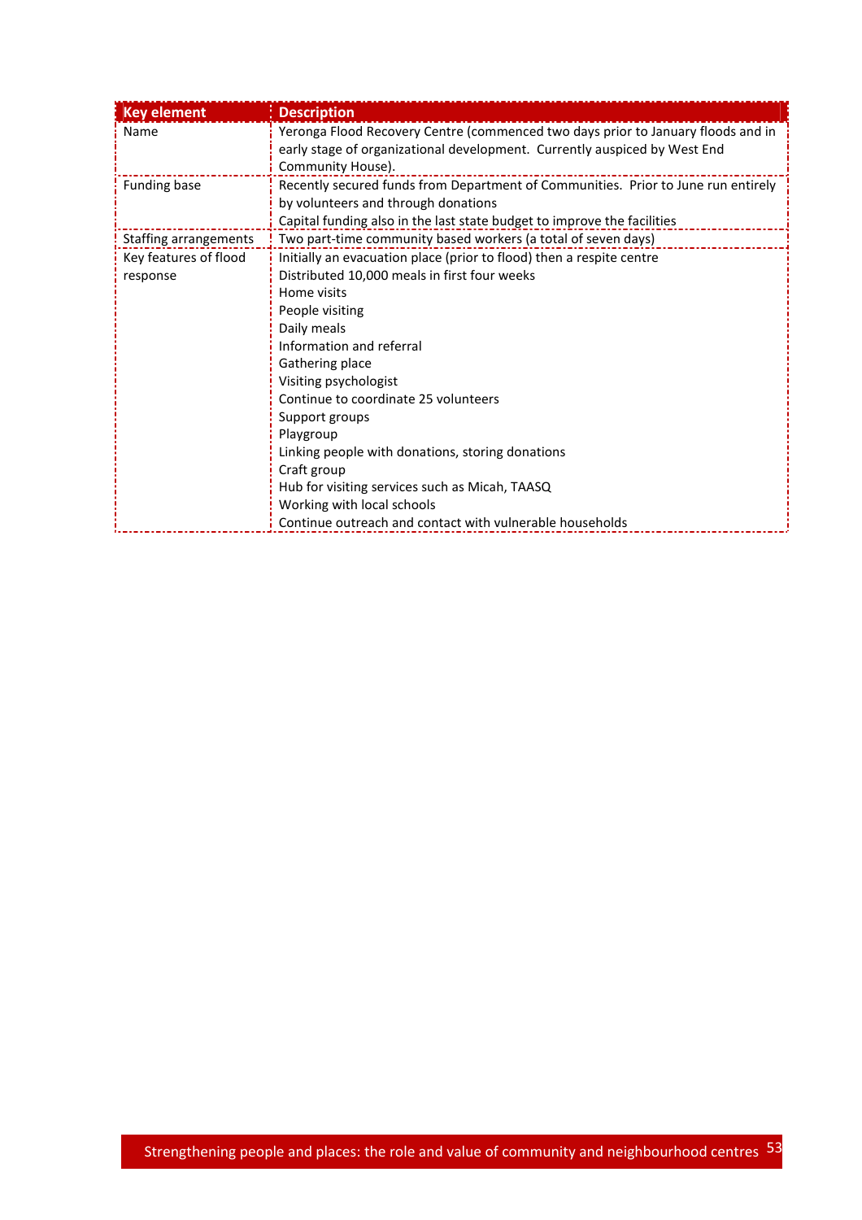| <b>Key element</b>    | <b>Description</b>                                                                                                                                                                                  |  |  |
|-----------------------|-----------------------------------------------------------------------------------------------------------------------------------------------------------------------------------------------------|--|--|
| Name                  | Yeronga Flood Recovery Centre (commenced two days prior to January floods and in<br>early stage of organizational development. Currently auspiced by West End<br>Community House).                  |  |  |
| <b>Funding base</b>   | Recently secured funds from Department of Communities. Prior to June run entirely<br>by volunteers and through donations<br>Capital funding also in the last state budget to improve the facilities |  |  |
| Staffing arrangements | Two part-time community based workers (a total of seven days)                                                                                                                                       |  |  |
| Key features of flood | Initially an evacuation place (prior to flood) then a respite centre                                                                                                                                |  |  |
| response              | Distributed 10,000 meals in first four weeks                                                                                                                                                        |  |  |
|                       | Home visits                                                                                                                                                                                         |  |  |
|                       | People visiting                                                                                                                                                                                     |  |  |
|                       | Daily meals                                                                                                                                                                                         |  |  |
|                       | Information and referral                                                                                                                                                                            |  |  |
|                       | Gathering place                                                                                                                                                                                     |  |  |
|                       | Visiting psychologist                                                                                                                                                                               |  |  |
|                       | Continue to coordinate 25 volunteers                                                                                                                                                                |  |  |
|                       | Support groups                                                                                                                                                                                      |  |  |
|                       | Playgroup                                                                                                                                                                                           |  |  |
|                       | Linking people with donations, storing donations                                                                                                                                                    |  |  |
|                       | Craft group                                                                                                                                                                                         |  |  |
|                       | Hub for visiting services such as Micah, TAASQ                                                                                                                                                      |  |  |
|                       | Working with local schools                                                                                                                                                                          |  |  |
|                       | Continue outreach and contact with vulnerable households                                                                                                                                            |  |  |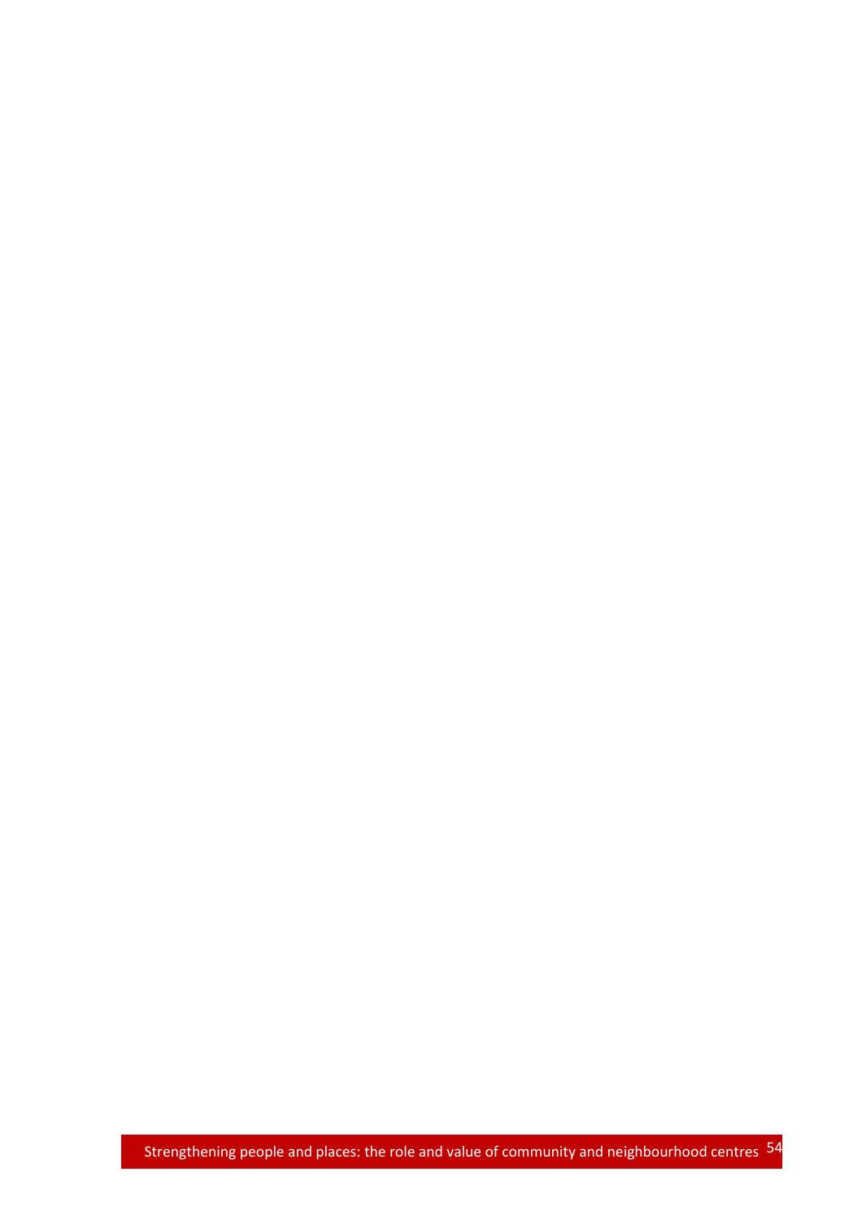Strengthening people and places: the role and value of community and neighbourhood centres 54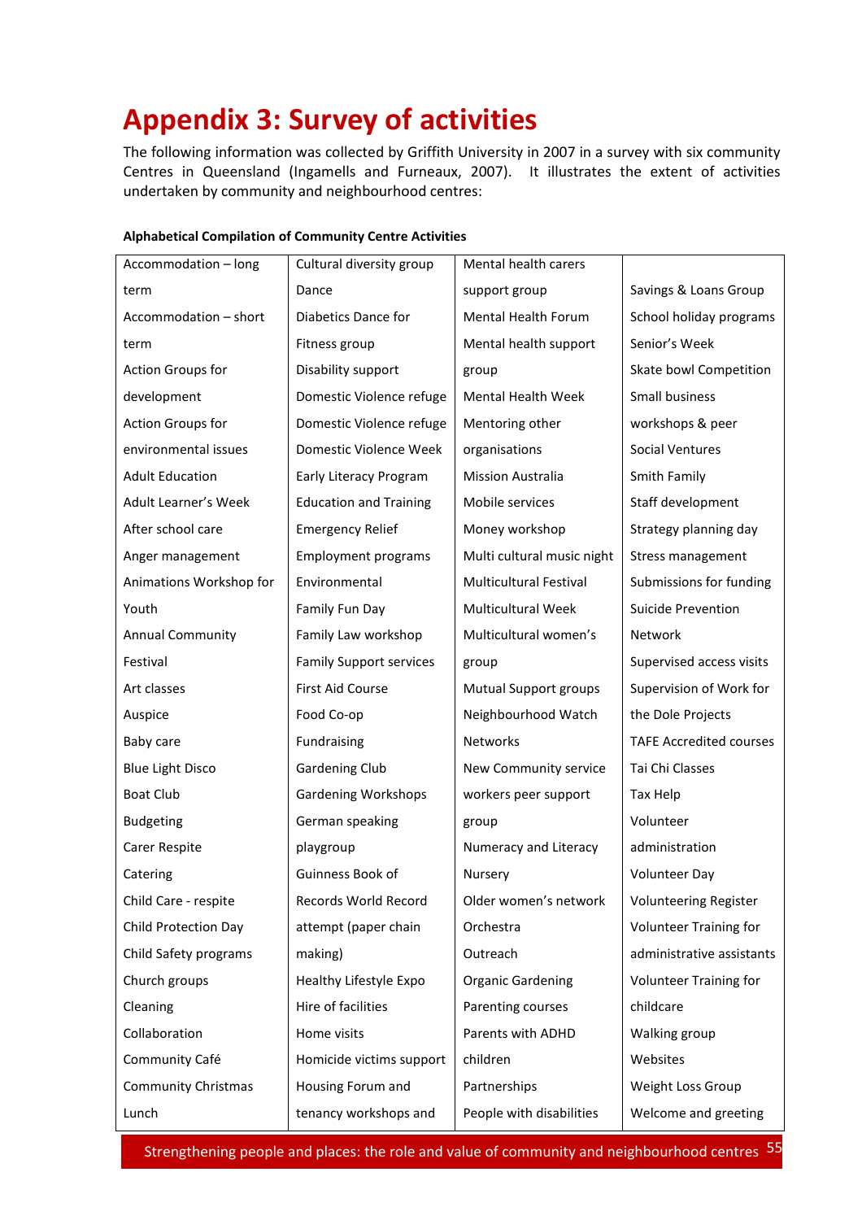# Appendix 3: Survey of activities

The following information was collected by Griffith University in 2007 in a survey with six community Centres in Queensland (Ingamells and Furneaux, 2007). It illustrates the extent of activities undertaken by community and neighbourhood centres:

| Accommodation - long        | Cultural diversity group       | Mental health carers       |                                |
|-----------------------------|--------------------------------|----------------------------|--------------------------------|
| term                        | Dance                          | support group              | Savings & Loans Group          |
| Accommodation - short       | Diabetics Dance for            | Mental Health Forum        | School holiday programs        |
| term                        | Fitness group                  | Mental health support      | Senior's Week                  |
| Action Groups for           | Disability support             | group                      | Skate bowl Competition         |
| development                 | Domestic Violence refuge       | <b>Mental Health Week</b>  | Small business                 |
| Action Groups for           | Domestic Violence refuge       | Mentoring other            | workshops & peer               |
| environmental issues        | Domestic Violence Week         | organisations              | <b>Social Ventures</b>         |
| <b>Adult Education</b>      | Early Literacy Program         | Mission Australia          | Smith Family                   |
| <b>Adult Learner's Week</b> | <b>Education and Training</b>  | Mobile services            | Staff development              |
| After school care           | <b>Emergency Relief</b>        | Money workshop             | Strategy planning day          |
| Anger management            | <b>Employment programs</b>     | Multi cultural music night | Stress management              |
| Animations Workshop for     | Environmental                  | Multicultural Festival     | Submissions for funding        |
| Youth                       | Family Fun Day                 | Multicultural Week         | Suicide Prevention             |
| <b>Annual Community</b>     | Family Law workshop            | Multicultural women's      | Network                        |
| Festival                    | <b>Family Support services</b> | group                      | Supervised access visits       |
| Art classes                 | First Aid Course               | Mutual Support groups      | Supervision of Work for        |
| Auspice                     | Food Co-op                     | Neighbourhood Watch        | the Dole Projects              |
| Baby care                   | Fundraising                    | Networks                   | <b>TAFE Accredited courses</b> |
| <b>Blue Light Disco</b>     | <b>Gardening Club</b>          | New Community service      | Tai Chi Classes                |
| <b>Boat Club</b>            | <b>Gardening Workshops</b>     | workers peer support       | Tax Help                       |
| <b>Budgeting</b>            | German speaking                | group                      | Volunteer                      |
| Carer Respite               | playgroup                      | Numeracy and Literacy      | administration                 |
| Catering                    | Guinness Book of               | Nursery                    | <b>Volunteer Day</b>           |
| Child Care - respite        | Records World Record           | Older women's network      | <b>Volunteering Register</b>   |
| Child Protection Day        | attempt (paper chain           | Orchestra                  | Volunteer Training for         |
| Child Safety programs       | making)                        | Outreach                   | administrative assistants      |
| Church groups               | Healthy Lifestyle Expo         | <b>Organic Gardening</b>   | Volunteer Training for         |
| Cleaning                    | Hire of facilities             | Parenting courses          | childcare                      |
| Collaboration               | Home visits                    | Parents with ADHD          | Walking group                  |
| Community Café              | Homicide victims support       | children                   | Websites                       |
| <b>Community Christmas</b>  | Housing Forum and              | Partnerships               | Weight Loss Group              |
| Lunch                       | tenancy workshops and          | People with disabilities   | Welcome and greeting           |

#### Alphabetical Compilation of Community Centre Activities